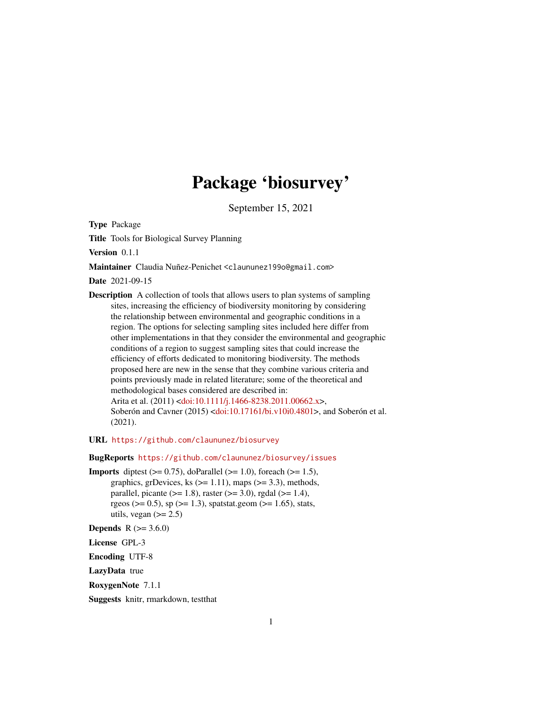# Package 'biosurvey'

September 15, 2021

<span id="page-0-0"></span>Type Package

Title Tools for Biological Survey Planning

Version 0.1.1

Maintainer Claudia Nuñez-Penichet <claununez199o@gmail.com>

Date 2021-09-15

Description A collection of tools that allows users to plan systems of sampling sites, increasing the efficiency of biodiversity monitoring by considering the relationship between environmental and geographic conditions in a region. The options for selecting sampling sites included here differ from other implementations in that they consider the environmental and geographic conditions of a region to suggest sampling sites that could increase the efficiency of efforts dedicated to monitoring biodiversity. The methods proposed here are new in the sense that they combine various criteria and points previously made in related literature; some of the theoretical and methodological bases considered are described in: Arita et al. (2011) [<doi:10.1111/j.1466-8238.2011.00662.x>](https://doi.org/10.1111/j.1466-8238.2011.00662.x), Soberón and Cavner (2015) [<doi:10.17161/bi.v10i0.4801>](https://doi.org/10.17161/bi.v10i0.4801), and Soberón et al.

(2021).

URL <https://github.com/claununez/biosurvey>

BugReports <https://github.com/claununez/biosurvey/issues>

**Imports** diptest  $(>= 0.75)$ , doParallel  $(>= 1.0)$ , foreach  $(>= 1.5)$ , graphics, grDevices, ks  $(>= 1.11)$ , maps  $(>= 3.3)$ , methods, parallel, picante ( $>= 1.8$ ), raster ( $>= 3.0$ ), rgdal ( $>= 1.4$ ), rgeos ( $> = 0.5$ ), sp ( $> = 1.3$ ), spatstat.geom ( $> = 1.65$ ), stats, utils, vegan  $(>= 2.5)$ 

**Depends** R  $(>= 3.6.0)$ 

License GPL-3

Encoding UTF-8

LazyData true

RoxygenNote 7.1.1

Suggests knitr, rmarkdown, testthat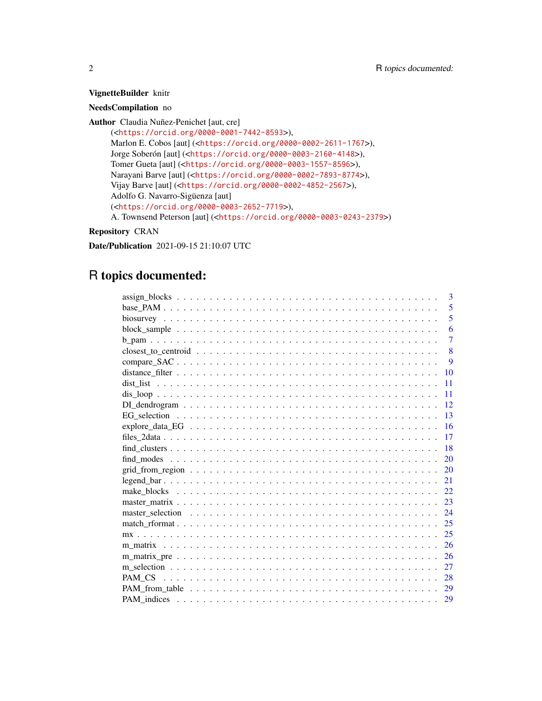# VignetteBuilder knitr

# NeedsCompilation no

Author Claudia Nuñez-Penichet [aut, cre] (<<https://orcid.org/0000-0001-7442-8593>>), Marlon E. Cobos [aut] (<<https://orcid.org/0000-0002-2611-1767>>), Jorge Soberón [aut] (<<https://orcid.org/0000-0003-2160-4148>>), Tomer Gueta [aut] (<<https://orcid.org/0000-0003-1557-8596>>), Narayani Barve [aut] (<<https://orcid.org/0000-0002-7893-8774>>), Vijay Barve [aut] (<<https://orcid.org/0000-0002-4852-2567>>), Adolfo G. Navarro-Sigüenza [aut] (<<https://orcid.org/0000-0003-2652-7719>>), A. Townsend Peterson [aut] (<<https://orcid.org/0000-0003-0243-2379>>)

# Repository CRAN

Date/Publication 2021-09-15 21:10:07 UTC

# R topics documented:

| 3                  |
|--------------------|
| 5                  |
| 5                  |
| 6                  |
| $\overline{7}$     |
| 8                  |
| 9                  |
| 10                 |
| 11                 |
| 11                 |
| 12                 |
| 13                 |
| 16                 |
| 17                 |
| 18                 |
| 20                 |
| 20                 |
| $legend_bar$<br>21 |
| 22                 |
| 23                 |
| 24                 |
| 25                 |
| 25                 |
| 26                 |
| 26                 |
| 27                 |
| 28                 |
| 29                 |
| 29                 |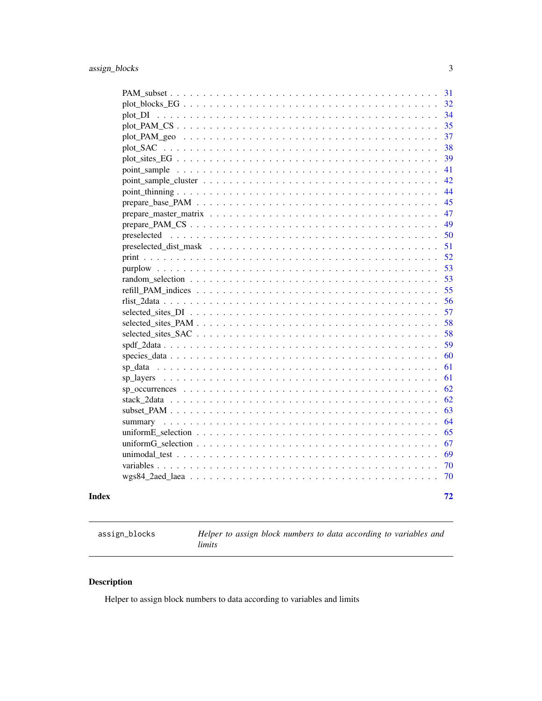<span id="page-2-0"></span>

| Index | 72       |
|-------|----------|
|       | 70       |
|       | 70       |
|       | 69       |
|       | 67       |
|       | 65       |
|       | 64       |
|       | 63       |
|       | 62       |
|       | 62       |
|       | 61       |
|       | 61       |
|       | 60       |
|       | 59       |
|       | 58       |
|       | 58       |
|       | 57       |
|       | 56       |
|       | 55       |
|       | 53       |
|       | 53       |
|       | 52       |
|       | 51       |
|       | 50       |
|       | 49       |
|       | 47       |
|       | 45       |
|       | 44       |
|       | 42       |
|       | 41       |
|       | 39       |
|       | 38       |
|       | 37       |
|       | 35       |
|       | 32<br>34 |
|       |          |
|       | 31       |

<span id="page-2-1"></span>assign\_blocks *Helper to assign block numbers to data according to variables and limits*

# Description

Helper to assign block numbers to data according to variables and limits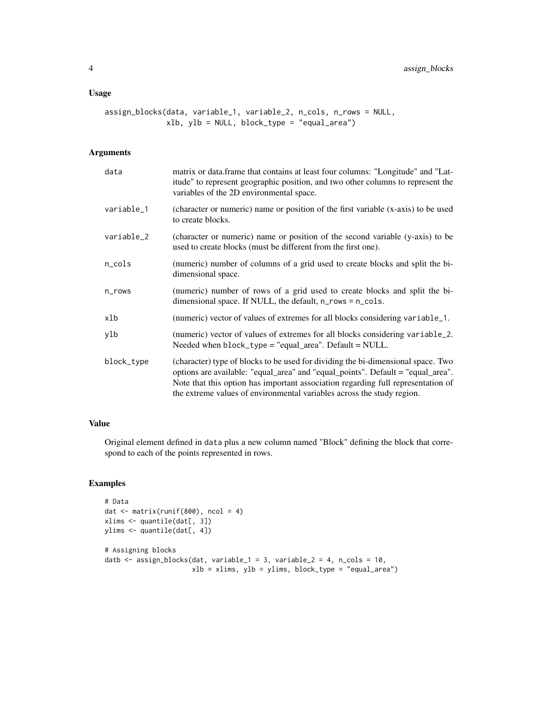#### Usage

```
assign_blocks(data, variable_1, variable_2, n_cols, n_rows = NULL,
              xlb, ylb = NULL, block_type = "equal_area")
```
#### Arguments

| data       | matrix or data.frame that contains at least four columns: "Longitude" and "Lat-<br>itude" to represent geographic position, and two other columns to represent the<br>variables of the 2D environmental space.                                                                                                                    |
|------------|-----------------------------------------------------------------------------------------------------------------------------------------------------------------------------------------------------------------------------------------------------------------------------------------------------------------------------------|
| variable_1 | (character or numeric) name or position of the first variable (x-axis) to be used<br>to create blocks.                                                                                                                                                                                                                            |
| variable_2 | (character or numeric) name or position of the second variable (y-axis) to be<br>used to create blocks (must be different from the first one).                                                                                                                                                                                    |
| n_cols     | (numeric) number of columns of a grid used to create blocks and split the bi-<br>dimensional space.                                                                                                                                                                                                                               |
| n_rows     | (numeric) number of rows of a grid used to create blocks and split the bi-<br>dimensional space. If NULL, the default, n_rows = n_cols.                                                                                                                                                                                           |
| xlb        | (numeric) vector of values of extremes for all blocks considering variable_1.                                                                                                                                                                                                                                                     |
| ylb        | (numeric) vector of values of extremes for all blocks considering variable_2.<br>Needed when block_type = "equal_area". Default = NULL.                                                                                                                                                                                           |
| block_type | (character) type of blocks to be used for dividing the bi-dimensional space. Two<br>options are available: "equal_area" and "equal_points". Default = "equal_area".<br>Note that this option has important association regarding full representation of<br>the extreme values of environmental variables across the study region. |

#### Value

Original element defined in data plus a new column named "Block" defining the block that correspond to each of the points represented in rows.

# Examples

```
# Data
dat <- matrix(runif(800), ncol = 4)
xlims <- quantile(dat[, 3])
ylims <- quantile(dat[, 4])
# Assigning blocks
datb <- assign_blocks(dat, variable_1 = 3, variable_2 = 4, n_cols = 10,
                      xlb = xlims, ylb = ylims, block_type = "equal_area")
```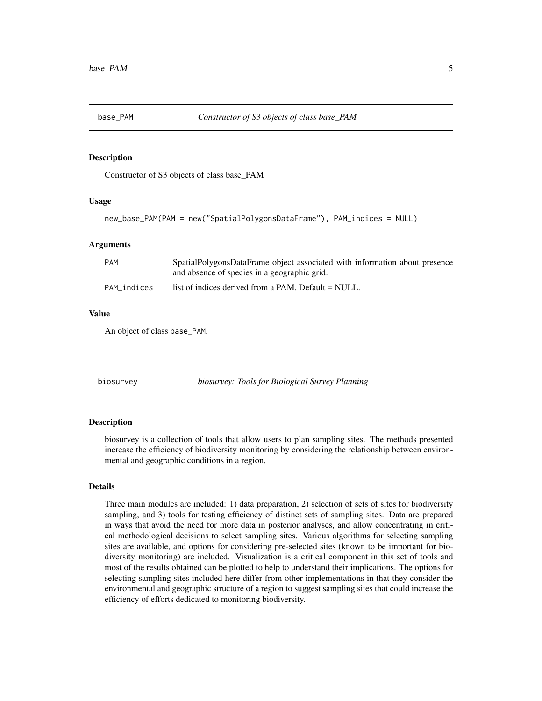<span id="page-4-0"></span>

#### **Description**

Constructor of S3 objects of class base\_PAM

#### Usage

```
new_base_PAM(PAM = new("SpatialPolygonsDataFrame"), PAM_indices = NULL)
```
#### Arguments

| PAM         | SpatialPolygonsDataFrame object associated with information about presence<br>and absence of species in a geographic grid. |
|-------------|----------------------------------------------------------------------------------------------------------------------------|
| PAM indices | list of indices derived from a PAM. Default = NULL.                                                                        |

#### Value

An object of class base\_PAM.

biosurvey *biosurvey: Tools for Biological Survey Planning*

#### Description

biosurvey is a collection of tools that allow users to plan sampling sites. The methods presented increase the efficiency of biodiversity monitoring by considering the relationship between environmental and geographic conditions in a region.

# Details

Three main modules are included: 1) data preparation, 2) selection of sets of sites for biodiversity sampling, and 3) tools for testing efficiency of distinct sets of sampling sites. Data are prepared in ways that avoid the need for more data in posterior analyses, and allow concentrating in critical methodological decisions to select sampling sites. Various algorithms for selecting sampling sites are available, and options for considering pre-selected sites (known to be important for biodiversity monitoring) are included. Visualization is a critical component in this set of tools and most of the results obtained can be plotted to help to understand their implications. The options for selecting sampling sites included here differ from other implementations in that they consider the environmental and geographic structure of a region to suggest sampling sites that could increase the efficiency of efforts dedicated to monitoring biodiversity.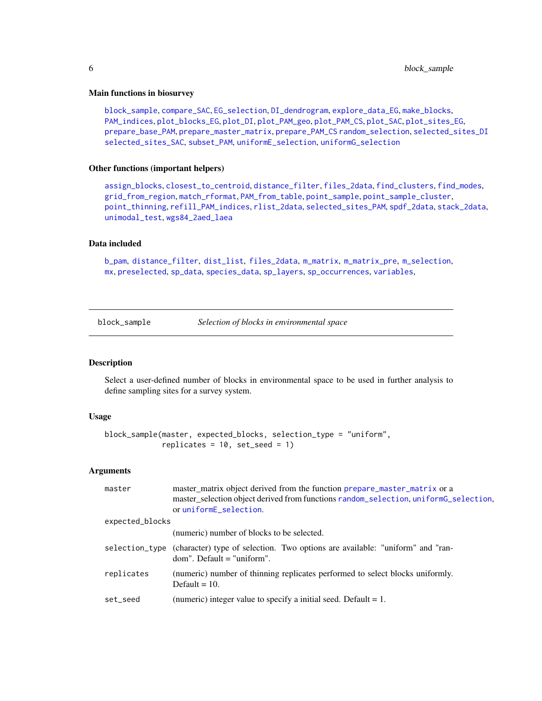#### <span id="page-5-0"></span>Main functions in biosurvey

[block\\_sample](#page-5-1), [compare\\_SAC](#page-8-1), [EG\\_selection](#page-12-1), [DI\\_dendrogram](#page-11-1), [explore\\_data\\_EG](#page-15-1), [make\\_blocks](#page-21-1), [PAM\\_indices](#page-28-1), [plot\\_blocks\\_EG](#page-31-1), [plot\\_DI](#page-33-1), [plot\\_PAM\\_geo](#page-36-1), [plot\\_PAM\\_CS](#page-34-1), [plot\\_SAC](#page-37-1), [plot\\_sites\\_EG](#page-38-1), [prepare\\_base\\_PAM](#page-44-1), [prepare\\_master\\_matrix](#page-46-1), [prepare\\_PAM\\_CS](#page-48-1) [random\\_selection](#page-52-1), [selected\\_sites\\_DI](#page-56-1) [selected\\_sites\\_SAC](#page-57-1), [subset\\_PAM](#page-62-1), [uniformE\\_selection](#page-64-1), [uniformG\\_selection](#page-66-1)

#### Other functions (important helpers)

[assign\\_blocks](#page-2-1), [closest\\_to\\_centroid](#page-7-1), [distance\\_filter](#page-9-1), [files\\_2data](#page-16-1), [find\\_clusters](#page-17-1), [find\\_modes](#page-19-1), [grid\\_from\\_region](#page-19-2), [match\\_rformat](#page-24-1), [PAM\\_from\\_table](#page-28-2), [point\\_sample](#page-40-1), [point\\_sample\\_cluster](#page-41-1), [point\\_thinning](#page-43-1), [refill\\_PAM\\_indices](#page-54-1), [rlist\\_2data](#page-55-1), [selected\\_sites\\_PAM](#page-57-2), [spdf\\_2data](#page-58-1), [stack\\_2data](#page-61-1), [unimodal\\_test](#page-68-1), [wgs84\\_2aed\\_laea](#page-69-1)

#### Data included

[b\\_pam](#page-6-1), [distance\\_filter](#page-9-1), [dist\\_list](#page-10-1), [files\\_2data](#page-16-1), [m\\_matrix](#page-25-1), [m\\_matrix\\_pre](#page-25-2), [m\\_selection](#page-26-1), [mx](#page-24-2), [preselected](#page-49-1), [sp\\_data](#page-60-1), [species\\_data](#page-59-1), [sp\\_layers](#page-60-2), [sp\\_occurrences](#page-61-2), [variables](#page-69-2),

<span id="page-5-1"></span>block\_sample *Selection of blocks in environmental space*

#### Description

Select a user-defined number of blocks in environmental space to be used in further analysis to define sampling sites for a survey system.

#### Usage

```
block_sample(master, expected_blocks, selection_type = "uniform",
             replicates = 10, set_seed = 1)
```

| master          | master_matrix object derived from the function prepare_master_matrix or a<br>master_selection object derived from functions random_selection, uniformG_selection,<br>or uniformE_selection. |
|-----------------|---------------------------------------------------------------------------------------------------------------------------------------------------------------------------------------------|
| expected_blocks |                                                                                                                                                                                             |
|                 | (numeric) number of blocks to be selected.                                                                                                                                                  |
|                 | selection_type (character) type of selection. Two options are available: "uniform" and "ran-<br>$dom$ ". Default = "uniform".                                                               |
| replicates      | (numeric) number of thinning replicates performed to select blocks uniformly.<br>Default $= 10$ .                                                                                           |
| set seed        | (numeric) integer value to specify a initial seed. Default $= 1$ .                                                                                                                          |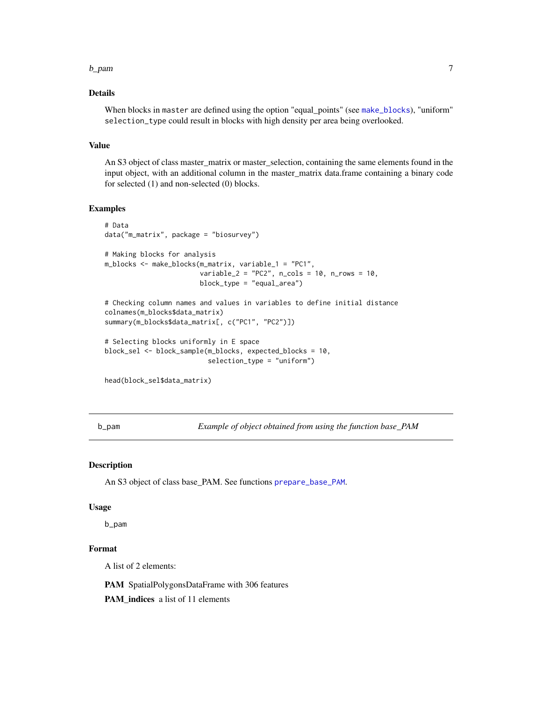#### <span id="page-6-0"></span>b\_pam 7

# Details

When blocks in master are defined using the option "equal\_points" (see [make\\_blocks](#page-21-1)), "uniform" selection\_type could result in blocks with high density per area being overlooked.

#### Value

An S3 object of class master\_matrix or master\_selection, containing the same elements found in the input object, with an additional column in the master\_matrix data.frame containing a binary code for selected (1) and non-selected (0) blocks.

# Examples

```
# Data
data("m_matrix", package = "biosurvey")
# Making blocks for analysis
m_blocks <- make_blocks(m_matrix, variable_1 = "PC1",
                        variable_2 = "PC2", n_cols = 10, n_crows = 10,block_type = "equal_area")
# Checking column names and values in variables to define initial distance
colnames(m_blocks$data_matrix)
summary(m_blocks$data_matrix[, c("PC1", "PC2")])
# Selecting blocks uniformly in E space
block_sel <- block_sample(m_blocks, expected_blocks = 10,
                          selection_type = "uniform")
head(block_sel$data_matrix)
```
<span id="page-6-1"></span>b\_pam *Example of object obtained from using the function base\_PAM*

#### Description

An S3 object of class base\_PAM. See functions [prepare\\_base\\_PAM](#page-44-1).

#### Usage

b\_pam

#### Format

A list of 2 elements:

PAM SpatialPolygonsDataFrame with 306 features

PAM\_indices a list of 11 elements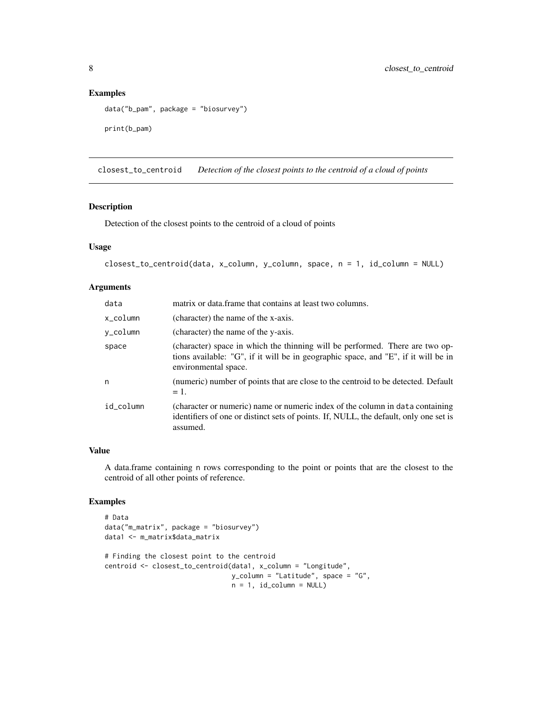# Examples

```
data("b_pam", package = "biosurvey")
print(b_pam)
```
<span id="page-7-1"></span>closest\_to\_centroid *Detection of the closest points to the centroid of a cloud of points*

# Description

Detection of the closest points to the centroid of a cloud of points

#### Usage

```
closest_to_centroid(data, x_column, y_column, space, n = 1, id_column = NULL)
```
# Arguments

| data      | matrix or data. frame that contains at least two columns.                                                                                                                                  |
|-----------|--------------------------------------------------------------------------------------------------------------------------------------------------------------------------------------------|
| x column  | (character) the name of the x-axis.                                                                                                                                                        |
| y_column  | (character) the name of the y-axis.                                                                                                                                                        |
| space     | (character) space in which the thinning will be performed. There are two op-<br>tions available: "G", if it will be in geographic space, and "E", if it will be in<br>environmental space. |
| n         | (numeric) number of points that are close to the centroid to be detected. Default<br>$= 1.$                                                                                                |
| id_column | (character or numeric) name or numeric index of the column in data containing<br>identifiers of one or distinct sets of points. If, NULL, the default, only one set is<br>assumed.         |

#### Value

A data.frame containing n rows corresponding to the point or points that are the closest to the centroid of all other points of reference.

# Examples

```
# Data
data("m_matrix", package = "biosurvey")
data1 <- m_matrix$data_matrix
# Finding the closest point to the centroid
centroid <- closest_to_centroid(data1, x_column = "Longitude",
                                y_column = "Latitude", space = "G",
                                n = 1, id_{column} = NULL
```
<span id="page-7-0"></span>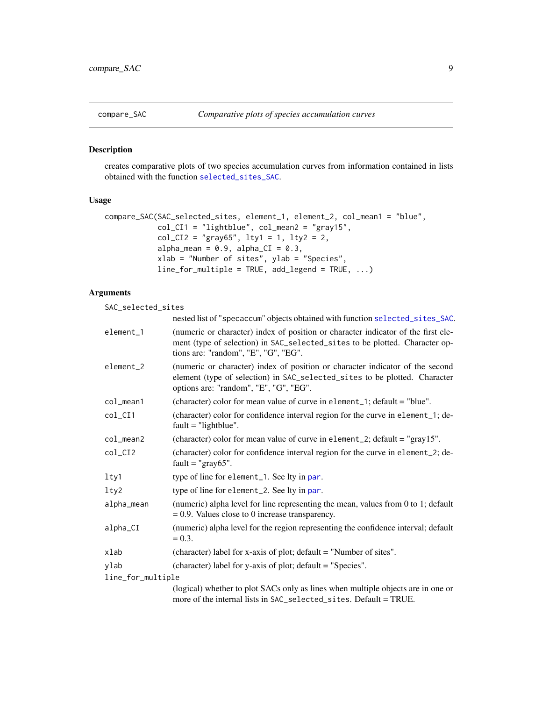<span id="page-8-1"></span><span id="page-8-0"></span>

#### Description

creates comparative plots of two species accumulation curves from information contained in lists obtained with the function [selected\\_sites\\_SAC](#page-57-1).

# Usage

```
compare_SAC(SAC_selected_sites, element_1, element_2, col_mean1 = "blue",
           col_CII = "lightblue", col_mean2 = "gray15",col_CI2 = "gray65", lty1 = 1, lty2 = 2,alpha_mean = 0.9, alpha_CI = 0.3,
           xlab = "Number of sites", ylab = "Species",
           line_for_multiple = TRUE, add_legend = TRUE, ...)
```
# Arguments

SAC\_selected\_sites

|                   | nested list of "specaccum" objects obtained with function selected_sites_SAC.                                                                                                                            |
|-------------------|----------------------------------------------------------------------------------------------------------------------------------------------------------------------------------------------------------|
|                   |                                                                                                                                                                                                          |
| element_1         | (numeric or character) index of position or character indicator of the first ele-<br>ment (type of selection) in SAC_selected_sites to be plotted. Character op-<br>tions are: "random", "E", "G", "EG". |
| element_2         | (numeric or character) index of position or character indicator of the second<br>element (type of selection) in SAC_selected_sites to be plotted. Character<br>options are: "random", "E", "G", "EG".    |
| col_mean1         | (character) color for mean value of curve in element_1; default = "blue".                                                                                                                                |
| $col_CII$         | (character) color for confidence interval region for the curve in element_1; de-<br>$fault = "lightblue".$                                                                                               |
| $col_mean2$       | (character) color for mean value of curve in element_2; $\delta$ default = "gray15".                                                                                                                     |
| col_CI2           | (character) color for confidence interval region for the curve in element_2; de-<br>fault = " $gray65$ ".                                                                                                |
| lty1              | type of line for element_1. See lty in par.                                                                                                                                                              |
| lty2              | type of line for element_2. See lty in par.                                                                                                                                                              |
| alpha_mean        | (numeric) alpha level for line representing the mean, values from 0 to 1; default<br>$= 0.9$ . Values close to 0 increase transparency.                                                                  |
| alpha_CI          | (numeric) alpha level for the region representing the confidence interval; default<br>$= 0.3.$                                                                                                           |
| xlab              | (character) label for x-axis of plot; default = "Number of sites".                                                                                                                                       |
| ylab              | (character) label for y-axis of plot; default = "Species".                                                                                                                                               |
| line_for_multiple |                                                                                                                                                                                                          |
|                   | (logical) whether to plot SACs only as lines when multiple objects are in one or<br>more of the internal lists in SAC_selected_sites. Default = TRUE.                                                    |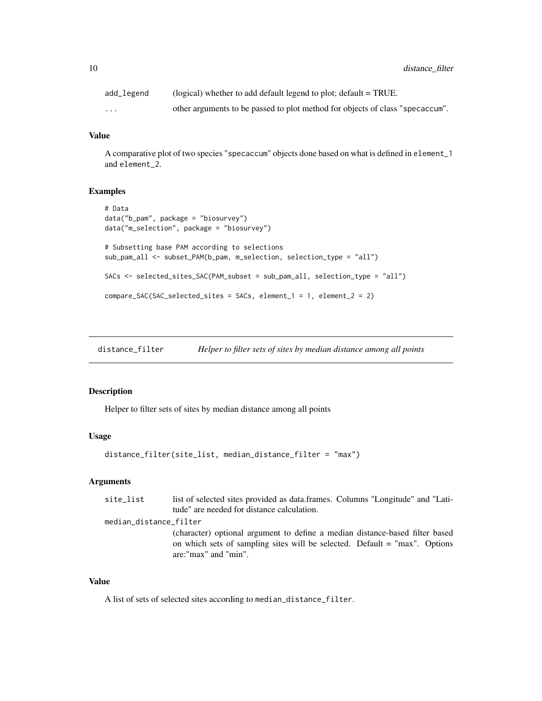<span id="page-9-0"></span>10 distance\_filter

| add_legend | (logical) whether to add default legend to plot; $default = TRUE$ .           |
|------------|-------------------------------------------------------------------------------|
| $\cdots$   | other arguments to be passed to plot method for objects of class "specaccum". |

# Value

A comparative plot of two species "specaccum" objects done based on what is defined in element\_1 and element\_2.

#### Examples

```
# Data
data("b_pam", package = "biosurvey")
data("m_selection", package = "biosurvey")
# Subsetting base PAM according to selections
sub_pam_all <- subset_PAM(b_pam, m_selection, selection_type = "all")
SACs <- selected_sites_SAC(PAM_subset = sub_pam_all, selection_type = "all")
compare_SAC(SAC_selected_sites = SACs, element_1 = 1, element_2 = 2)
```
<span id="page-9-1"></span>distance\_filter *Helper to filter sets of sites by median distance among all points*

#### Description

Helper to filter sets of sites by median distance among all points

#### Usage

```
distance_filter(site_list, median_distance_filter = "max")
```
# Arguments

| site_list              | list of selected sites provided as data.frames. Columns "Longitude" and "Lati-                                                                                                     |
|------------------------|------------------------------------------------------------------------------------------------------------------------------------------------------------------------------------|
|                        | tude" are needed for distance calculation.                                                                                                                                         |
| median_distance_filter |                                                                                                                                                                                    |
|                        | (character) optional argument to define a median distance-based filter based<br>on which sets of sampling sites will be selected. Default = "max". Options<br>are:"max" and "min". |

#### Value

A list of sets of selected sites according to median\_distance\_filter.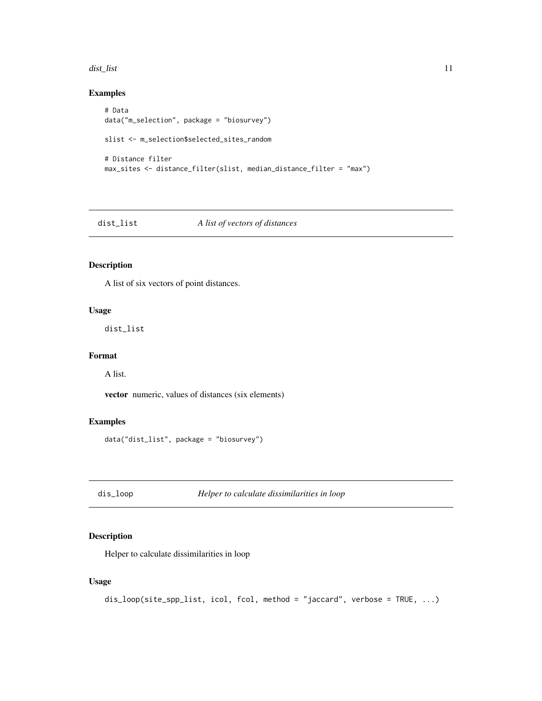#### <span id="page-10-0"></span>dist\_list 11

# Examples

```
# Data
data("m_selection", package = "biosurvey")
slist <- m_selection$selected_sites_random
# Distance filter
max_sites <- distance_filter(slist, median_distance_filter = "max")
```
<span id="page-10-1"></span>

# dist\_list *A list of vectors of distances*

# Description

A list of six vectors of point distances.

#### Usage

dist\_list

# Format

A list.

vector numeric, values of distances (six elements)

# Examples

data("dist\_list", package = "biosurvey")

dis\_loop *Helper to calculate dissimilarities in loop*

# Description

Helper to calculate dissimilarities in loop

#### Usage

dis\_loop(site\_spp\_list, icol, fcol, method = "jaccard", verbose = TRUE, ...)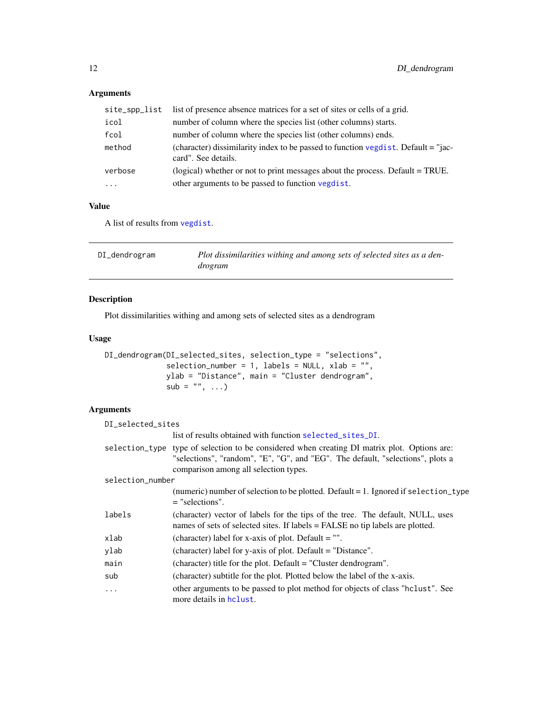# <span id="page-11-0"></span>Arguments

| site_spp_list | list of presence absence matrices for a set of sites or cells of a grid.                                 |
|---------------|----------------------------------------------------------------------------------------------------------|
| icol          | number of column where the species list (other columns) starts.                                          |
| fcol          | number of column where the species list (other columns) ends.                                            |
| method        | (character) dissimilarity index to be passed to function vegdist. Default = "jac-<br>card". See details. |
| verbose       | (logical) whether or not to print messages about the process. Default = TRUE.                            |
| $\ddotsc$     | other arguments to be passed to function vegdist.                                                        |

# Value

A list of results from [vegdist](#page-0-0).

<span id="page-11-1"></span>

| DI_dendrogram | Plot dissimilarities withing and among sets of selected sites as a den- |
|---------------|-------------------------------------------------------------------------|
|               | drogram                                                                 |

# Description

Plot dissimilarities withing and among sets of selected sites as a dendrogram

# Usage

```
DI_dendrogram(DI_selected_sites, selection_type = "selections",
              selection_number = 1, labels = NULL, xlab = "",
              ylab = "Distance", main = "Cluster dendrogram",
              sub = "", ...)
```

| DI_selected_sites |                                                                                                                                                                                                                         |
|-------------------|-------------------------------------------------------------------------------------------------------------------------------------------------------------------------------------------------------------------------|
|                   | list of results obtained with function selected_sites_DI.                                                                                                                                                               |
|                   | selection_type type of selection to be considered when creating DI matrix plot. Options are:<br>"selections", "random", "E", "G", and "EG". The default, "selections", plots a<br>comparison among all selection types. |
| selection_number  |                                                                                                                                                                                                                         |
|                   | (numeric) number of selection to be plotted. Default = 1. Ignored if selection_type<br>$=$ "selections".                                                                                                                |
| labels            | (character) vector of labels for the tips of the tree. The default, NULL, uses<br>names of sets of selected sites. If labels = FALSE no tip labels are plotted.                                                         |
| xlab              | (character) label for x-axis of plot. Default $=$ "".                                                                                                                                                                   |
| ylab              | (character) label for y-axis of plot. Default = "Distance".                                                                                                                                                             |
| main              | (character) title for the plot. Default = "Cluster dendrogram".                                                                                                                                                         |
| sub               | (character) subtitle for the plot. Plotted below the label of the x-axis.                                                                                                                                               |
| $\ddotsc$         | other arguments to be passed to plot method for objects of class "hclust". See<br>more details in holust.                                                                                                               |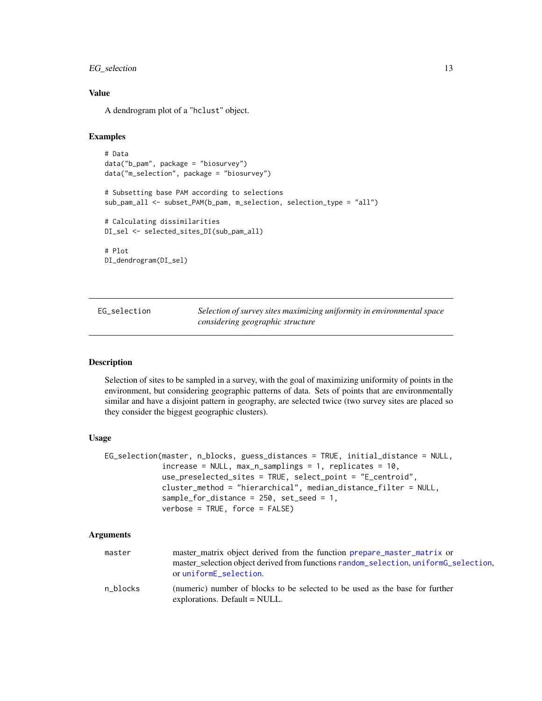# <span id="page-12-0"></span>EG\_selection 13

# Value

A dendrogram plot of a "hclust" object.

# Examples

```
# Data
data("b_pam", package = "biosurvey")
data("m_selection", package = "biosurvey")
# Subsetting base PAM according to selections
sub_pam_all <- subset_PAM(b_pam, m_selection, selection_type = "all")
# Calculating dissimilarities
DI_sel <- selected_sites_DI(sub_pam_all)
# Plot
DI_dendrogram(DI_sel)
```
<span id="page-12-1"></span>

| EG selection |  |
|--------------|--|
|              |  |

Selection of survey sites maximizing uniformity in environmental space *considering geographic structure*

#### Description

Selection of sites to be sampled in a survey, with the goal of maximizing uniformity of points in the environment, but considering geographic patterns of data. Sets of points that are environmentally similar and have a disjoint pattern in geography, are selected twice (two survey sites are placed so they consider the biggest geographic clusters).

# Usage

```
EG_selection(master, n_blocks, guess_distances = TRUE, initial_distance = NULL,
             increase = NULL, max_n_samplings = 1, replicates = 10,
             use_preselected_sites = TRUE, select_point = "E_centroid",
             cluster_method = "hierarchical", median_distance_filter = NULL,
             sample_for_distance = 250, set_seed = 1,
             verbose = TRUE, force = FALSE)
```

| master   | master_matrix object derived from the function prepare_master_matrix or<br>master_selection object derived from functions random_selection, uniformG_selection, |
|----------|-----------------------------------------------------------------------------------------------------------------------------------------------------------------|
|          | or uniformE_selection.                                                                                                                                          |
| n blocks | (numeric) number of blocks to be selected to be used as the base for further<br>explorations. Default = NULL.                                                   |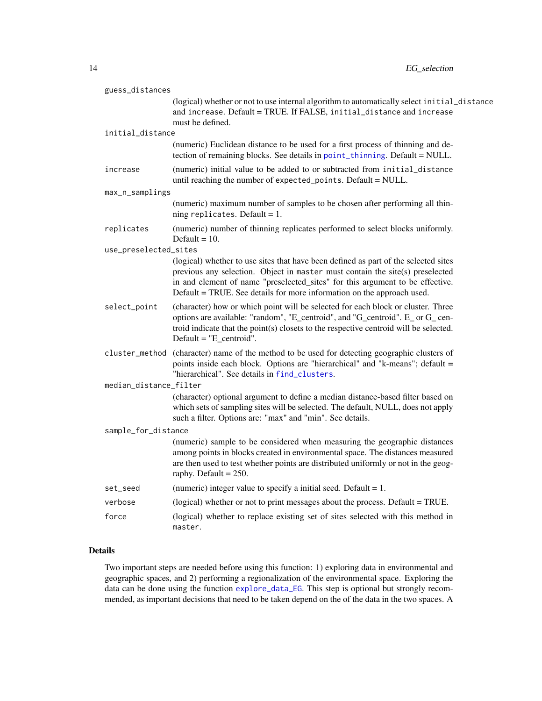| guess_distances        |                                                                                                                                                                                                                                                                                                                                 |
|------------------------|---------------------------------------------------------------------------------------------------------------------------------------------------------------------------------------------------------------------------------------------------------------------------------------------------------------------------------|
|                        | (logical) whether or not to use internal algorithm to automatically select initial_distance<br>and increase. Default = TRUE. If FALSE, initial_distance and increase<br>must be defined.                                                                                                                                        |
| initial_distance       |                                                                                                                                                                                                                                                                                                                                 |
|                        | (numeric) Euclidean distance to be used for a first process of thinning and de-<br>tection of remaining blocks. See details in point_thinning. Default = NULL.                                                                                                                                                                  |
| increase               | (numeric) initial value to be added to or subtracted from initial_distance<br>until reaching the number of expected_points. Default = NULL.                                                                                                                                                                                     |
| max_n_samplings        |                                                                                                                                                                                                                                                                                                                                 |
|                        | (numeric) maximum number of samples to be chosen after performing all thin-<br>ning replicates. Default = $1$ .                                                                                                                                                                                                                 |
| replicates             | (numeric) number of thinning replicates performed to select blocks uniformly.<br>Default $= 10$ .                                                                                                                                                                                                                               |
| use_preselected_sites  |                                                                                                                                                                                                                                                                                                                                 |
|                        | (logical) whether to use sites that have been defined as part of the selected sites<br>previous any selection. Object in master must contain the site(s) preselected<br>in and element of name "preselected_sites" for this argument to be effective.<br>Default = TRUE. See details for more information on the approach used. |
| select_point           | (character) how or which point will be selected for each block or cluster. Three<br>options are available: "random", "E_centroid", and "G_centroid". E_ or G_ cen-<br>troid indicate that the point(s) closets to the respective centroid will be selected.<br>$Default = "E_centroid".$                                        |
|                        | cluster_method (character) name of the method to be used for detecting geographic clusters of<br>points inside each block. Options are "hierarchical" and "k-means"; default =<br>"hierarchical". See details in find_clusters.                                                                                                 |
| median_distance_filter |                                                                                                                                                                                                                                                                                                                                 |
|                        | (character) optional argument to define a median distance-based filter based on<br>which sets of sampling sites will be selected. The default, NULL, does not apply<br>such a filter. Options are: "max" and "min". See details.                                                                                                |
| sample_for_distance    |                                                                                                                                                                                                                                                                                                                                 |
|                        | (numeric) sample to be considered when measuring the geographic distances<br>among points in blocks created in environmental space. The distances measured<br>are then used to test whether points are distributed uniformly or not in the geog-<br>raphy. Default = $250$ .                                                    |
| set_seed               | (numeric) integer value to specify a initial seed. Default $= 1$ .                                                                                                                                                                                                                                                              |
| verbose                | (logical) whether or not to print messages about the process. Default = TRUE.                                                                                                                                                                                                                                                   |
| force                  | (logical) whether to replace existing set of sites selected with this method in<br>master.                                                                                                                                                                                                                                      |

# Details

Two important steps are needed before using this function: 1) exploring data in environmental and geographic spaces, and 2) performing a regionalization of the environmental space. Exploring the data can be done using the function [explore\\_data\\_EG](#page-15-1). This step is optional but strongly recommended, as important decisions that need to be taken depend on the of the data in the two spaces. A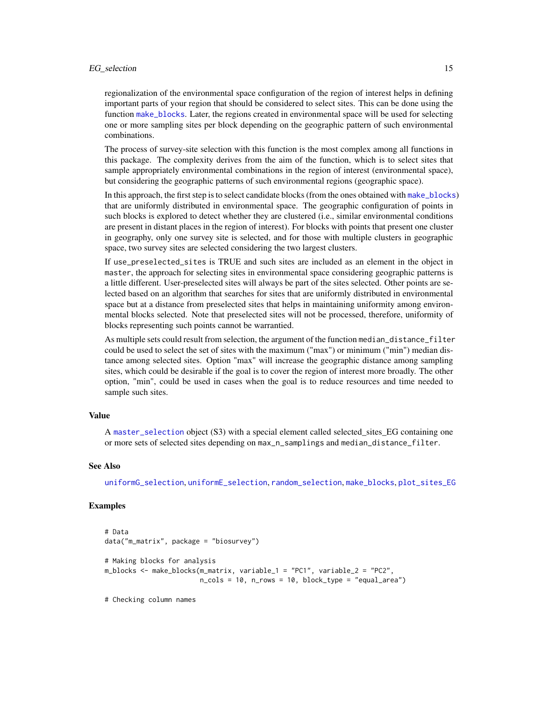#### EG\_selection 15

regionalization of the environmental space configuration of the region of interest helps in defining important parts of your region that should be considered to select sites. This can be done using the function [make\\_blocks](#page-21-1). Later, the regions created in environmental space will be used for selecting one or more sampling sites per block depending on the geographic pattern of such environmental combinations.

The process of survey-site selection with this function is the most complex among all functions in this package. The complexity derives from the aim of the function, which is to select sites that sample appropriately environmental combinations in the region of interest (environmental space), but considering the geographic patterns of such environmental regions (geographic space).

In this approach, the first step is to select candidate blocks (from the ones obtained with [make\\_blocks](#page-21-1)) that are uniformly distributed in environmental space. The geographic configuration of points in such blocks is explored to detect whether they are clustered (i.e., similar environmental conditions are present in distant places in the region of interest). For blocks with points that present one cluster in geography, only one survey site is selected, and for those with multiple clusters in geographic space, two survey sites are selected considering the two largest clusters.

If use\_preselected\_sites is TRUE and such sites are included as an element in the object in master, the approach for selecting sites in environmental space considering geographic patterns is a little different. User-preselected sites will always be part of the sites selected. Other points are selected based on an algorithm that searches for sites that are uniformly distributed in environmental space but at a distance from preselected sites that helps in maintaining uniformity among environmental blocks selected. Note that preselected sites will not be processed, therefore, uniformity of blocks representing such points cannot be warrantied.

As multiple sets could result from selection, the argument of the function median\_distance\_filter could be used to select the set of sites with the maximum ("max") or minimum ("min") median distance among selected sites. Option "max" will increase the geographic distance among sampling sites, which could be desirable if the goal is to cover the region of interest more broadly. The other option, "min", could be used in cases when the goal is to reduce resources and time needed to sample such sites.

#### Value

A [master\\_selection](#page-23-1) object (S3) with a special element called selected sites EG containing one or more sets of selected sites depending on max\_n\_samplings and median\_distance\_filter.

#### See Also

[uniformG\\_selection](#page-66-1), [uniformE\\_selection](#page-64-1), [random\\_selection](#page-52-1), [make\\_blocks](#page-21-1), [plot\\_sites\\_EG](#page-38-1)

#### Examples

```
# Data
data("m_matrix", package = "biosurvey")
# Making blocks for analysis
m_blocks <- make_blocks(m_matrix, variable_1 = "PC1", variable_2 = "PC2",
                        n_cols = 10, n_rows = 10, block_type = "equal_area")
```
# Checking column names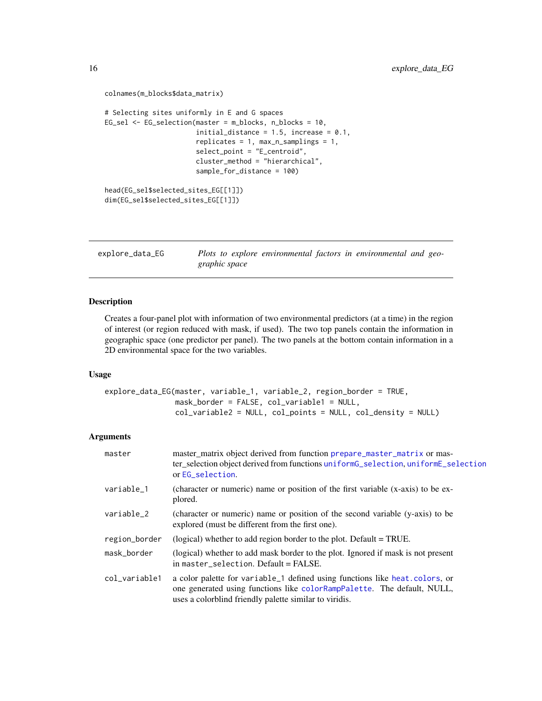```
colnames(m_blocks$data_matrix)
# Selecting sites uniformly in E and G spaces
EG_sel <- EG_selection(master = m_blocks, n_blocks = 10,
                       initial_distance = 1.5, increase = 0.1,
                       replicates = 1, max_n_samplings = 1,
                       select_point = "E_centroid",
                       cluster_method = "hierarchical",
                       sample_for_distance = 100)
head(EG_sel$selected_sites_EG[[1]])
dim(EG_sel$selected_sites_EG[[1]])
```
<span id="page-15-1"></span>explore\_data\_EG *Plots to explore environmental factors in environmental and geographic space*

# Description

Creates a four-panel plot with information of two environmental predictors (at a time) in the region of interest (or region reduced with mask, if used). The two top panels contain the information in geographic space (one predictor per panel). The two panels at the bottom contain information in a 2D environmental space for the two variables.

#### Usage

```
explore_data_EG(master, variable_1, variable_2, region_border = TRUE,
                mask_border = FALSE, col_variable1 = NULL,
                col_variable2 = NULL, col_points = NULL, col_density = NULL)
```

| master        | master matrix object derived from function prepare master matrix or mas-<br>ter_selection object derived from functions uniformG_selection, uniformE_selection<br>or EG_selection.                               |
|---------------|------------------------------------------------------------------------------------------------------------------------------------------------------------------------------------------------------------------|
| variable_1    | (character or numeric) name or position of the first variable (x-axis) to be ex-<br>plored.                                                                                                                      |
| variable_2    | (character or numeric) name or position of the second variable (y-axis) to be<br>explored (must be different from the first one).                                                                                |
| region_border | (logical) whether to add region border to the plot. Default = TRUE.                                                                                                                                              |
| mask_border   | (logical) whether to add mask border to the plot. Ignored if mask is not present<br>in master_selection. Default = FALSE.                                                                                        |
| col_variable1 | a color palette for variable_1 defined using functions like heat.colors, or<br>one generated using functions like colorRampPalette. The default, NULL,<br>uses a colorblind friendly palette similar to viridis. |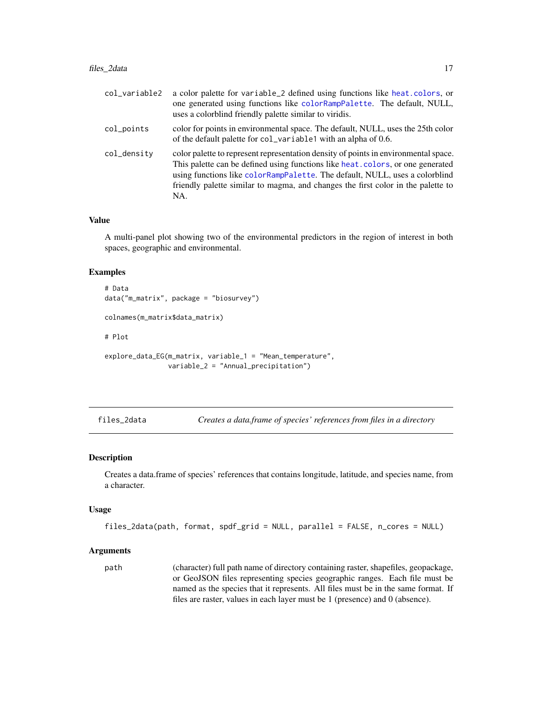<span id="page-16-0"></span>

| col_variable2 | a color palette for variable_2 defined using functions like heat.colors, or<br>one generated using functions like colorRampPalette. The default, NULL,<br>uses a colorblind friendly palette similar to viridis.                                                                                                                                 |
|---------------|--------------------------------------------------------------------------------------------------------------------------------------------------------------------------------------------------------------------------------------------------------------------------------------------------------------------------------------------------|
| col_points    | color for points in environmental space. The default, NULL, uses the 25th color<br>of the default palette for col_variable1 with an alpha of 0.6.                                                                                                                                                                                                |
| col_density   | color palette to represent representation density of points in environmental space.<br>This palette can be defined using functions like heat. colors, or one generated<br>using functions like colorRampPalette. The default, NULL, uses a colorblind<br>friendly palette similar to magma, and changes the first color in the palette to<br>NA. |

#### Value

A multi-panel plot showing two of the environmental predictors in the region of interest in both spaces, geographic and environmental.

# Examples

```
# Data
data("m_matrix", package = "biosurvey")
colnames(m_matrix$data_matrix)
# Plot
explore_data_EG(m_matrix, variable_1 = "Mean_temperature",
                variable_2 = "Annual_precipitation")
```
<span id="page-16-1"></span>files\_2data *Creates a data.frame of species' references from files in a directory*

#### Description

Creates a data.frame of species' references that contains longitude, latitude, and species name, from a character.

#### Usage

```
files_2data(path, format, spdf_grid = NULL, parallel = FALSE, n_cores = NULL)
```
#### Arguments

path (character) full path name of directory containing raster, shapefiles, geopackage, or GeoJSON files representing species geographic ranges. Each file must be named as the species that it represents. All files must be in the same format. If files are raster, values in each layer must be 1 (presence) and 0 (absence).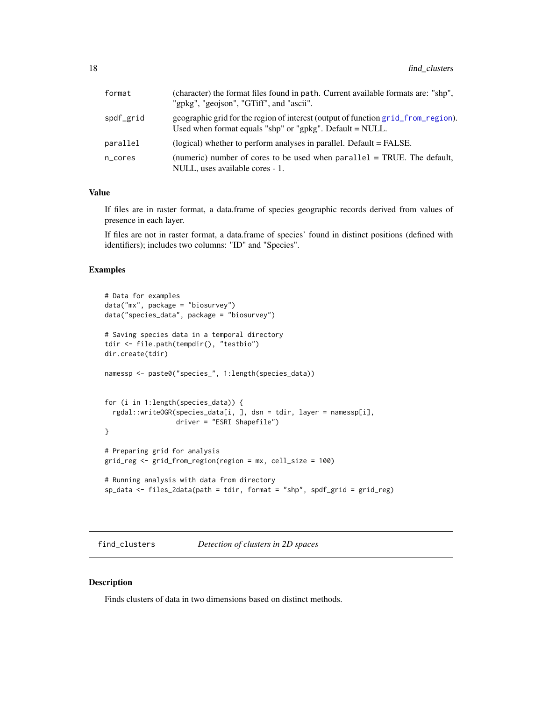<span id="page-17-0"></span>

| format    | (character) the format files found in path. Current available formats are: "shp",<br>"gpkg", "geojson", "GTiff", and "ascii".                   |
|-----------|-------------------------------------------------------------------------------------------------------------------------------------------------|
| spdf_grid | geographic grid for the region of interest (output of function grid_from_region).<br>Used when format equals "shp" or "gpkg". Default $=$ NULL. |
| parallel  | (logical) whether to perform analyses in parallel. Default = FALSE.                                                                             |
| n cores   | (numeric) number of cores to be used when $parallel = TRUE$ . The default,<br>NULL, uses available cores - 1.                                   |

# Value

If files are in raster format, a data.frame of species geographic records derived from values of presence in each layer.

If files are not in raster format, a data.frame of species' found in distinct positions (defined with identifiers); includes two columns: "ID" and "Species".

#### Examples

```
# Data for examples
data("mx", package = "biosurvey")
data("species_data", package = "biosurvey")
# Saving species data in a temporal directory
tdir <- file.path(tempdir(), "testbio")
dir.create(tdir)
namessp <- paste0("species_", 1:length(species_data))
for (i in 1:length(species_data)) {
 rgdal::writeOGR(species_data[i, ], dsn = tdir, layer = namessp[i],
                 driver = "ESRI Shapefile")
}
# Preparing grid for analysis
grid_reg <- grid_from_region(region = mx, cell_size = 100)
# Running analysis with data from directory
sp_data <- files_2data(path = tdir, format = "shp", spdf_grid = grid_reg)
```
<span id="page-17-1"></span>find\_clusters *Detection of clusters in 2D spaces*

#### Description

Finds clusters of data in two dimensions based on distinct methods.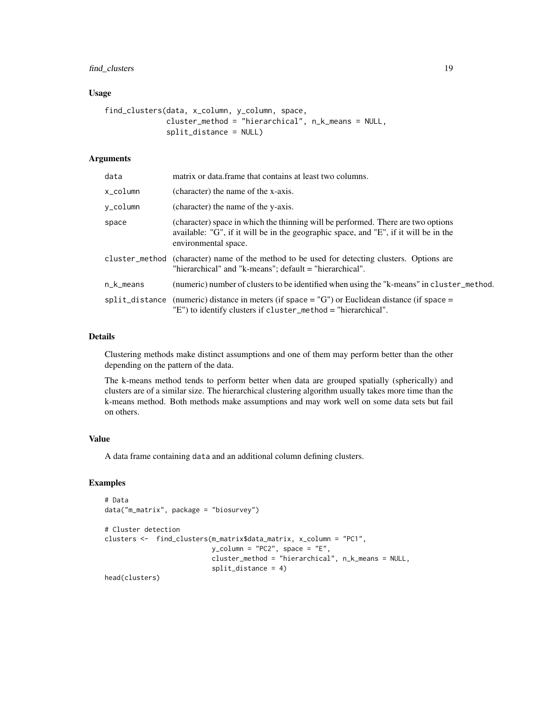# find\_clusters 19

#### Usage

```
find_clusters(data, x_column, y_column, space,
              cluster_method = "hierarchical", n_k_means = NULL,
              split_distance = NULL)
```
#### Arguments

| data      | matrix or data. frame that contains at least two columns.                                                                                                                                        |
|-----------|--------------------------------------------------------------------------------------------------------------------------------------------------------------------------------------------------|
| x_column  | (character) the name of the x-axis.                                                                                                                                                              |
| v_column  | (character) the name of the y-axis.                                                                                                                                                              |
| space     | (character) space in which the thinning will be performed. There are two options<br>available: "G", if it will be in the geographic space, and "E", if it will be in the<br>environmental space. |
|           | cluster_method (character) name of the method to be used for detecting clusters. Options are<br>"hierarchical" and "k-means"; default = "hierarchical".                                          |
| n_k_means | (numeric) number of clusters to be identified when using the "k-means" in cluster_method.                                                                                                        |
|           | $split\_distance$ (numeric) distance in meters (if space = "G") or Euclidean distance (if space =<br>"E") to identify clusters if cluster_method = "hierarchical".                               |

# Details

Clustering methods make distinct assumptions and one of them may perform better than the other depending on the pattern of the data.

The k-means method tends to perform better when data are grouped spatially (spherically) and clusters are of a similar size. The hierarchical clustering algorithm usually takes more time than the k-means method. Both methods make assumptions and may work well on some data sets but fail on others.

# Value

A data frame containing data and an additional column defining clusters.

# Examples

```
# Data
data("m_matrix", package = "biosurvey")
# Cluster detection
clusters <- find_clusters(m_matrix$data_matrix, x_column = "PC1",
                            y_{\text{colum}} = "PC2", \text{ space} = "E",cluster_method = "hierarchical", n_k_means = NULL,
                            split_distance = 4)
head(clusters)
```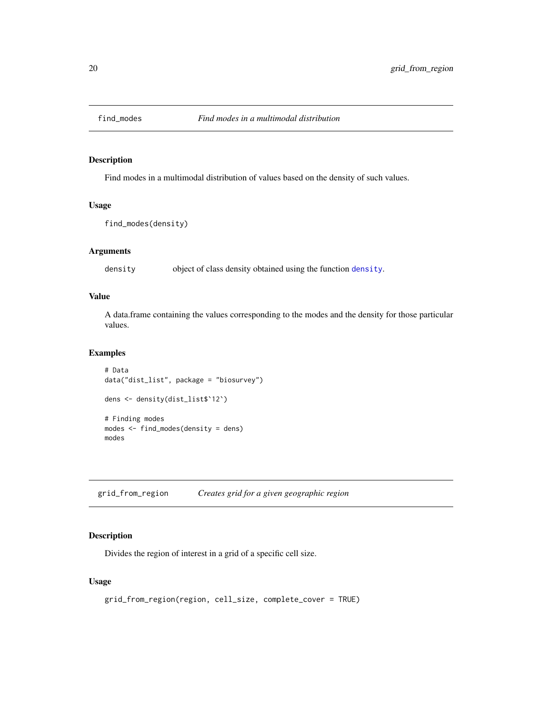<span id="page-19-1"></span><span id="page-19-0"></span>

# Description

Find modes in a multimodal distribution of values based on the density of such values.

#### Usage

```
find_modes(density)
```
# Arguments

density object of class density obtained using the function [density](#page-0-0).

# Value

A data.frame containing the values corresponding to the modes and the density for those particular values.

# Examples

```
# Data
data("dist_list", package = "biosurvey")
dens <- density(dist_list$`12`)
# Finding modes
modes <- find_modes(density = dens)
modes
```
<span id="page-19-2"></span>grid\_from\_region *Creates grid for a given geographic region*

# Description

Divides the region of interest in a grid of a specific cell size.

#### Usage

```
grid_from_region(region, cell_size, complete_cover = TRUE)
```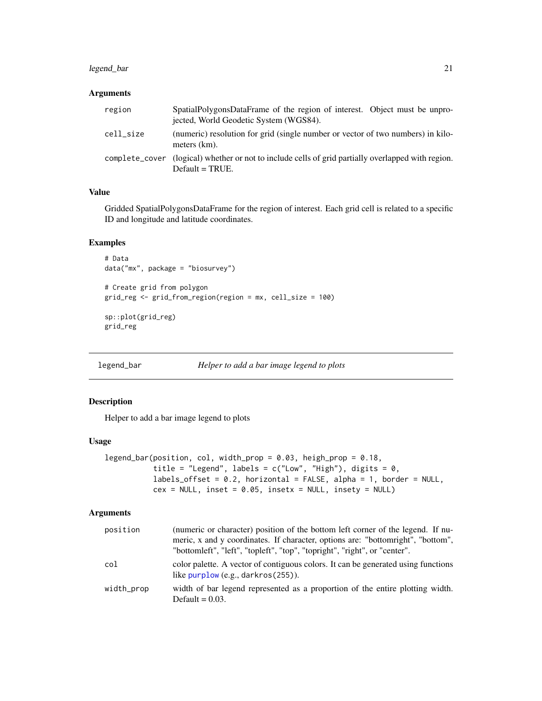# <span id="page-20-0"></span>legend\_bar 21

#### Arguments

| region         | SpatialPolygonsDataFrame of the region of interest. Object must be unpro-<br>jected, World Geodetic System (WGS84). |
|----------------|---------------------------------------------------------------------------------------------------------------------|
| cell size      | (numeric) resolution for grid (single number or vector of two numbers) in kilo-<br>meters (km).                     |
| complete_cover | (logical) whether or not to include cells of grid partially overlapped with region.<br>$Default = TRUE.$            |

# Value

Gridded SpatialPolygonsDataFrame for the region of interest. Each grid cell is related to a specific ID and longitude and latitude coordinates.

# Examples

```
# Data
data("mx", package = "biosurvey")
# Create grid from polygon
grid_reg <- grid_from_region(region = mx, cell_size = 100)
sp::plot(grid_reg)
grid_reg
```
legend\_bar *Helper to add a bar image legend to plots*

#### Description

Helper to add a bar image legend to plots

#### Usage

```
legend_bar(position, col, width_prop = 0.03, heigh_prop = 0.18,
          title = "Legend", labels = c("Low", "High"), digits = 0,labels_offset = 0.2, horizontal = FALSE, alpha = 1, border = NULL,
          cex = NULL, inset = 0.05, insetx = NULL, insety = NULL)
```

| position   | (numeric or character) position of the bottom left corner of the legend. If nu-<br>meric, x and y coordinates. If character, options are: "bottomright", "bottom",<br>"bottomleft", "left", "topleft", "top", "topright", "right", or "center". |
|------------|-------------------------------------------------------------------------------------------------------------------------------------------------------------------------------------------------------------------------------------------------|
| col        | color palette. A vector of contiguous colors. It can be generated using functions<br>like $purplow$ (e.g., darkros $(255)$ ).                                                                                                                   |
| width_prop | width of bar legend represented as a proportion of the entire plotting width.<br>Default = $0.03$ .                                                                                                                                             |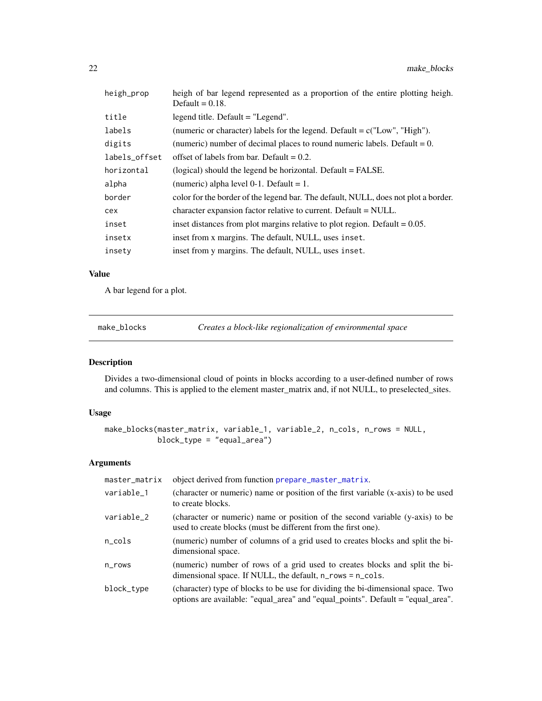<span id="page-21-0"></span>

| heigh_prop    | heigh of bar legend represented as a proportion of the entire plotting heigh.<br>Default = $0.18$ . |
|---------------|-----------------------------------------------------------------------------------------------------|
| title         | legend title. Default = "Legend".                                                                   |
| labels        | (numeric or character) labels for the legend. Default = $c("Low", "High").$                         |
| digits        | (numeric) number of decimal places to round numeric labels. Default $= 0$ .                         |
| labels_offset | offset of labels from bar. Default $= 0.2$ .                                                        |
| horizontal    | (logical) should the legend be horizontal. Default = FALSE.                                         |
| alpha         | (numeric) alpha level $0-1$ . Default = 1.                                                          |
| border        | color for the border of the legend bar. The default, NULL, does not plot a border.                  |
| cex           | character expansion factor relative to current. Default = NULL.                                     |
| inset         | inset distances from plot margins relative to plot region. Default $= 0.05$ .                       |
| insetx        | inset from x margins. The default, NULL, uses inset.                                                |
| insety        | inset from y margins. The default, NULL, uses inset.                                                |

# Value

A bar legend for a plot.

<span id="page-21-1"></span>make\_blocks *Creates a block-like regionalization of environmental space*

# Description

Divides a two-dimensional cloud of points in blocks according to a user-defined number of rows and columns. This is applied to the element master\_matrix and, if not NULL, to preselected\_sites.

## Usage

```
make_blocks(master_matrix, variable_1, variable_2, n_cols, n_rows = NULL,
           block_type = "equal_area")
```

| master_matrix  | object derived from function prepare_master_matrix.                                                                                                                |
|----------------|--------------------------------------------------------------------------------------------------------------------------------------------------------------------|
| variable_1     | (character or numeric) name or position of the first variable (x-axis) to be used<br>to create blocks.                                                             |
| variable_2     | (character or numeric) name or position of the second variable (y-axis) to be<br>used to create blocks (must be different from the first one).                     |
| $n_{\rm cols}$ | (numeric) number of columns of a grid used to creates blocks and split the bi-<br>dimensional space.                                                               |
| $n$ _rows      | (numeric) number of rows of a grid used to creates blocks and split the bi-<br>dimensional space. If NULL, the default, $n_{\text{rows}} = n_{\text{col}}$ s.      |
| block_type     | (character) type of blocks to be use for dividing the bi-dimensional space. Two<br>options are available: "equal_area" and "equal_points". Default = "equal_area". |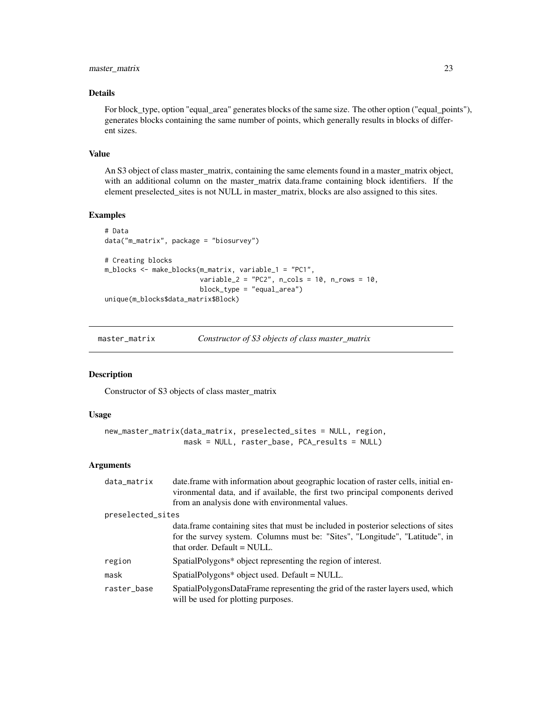# <span id="page-22-0"></span>master\_matrix 23

# Details

For block\_type, option "equal\_area" generates blocks of the same size. The other option ("equal\_points"), generates blocks containing the same number of points, which generally results in blocks of different sizes.

#### Value

An S3 object of class master\_matrix, containing the same elements found in a master\_matrix object, with an additional column on the master\_matrix data.frame containing block identifiers. If the element preselected\_sites is not NULL in master\_matrix, blocks are also assigned to this sites.

# Examples

```
# Data
data("m_matrix", package = "biosurvey")
# Creating blocks
m_blocks <- make_blocks(m_matrix, variable_1 = "PC1",
                        variable_2 = "PC2", n_cols = 10, n_rows = 10,
                        block_type = "equal_area")
unique(m_blocks$data_matrix$Block)
```
master\_matrix *Constructor of S3 objects of class master\_matrix*

# Description

Constructor of S3 objects of class master\_matrix

#### Usage

```
new_master_matrix(data_matrix, preselected_sites = NULL, region,
                 mask = NULL, raster_base, PCA_results = NULL)
```

| data_matrix       | date frame with information about geographic location of raster cells, initial en-<br>vironmental data, and if available, the first two principal components derived<br>from an analysis done with environmental values. |
|-------------------|--------------------------------------------------------------------------------------------------------------------------------------------------------------------------------------------------------------------------|
| preselected_sites |                                                                                                                                                                                                                          |
|                   | data. frame containing sites that must be included in posterior selections of sites<br>for the survey system. Columns must be: "Sites", "Longitude", "Latitude", in<br>that order. Default = NULL.                       |
| region            | SpatialPolygons* object representing the region of interest.                                                                                                                                                             |
| mask              | SpatialPolygons* object used. Default = NULL.                                                                                                                                                                            |
| raster_base       | SpatialPolygonsDataFrame representing the grid of the raster layers used, which<br>will be used for plotting purposes.                                                                                                   |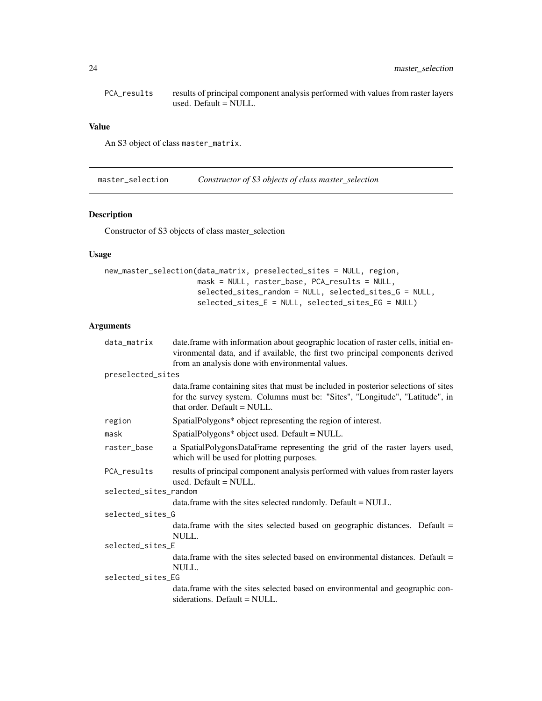<span id="page-23-0"></span>PCA\_results results of principal component analysis performed with values from raster layers used. Default = NULL.

#### Value

An S3 object of class master\_matrix.

<span id="page-23-1"></span>master\_selection *Constructor of S3 objects of class master\_selection*

#### Description

Constructor of S3 objects of class master\_selection

# Usage

```
new_master_selection(data_matrix, preselected_sites = NULL, region,
                     mask = NULL, raster_base, PCA_results = NULL,
                     selected_sites_random = NULL, selected_sites_G = NULL,
                     selected_sites_E = NULL, selected_sites_EG = NULL)
```

| data_matrix           | date frame with information about geographic location of raster cells, initial en-<br>vironmental data, and if available, the first two principal components derived                               |
|-----------------------|----------------------------------------------------------------------------------------------------------------------------------------------------------------------------------------------------|
|                       | from an analysis done with environmental values.                                                                                                                                                   |
| preselected_sites     |                                                                                                                                                                                                    |
|                       | data. frame containing sites that must be included in posterior selections of sites<br>for the survey system. Columns must be: "Sites", "Longitude", "Latitude", in<br>that order. Default = NULL. |
| region                | SpatialPolygons* object representing the region of interest.                                                                                                                                       |
| mask                  | SpatialPolygons* object used. Default = NULL.                                                                                                                                                      |
| raster_base           | a SpatialPolygonsDataFrame representing the grid of the raster layers used,<br>which will be used for plotting purposes.                                                                           |
| PCA results           | results of principal component analysis performed with values from raster layers<br>used. Default $=$ NULL.                                                                                        |
| selected_sites_random |                                                                                                                                                                                                    |
|                       | data.frame with the sites selected randomly. Default = NULL.                                                                                                                                       |
| selected_sites_G      |                                                                                                                                                                                                    |
|                       | data.frame with the sites selected based on geographic distances. Default $=$<br>NULL.                                                                                                             |
| selected_sites_E      |                                                                                                                                                                                                    |
|                       | data. frame with the sites selected based on environmental distances. Default $=$<br>NUL                                                                                                           |
| selected_sites_EG     |                                                                                                                                                                                                    |
|                       | data.frame with the sites selected based on environmental and geographic con-<br>siderations. Default $=$ NULL.                                                                                    |
|                       |                                                                                                                                                                                                    |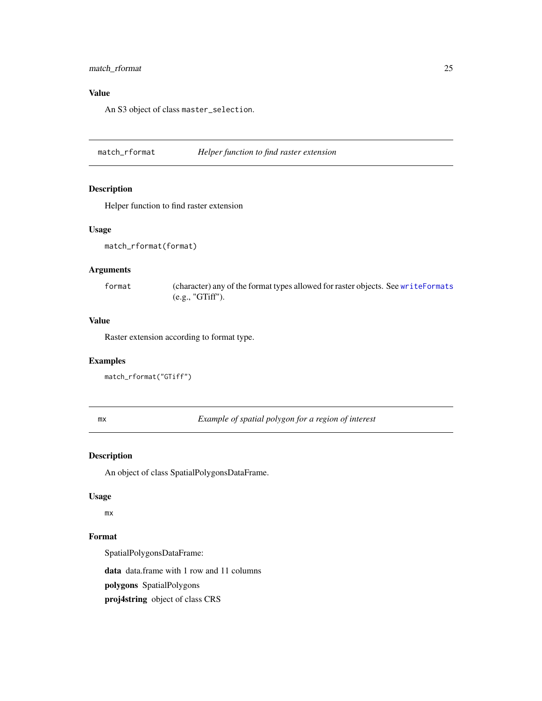# <span id="page-24-0"></span>match\_rformat 25

# Value

An S3 object of class master\_selection.

<span id="page-24-1"></span>match\_rformat *Helper function to find raster extension*

# Description

Helper function to find raster extension

# Usage

```
match_rformat(format)
```
# Arguments

format (character) any of the format types allowed for raster objects. See [writeFormats](#page-0-0) (e.g., "GTiff").

# Value

Raster extension according to format type.

#### Examples

```
match_rformat("GTiff")
```
<span id="page-24-2"></span>mx *Example of spatial polygon for a region of interest*

#### Description

An object of class SpatialPolygonsDataFrame.

#### Usage

mx

#### Format

SpatialPolygonsDataFrame:

data data.frame with 1 row and 11 columns

polygons SpatialPolygons

proj4string object of class CRS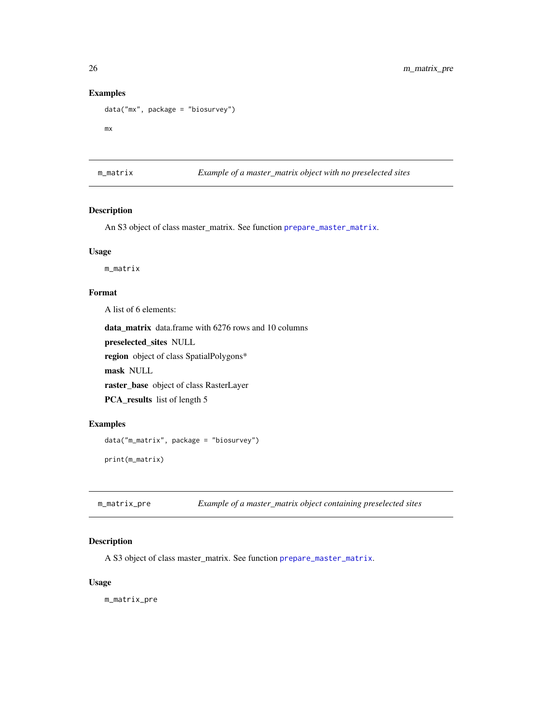# Examples

```
data("mx", package = "biosurvey")
```
mx

<span id="page-25-1"></span>m\_matrix *Example of a master\_matrix object with no preselected sites*

# Description

An S3 object of class master\_matrix. See function [prepare\\_master\\_matrix](#page-46-1).

# Usage

m\_matrix

### Format

A list of 6 elements:

data\_matrix data.frame with 6276 rows and 10 columns

preselected\_sites NULL

region object of class SpatialPolygons\*

mask NULL

raster\_base object of class RasterLayer

PCA\_results list of length 5

### Examples

```
data("m_matrix", package = "biosurvey")
print(m_matrix)
```
<span id="page-25-2"></span>m\_matrix\_pre *Example of a master\_matrix object containing preselected sites*

# Description

A S3 object of class master\_matrix. See function [prepare\\_master\\_matrix](#page-46-1).

#### Usage

m\_matrix\_pre

<span id="page-25-0"></span>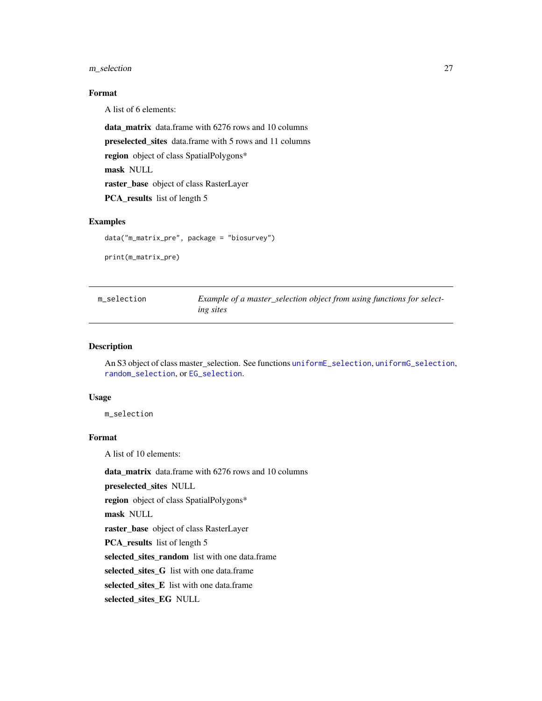#### <span id="page-26-0"></span>m\_selection 27

# Format

A list of 6 elements:

data\_matrix data.frame with 6276 rows and 10 columns preselected\_sites data.frame with 5 rows and 11 columns region object of class SpatialPolygons\* mask NULL raster\_base object of class RasterLayer

PCA\_results list of length 5

# Examples

```
data("m_matrix_pre", package = "biosurvey")
```
print(m\_matrix\_pre)

<span id="page-26-1"></span>

| m selection | Example of a master_selection object from using functions for select- |
|-------------|-----------------------------------------------------------------------|
|             | ing sites                                                             |

#### Description

An S3 object of class master\_selection. See functions [uniformE\\_selection](#page-64-1), [uniformG\\_selection](#page-66-1), [random\\_selection](#page-52-1), or [EG\\_selection](#page-12-1).

#### Usage

m\_selection

# Format

A list of 10 elements:

data\_matrix data.frame with 6276 rows and 10 columns

preselected\_sites NULL

region object of class SpatialPolygons\*

mask NULL

raster\_base object of class RasterLayer

PCA\_results list of length 5

selected\_sites\_random list with one data.frame

selected\_sites\_G list with one data.frame

selected\_sites\_E list with one data.frame

selected\_sites\_EG NULL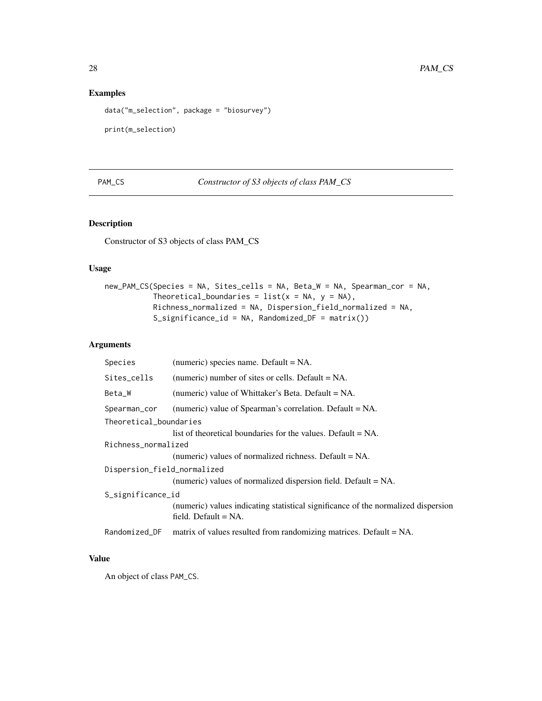# Examples

```
data("m_selection", package = "biosurvey")
```
print(m\_selection)

# PAM\_CS *Constructor of S3 objects of class PAM\_CS*

# Description

Constructor of S3 objects of class PAM\_CS

# Usage

```
new_PAM_CS(Species = NA, Sites_cells = NA, Beta_W = NA, Spearman_cor = NA,
           Theoretical_boundaries = list(x = NA, y = NA),
          Richness_normalized = NA, Dispersion_field_normalized = NA,
           S_significance_id = NA, Randomized_DF = matrix())
```
# Arguments

| Species                     | (numeric) species name. Default = NA.                                                                        |  |
|-----------------------------|--------------------------------------------------------------------------------------------------------------|--|
| Sites_cells                 | (numeric) number of sites or cells. Default $= NA$ .                                                         |  |
| Beta_W                      | (numeric) value of Whittaker's Beta. Default = NA.                                                           |  |
| Spearman_cor                | (numeric) value of Spearman's correlation. Default = NA.                                                     |  |
| Theoretical_boundaries      |                                                                                                              |  |
|                             | list of theoretical boundaries for the values. Default $= NA$ .                                              |  |
| Richness_normalized         |                                                                                                              |  |
|                             | (numeric) values of normalized richness. Default $= NA$ .                                                    |  |
| Dispersion_field_normalized |                                                                                                              |  |
|                             | (numeric) values of normalized dispersion field. Default $= NA$ .                                            |  |
| S_significance_id           |                                                                                                              |  |
|                             | (numeric) values indicating statistical significance of the normalized dispersion<br>field. Default $= NA$ . |  |
| Randomized_DF               | matrix of values resulted from randomizing matrices. Default $= NA$ .                                        |  |

# Value

An object of class PAM\_CS.

<span id="page-27-0"></span>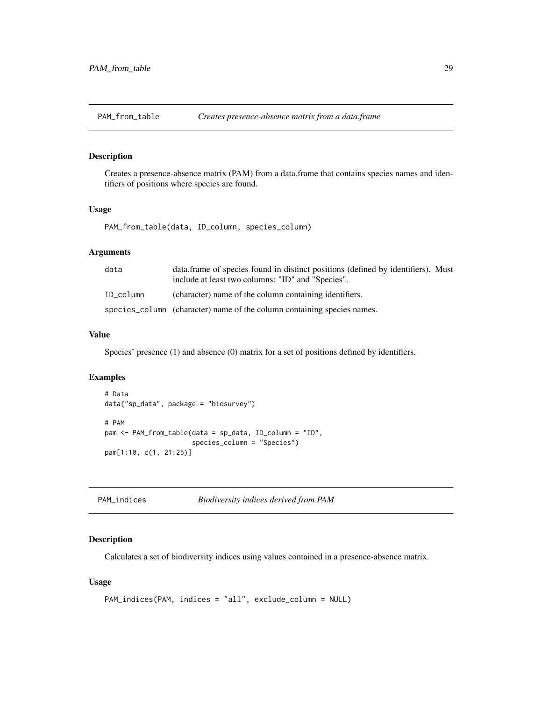<span id="page-28-2"></span><span id="page-28-0"></span>PAM\_from\_table *Creates presence-absence matrix from a data.frame*

# Description

Creates a presence-absence matrix (PAM) from a data.frame that contains species names and identifiers of positions where species are found.

#### Usage

PAM\_from\_table(data, ID\_column, species\_column)

#### Arguments

| data      | data frame of species found in distinct positions (defined by identifiers). Must<br>include at least two columns: "ID" and "Species". |
|-----------|---------------------------------------------------------------------------------------------------------------------------------------|
| ID column | (character) name of the column containing identifiers.                                                                                |
|           | species_column (character) name of the column containing species names.                                                               |

# Value

Species' presence (1) and absence (0) matrix for a set of positions defined by identifiers.

#### Examples

```
# Data
data("sp_data", package = "biosurvey")
# PAM
pam <- PAM_from_table(data = sp_data, ID_column = "ID",
                      species_column = "Species")
pam[1:10, c(1, 21:25)]
```
<span id="page-28-1"></span>

| PAM_indices | Biodiversity indices derived from PAM |  |
|-------------|---------------------------------------|--|
|-------------|---------------------------------------|--|

# Description

Calculates a set of biodiversity indices using values contained in a presence-absence matrix.

#### Usage

```
PAM_indices(PAM, indices = "all", exclude_column = NULL)
```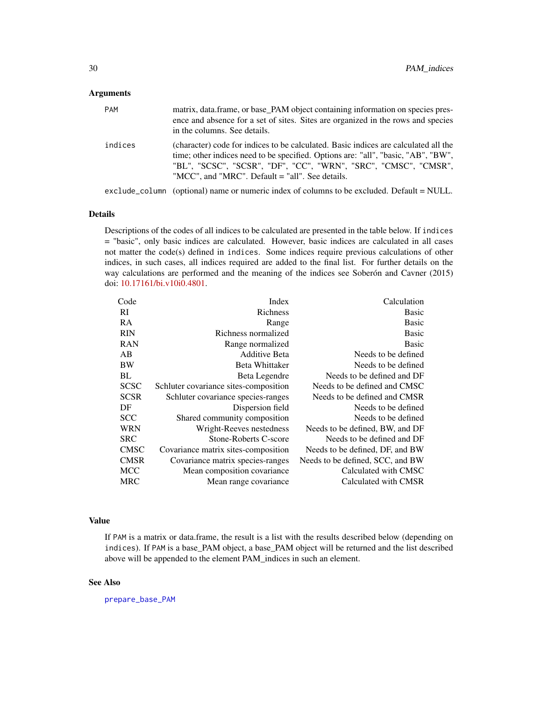#### **Arguments**

| <b>PAM</b> | matrix, data frame, or base PAM object containing information on species pres-<br>ence and absence for a set of sites. Sites are organized in the rows and species<br>in the columns. See details.                                                                                               |
|------------|--------------------------------------------------------------------------------------------------------------------------------------------------------------------------------------------------------------------------------------------------------------------------------------------------|
| indices    | (character) code for indices to be calculated. Basic indices are calculated all the<br>time; other indices need to be specified. Options are: "all", "basic, "AB", "BW",<br>"BL", "SCSC", "SCSR", "DF", "CC", "WRN", "SRC", "CMSC", "CMSR",<br>"MCC", and "MRC". Default $=$ "all". See details. |
|            | exclude_column (optional) name or numeric index of columns to be excluded. Default = NULL.                                                                                                                                                                                                       |

#### Details

Descriptions of the codes of all indices to be calculated are presented in the table below. If indices = "basic", only basic indices are calculated. However, basic indices are calculated in all cases not matter the code(s) defined in indices. Some indices require previous calculations of other indices, in such cases, all indices required are added to the final list. For further details on the way calculations are performed and the meaning of the indices see Soberón and Cavner (2015) doi: [10.17161/bi.v10i0.4801.](https://doi.org/10.17161/bi.v10i0.4801)

| Code        | Index                                 | Calculation                      |
|-------------|---------------------------------------|----------------------------------|
| RI          | <b>Richness</b>                       | <b>Basic</b>                     |
| <b>RA</b>   | Range                                 | <b>Basic</b>                     |
| <b>RIN</b>  | Richness normalized                   | <b>Basic</b>                     |
| <b>RAN</b>  | Range normalized                      | <b>Basic</b>                     |
| AB          | <b>Additive Beta</b>                  | Needs to be defined              |
| BW          | <b>Beta Whittaker</b>                 | Needs to be defined              |
| BL          | Beta Legendre                         | Needs to be defined and DF       |
| <b>SCSC</b> | Schluter covariance sites-composition | Needs to be defined and CMSC     |
| <b>SCSR</b> | Schluter covariance species-ranges    | Needs to be defined and CMSR     |
| DF          | Dispersion field                      | Needs to be defined              |
| <b>SCC</b>  | Shared community composition          | Needs to be defined              |
| <b>WRN</b>  | Wright-Reeves nestedness              | Needs to be defined, BW, and DF  |
| <b>SRC</b>  | Stone-Roberts C-score                 | Needs to be defined and DF       |
| <b>CMSC</b> | Covariance matrix sites-composition   | Needs to be defined, DF, and BW  |
| <b>CMSR</b> | Covariance matrix species-ranges      | Needs to be defined, SCC, and BW |
| <b>MCC</b>  | Mean composition covariance           | Calculated with CMSC             |
| <b>MRC</b>  | Mean range covariance                 | Calculated with CMSR             |
|             |                                       |                                  |

#### Value

If PAM is a matrix or data.frame, the result is a list with the results described below (depending on indices). If PAM is a base\_PAM object, a base\_PAM object will be returned and the list described above will be appended to the element PAM\_indices in such an element.

# See Also

[prepare\\_base\\_PAM](#page-44-1)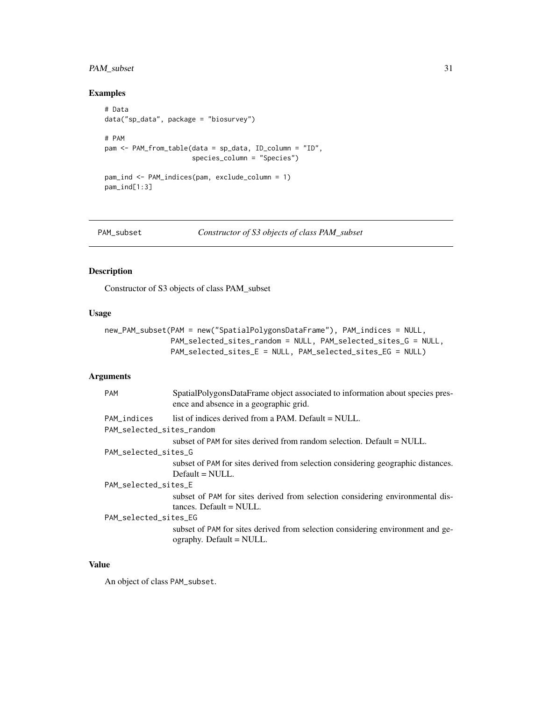# <span id="page-30-0"></span>PAM\_subset 31

# Examples

```
# Data
data("sp_data", package = "biosurvey")
# PAM
pam <- PAM_from_table(data = sp_data, ID_column = "ID",
                      species_column = "Species")
pam_ind <- PAM_indices(pam, exclude_column = 1)
pam_ind[1:3]
```
PAM\_subset *Constructor of S3 objects of class PAM\_subset*

# Description

Constructor of S3 objects of class PAM\_subset

#### Usage

```
new_PAM_subset(PAM = new("SpatialPolygonsDataFrame"), PAM_indices = NULL,
               PAM_selected_sites_random = NULL, PAM_selected_sites_G = NULL,
               PAM_selected_sites_E = NULL, PAM_selected_sites_EG = NULL)
```
#### Arguments

| <b>PAM</b>                | SpatialPolygonsDataFrame object associated to information about species pres-<br>ence and absence in a geographic grid. |  |
|---------------------------|-------------------------------------------------------------------------------------------------------------------------|--|
| PAM_indices               | list of indices derived from a PAM. Default = NULL.                                                                     |  |
| PAM_selected_sites_random |                                                                                                                         |  |
|                           | subset of PAM for sites derived from random selection. Default $=$ NULL.                                                |  |
| PAM_selected_sites_G      |                                                                                                                         |  |
|                           | subset of PAM for sites derived from selection considering geographic distances.                                        |  |
|                           | $Default = NULL.$                                                                                                       |  |
| PAM_selected_sites_E      |                                                                                                                         |  |
|                           | subset of PAM for sites derived from selection considering environmental dis-                                           |  |
|                           | $tances. Default = NULL.$                                                                                               |  |
| PAM_selected_sites_EG     |                                                                                                                         |  |
|                           | subset of PAM for sites derived from selection considering environment and ge-<br>$ographv.$ Default = NULL.            |  |

# Value

An object of class PAM\_subset.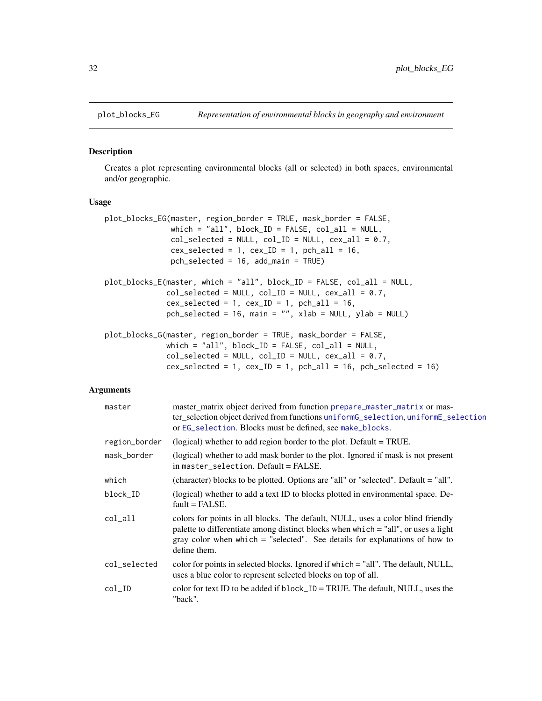<span id="page-31-1"></span><span id="page-31-0"></span>

#### Description

Creates a plot representing environmental blocks (all or selected) in both spaces, environmental and/or geographic.

#### Usage

```
plot_blocks_EG(master, region_border = TRUE, mask_border = FALSE,
               which = "all", block_ID = FALSE, col_Iall = NULL,
               col\_selected = NULL, col\_ID = NULL, cex\_all = 0.7,cex\_selected = 1, cex\_ID = 1, pch\_all = 16,pch_selected = 16, add_main = TRUE)
plot_blocks_E(master, which = "all", block_ID = FALSE, col_all = NULL,
              col\_selected = NULL, col\_ID = NULL, cex\_all = 0.7,cex\_selected = 1, cex\_ID = 1, pch\_all = 16,
              pch_selected = 16, main = "", xlab = NULL, ylab = NULL)
plot_blocks_G(master, region_border = TRUE, mask_border = FALSE,
              which = "all", block_ID = FALSE, col_all = NULL,
              col\_selected = NULL, col\_ID = NULL, cex\_all = 0.7,cex\_selected = 1, cex\_ID = 1, pch\_all = 16, pch\_selected = 16
```

| master        | master_matrix object derived from function prepare_master_matrix or mas-<br>ter_selection object derived from functions uniformG_selection, uniformE_selection<br>or EG_selection. Blocks must be defined, see make_blocks.                                           |
|---------------|-----------------------------------------------------------------------------------------------------------------------------------------------------------------------------------------------------------------------------------------------------------------------|
| region_border | (logical) whether to add region border to the plot. Default $=$ TRUE.                                                                                                                                                                                                 |
| mask_border   | (logical) whether to add mask border to the plot. Ignored if mask is not present<br>in master_selection. Default = FALSE.                                                                                                                                             |
| which         | (character) blocks to be plotted. Options are "all" or "selected". Default = "all".                                                                                                                                                                                   |
| block_ID      | (logical) whether to add a text ID to blocks plotted in environmental space. De-<br>$fault = FALSE.$                                                                                                                                                                  |
| col_all       | colors for points in all blocks. The default, NULL, uses a color blind friendly<br>palette to differentiate among distinct blocks when which = "all", or uses a light<br>gray color when which $=$ "selected". See details for explanations of how to<br>define them. |
| col_selected  | color for points in selected blocks. Ignored if which = "all". The default, NULL,<br>uses a blue color to represent selected blocks on top of all.                                                                                                                    |
| $col\_ID$     | color for text ID to be added if $block_I D = TRUE$ . The default, NULL, uses the<br>"back".                                                                                                                                                                          |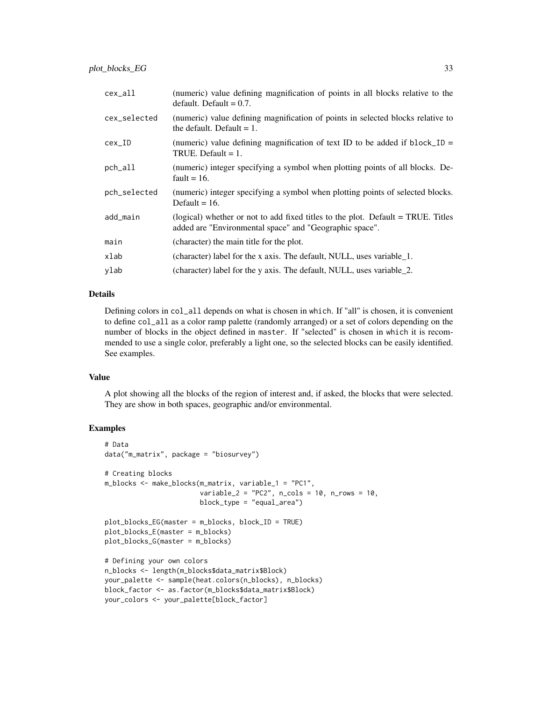| cex_all      | (numeric) value defining magnification of points in all blocks relative to the<br>default. Default $= 0.7$ .                                |
|--------------|---------------------------------------------------------------------------------------------------------------------------------------------|
| cex_selected | (numeric) value defining magnification of points in selected blocks relative to<br>the default. Default $= 1$ .                             |
| $cex\_ID$    | (numeric) value defining magnification of text ID to be added if $blockID =$<br>TRUE. Default $= 1$ .                                       |
| pch_all      | (numeric) integer specifying a symbol when plotting points of all blocks. De-<br>fault = $16$ .                                             |
| pch_selected | (numeric) integer specifying a symbol when plotting points of selected blocks.<br>Default = $16$ .                                          |
| add_main     | (logical) whether or not to add fixed titles to the plot. Default = TRUE. Titles<br>added are "Environmental space" and "Geographic space". |
| main         | (character) the main title for the plot.                                                                                                    |
| xlab         | (character) label for the x axis. The default, NULL, uses variable 1.                                                                       |
| ylab         | (character) label for the y axis. The default, NULL, uses variable 2.                                                                       |

#### Details

Defining colors in col\_all depends on what is chosen in which. If "all" is chosen, it is convenient to define col\_all as a color ramp palette (randomly arranged) or a set of colors depending on the number of blocks in the object defined in master. If "selected" is chosen in which it is recommended to use a single color, preferably a light one, so the selected blocks can be easily identified. See examples.

#### Value

A plot showing all the blocks of the region of interest and, if asked, the blocks that were selected. They are show in both spaces, geographic and/or environmental.

# Examples

```
# Data
data("m_matrix", package = "biosurvey")
# Creating blocks
m_blocks <- make_blocks(m_matrix, variable_1 = "PC1",
                        variable_2 = "PC2", n_cols = 10, n_crows = 10,block_type = "equal_area")
plot_blocks_EG(master = m_blocks, block_ID = TRUE)
plot_blocks_E(master = m_blocks)
plot_blocks_G(master = m_blocks)
# Defining your own colors
n_blocks <- length(m_blocks$data_matrix$Block)
your_palette <- sample(heat.colors(n_blocks), n_blocks)
block_factor <- as.factor(m_blocks$data_matrix$Block)
your_colors <- your_palette[block_factor]
```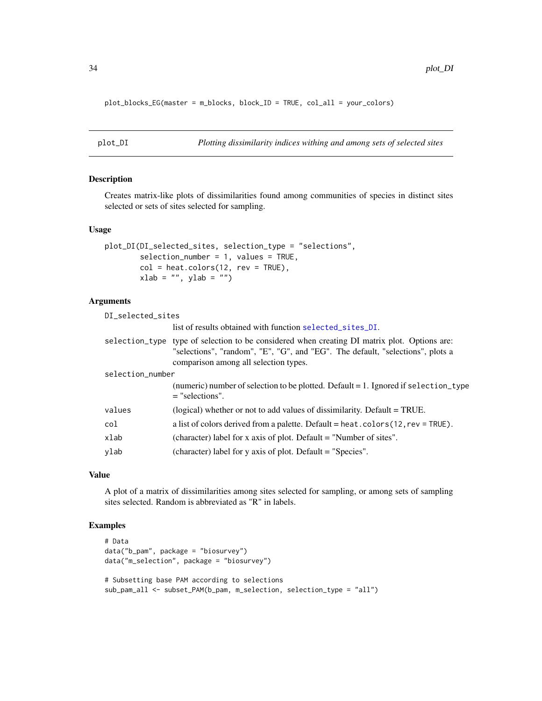plot\_blocks\_EG(master = m\_blocks, block\_ID = TRUE, col\_all = your\_colors)

```
plot_DI Plotting dissimilarity indices withing and among sets of selected sites
```
# Description

Creates matrix-like plots of dissimilarities found among communities of species in distinct sites selected or sets of sites selected for sampling.

#### Usage

```
plot_DI(DI_selected_sites, selection_type = "selections",
        selection_number = 1, values = TRUE,
       col = heatcolors(12, rev = TRUE),xlab = "", ylab = "")
```
#### Arguments

DI\_selected\_sites

list of results obtained with function [selected\\_sites\\_DI](#page-56-1).

|                  | selection_type type of selection to be considered when creating DI matrix plot. Options are:<br>"selections", "random", "E", "G", and "EG". The default, "selections", plots a |
|------------------|--------------------------------------------------------------------------------------------------------------------------------------------------------------------------------|
|                  | comparison among all selection types.                                                                                                                                          |
| selection_number |                                                                                                                                                                                |
|                  | (numeric) number of selection to be plotted. Default $= 1$ . Ignored if selection_type<br>$=$ "selections".                                                                    |
| values           | (logical) whether or not to add values of dissimilarity. Default = TRUE.                                                                                                       |
| col              | a list of colors derived from a palette. Default = heat. $color(12, rev = TRUE)$ .                                                                                             |
| xlab             | (character) label for x axis of plot. Default = "Number of sites".                                                                                                             |
| ylab             | (character) label for y axis of plot. Default = "Species".                                                                                                                     |
|                  |                                                                                                                                                                                |

#### Value

A plot of a matrix of dissimilarities among sites selected for sampling, or among sets of sampling sites selected. Random is abbreviated as "R" in labels.

# Examples

```
# Data
data("b_pam", package = "biosurvey")
data("m_selection", package = "biosurvey")
# Subsetting base PAM according to selections
sub_pam_all <- subset_PAM(b_pam, m_selection, selection_type = "all")
```
<span id="page-33-0"></span>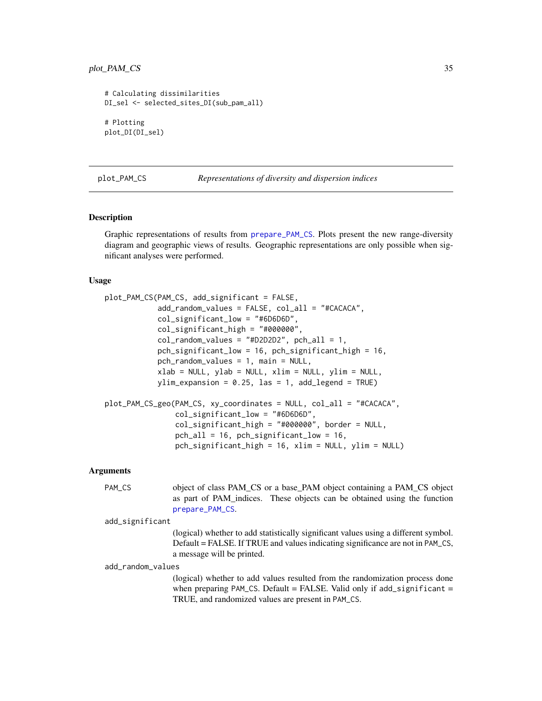#### <span id="page-34-0"></span>plot\_PAM\_CS 35

```
# Calculating dissimilarities
DI_sel <- selected_sites_DI(sub_pam_all)
# Plotting
plot_DI(DI_sel)
```
<span id="page-34-1"></span>

plot\_PAM\_CS *Representations of diversity and dispersion indices*

#### Description

Graphic representations of results from [prepare\\_PAM\\_CS](#page-48-1). Plots present the new range-diversity diagram and geographic views of results. Geographic representations are only possible when significant analyses were performed.

#### Usage

```
plot_PAM_CS(PAM_CS, add_significant = FALSE,
            add_random_values = FALSE, col_all = "#CACACA",
            col_significant_low = "#6D6D6D",
            col_significant_high = "#000000",
            col_random_values = "#D2D2D2", pch_all = 1,
            pch_significant_low = 16, pch_significant_high = 16,
            pch_random_values = 1, main = NULL,
            xlab = NULL, ylab = NULL, xlim = NULL, ylim = NULL,
            ylim_{\text{expansion}} = 0.25, las = 1, add_legend = TRUE)
plot_PAM_CS_geo(PAM_CS, xy_coordinates = NULL, col_all = "#CACACA",
                col_significant_low = "#6D6D6D",
                col_significant_high = "#000000", border = NULL,
                pch_all = 16, pch_significant_low = 16,
```
#### Arguments

PAM\_CS object of class PAM\_CS or a base\_PAM object containing a PAM\_CS object as part of PAM\_indices. These objects can be obtained using the function [prepare\\_PAM\\_CS](#page-48-1).

pch\_significant\_high = 16, xlim = NULL, ylim = NULL)

add\_significant

(logical) whether to add statistically significant values using a different symbol. Default = FALSE. If TRUE and values indicating significance are not in PAM\_CS, a message will be printed.

add\_random\_values

(logical) whether to add values resulted from the randomization process done when preparing PAM\_CS. Default = FALSE. Valid only if add\_significant = TRUE, and randomized values are present in PAM\_CS.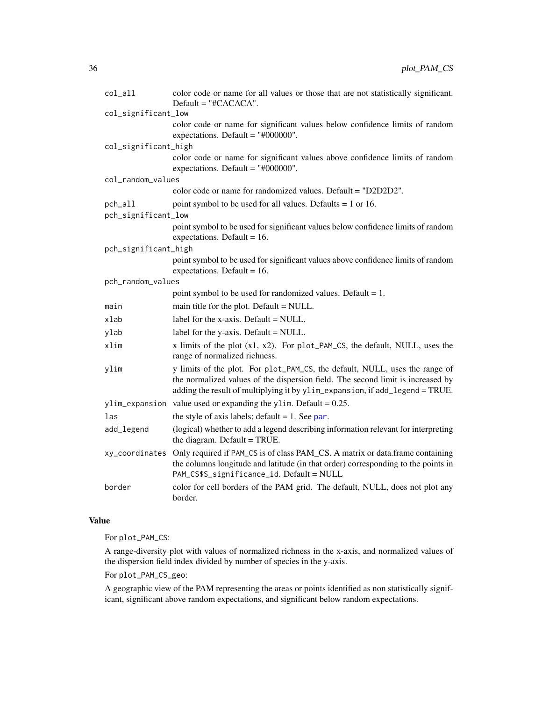| col_all              | color code or name for all values or those that are not statistically significant.<br>$Default = "#CACACA".$                                                                                                                                   |
|----------------------|------------------------------------------------------------------------------------------------------------------------------------------------------------------------------------------------------------------------------------------------|
| col_significant_low  |                                                                                                                                                                                                                                                |
|                      | color code or name for significant values below confidence limits of random<br>expectations. Default = $"#000000"$ .                                                                                                                           |
| col_significant_high |                                                                                                                                                                                                                                                |
|                      | color code or name for significant values above confidence limits of random<br>expectations. Default = $"#000000"$ .                                                                                                                           |
| col_random_values    |                                                                                                                                                                                                                                                |
|                      | color code or name for randomized values. Default = "D2D2D2".                                                                                                                                                                                  |
| pch_all              | point symbol to be used for all values. Defaults $= 1$ or 16.                                                                                                                                                                                  |
| pch_significant_low  |                                                                                                                                                                                                                                                |
|                      | point symbol to be used for significant values below confidence limits of random<br>expectations. Default = $16$ .                                                                                                                             |
| pch_significant_high |                                                                                                                                                                                                                                                |
|                      | point symbol to be used for significant values above confidence limits of random<br>expectations. Default = $16$ .                                                                                                                             |
| pch_random_values    |                                                                                                                                                                                                                                                |
|                      | point symbol to be used for randomized values. Default $= 1$ .                                                                                                                                                                                 |
| main                 | main title for the plot. Default = NULL.                                                                                                                                                                                                       |
| xlab                 | label for the x-axis. Default $=$ NULL.                                                                                                                                                                                                        |
| ylab                 | label for the y-axis. Default $=$ NULL.                                                                                                                                                                                                        |
| xlim                 | x limits of the plot $(x1, x2)$ . For plot_PAM_CS, the default, NULL, uses the<br>range of normalized richness.                                                                                                                                |
| ylim                 | y limits of the plot. For plot_PAM_CS, the default, NULL, uses the range of<br>the normalized values of the dispersion field. The second limit is increased by<br>adding the result of multiplying it by ylim_expansion, if add_legend = TRUE. |
| ylim_expansion       | value used or expanding the y1im. Default = $0.25$ .                                                                                                                                                                                           |
| las                  | the style of axis labels; default $= 1$ . See par.                                                                                                                                                                                             |
| add_legend           | (logical) whether to add a legend describing information relevant for interpreting<br>the diagram. Default = TRUE.                                                                                                                             |
|                      | xy_coordinates Only required if PAM_CS is of class PAM_CS. A matrix or data.frame containing<br>the columns longitude and latitude (in that order) corresponding to the points in<br>PAM_CS\$S_significance_id. Default = NULL                 |
| border               | color for cell borders of the PAM grid. The default, NULL, does not plot any<br>border.                                                                                                                                                        |

# Value

For plot\_PAM\_CS:

A range-diversity plot with values of normalized richness in the x-axis, and normalized values of the dispersion field index divided by number of species in the y-axis.

For plot\_PAM\_CS\_geo:

A geographic view of the PAM representing the areas or points identified as non statistically significant, significant above random expectations, and significant below random expectations.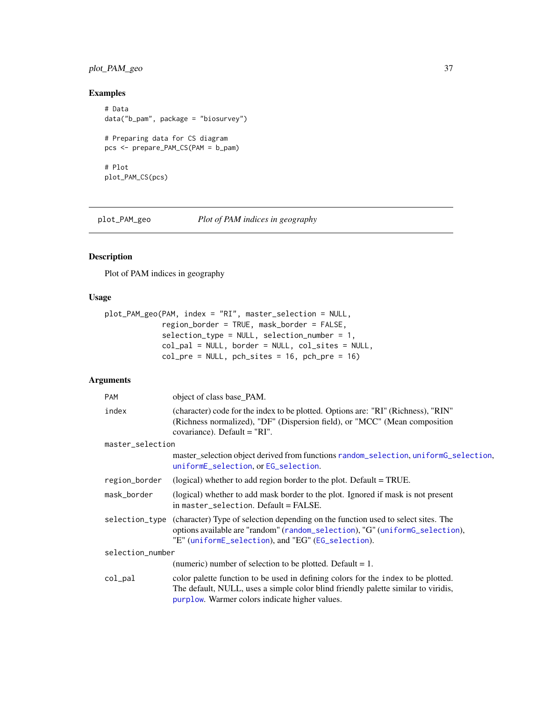## <span id="page-36-0"></span>plot\_PAM\_geo 37

## Examples

```
# Data
data("b_pam", package = "biosurvey")
# Preparing data for CS diagram
pcs <- prepare_PAM_CS(PAM = b_pam)
# Plot
plot_PAM_CS(pcs)
```
plot\_PAM\_geo *Plot of PAM indices in geography*

## Description

Plot of PAM indices in geography

## Usage

```
plot_PAM_geo(PAM, index = "RI", master_selection = NULL,
             region_border = TRUE, mask_border = FALSE,
             selection_type = NULL, selection_number = 1,
             col_pal = NULL, border = NULL, col_sites = NULL,
             col\_pre = NULL, pch\_sites = 16, pch\_pre = 16)
```

| <b>PAM</b>       | object of class base_PAM.                                                                                                                                                                                                              |  |
|------------------|----------------------------------------------------------------------------------------------------------------------------------------------------------------------------------------------------------------------------------------|--|
| index            | (character) code for the index to be plotted. Options are: "RI" (Richness), "RIN"<br>(Richness normalized), "DF" (Dispersion field), or "MCC" (Mean composition<br>covariance). Default = "RI".                                        |  |
| master_selection |                                                                                                                                                                                                                                        |  |
|                  | master_selection object derived from functions random_selection, uniformG_selection,<br>uniformE_selection, or EG_selection.                                                                                                           |  |
| region_border    | (logical) whether to add region border to the plot. Default = TRUE.                                                                                                                                                                    |  |
| mask_border      | (logical) whether to add mask border to the plot. Ignored if mask is not present<br>in master_selection. Default = FALSE.                                                                                                              |  |
|                  | selection_type (character) Type of selection depending on the function used to select sites. The<br>options available are "random" (random_selection), "G" (uniformG_selection),<br>"E" (uniformE_selection), and "EG" (EG_selection). |  |
| selection_number |                                                                                                                                                                                                                                        |  |
|                  | (numeric) number of selection to be plotted. Default $= 1$ .                                                                                                                                                                           |  |
| col_pal          | color palette function to be used in defining colors for the index to be plotted.<br>The default, NULL, uses a simple color blind friendly palette similar to viridis,<br>purplow. Warmer colors indicate higher values.               |  |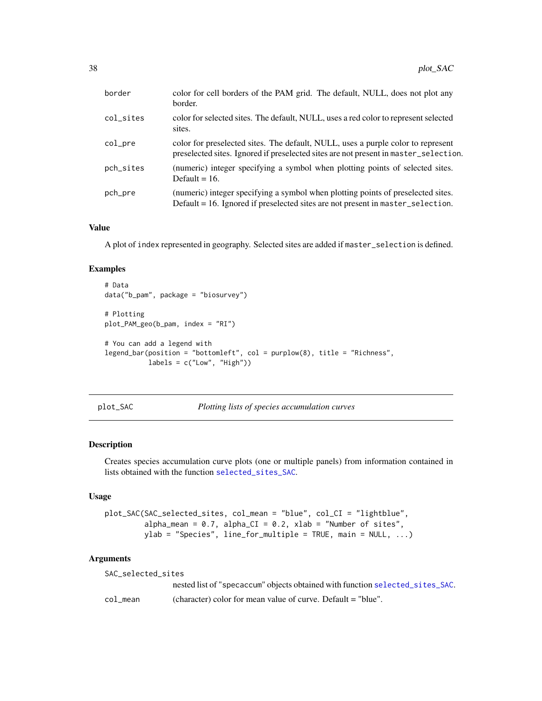<span id="page-37-0"></span>

| border    | color for cell borders of the PAM grid. The default, NULL, does not plot any<br>border.                                                                                  |  |
|-----------|--------------------------------------------------------------------------------------------------------------------------------------------------------------------------|--|
| col_sites | color for selected sites. The default, NULL, uses a red color to represent selected<br>sites.                                                                            |  |
| col_pre   | color for preselected sites. The default, NULL, uses a purple color to represent<br>preselected sites. Ignored if preselected sites are not present in master_selection. |  |
| pch_sites | (numeric) integer specifying a symbol when plotting points of selected sites.<br>Default = $16$ .                                                                        |  |
| pch_pre   | (numeric) integer specifying a symbol when plotting points of preselected sites.<br>Default = 16. Ignored if preselected sites are not present in master_selection.      |  |

#### Value

A plot of index represented in geography. Selected sites are added if master\_selection is defined.

## Examples

```
# Data
data("b_pam", package = "biosurvey")
# Plotting
plot_PAM_geo(b_pam, index = "RI")
# You can add a legend with
legend_bar(position = "bottomleft", col = purplow(8), title = "Richness",
           labels = c("Low", "High"))
```

```
plot_SAC Plotting lists of species accumulation curves
```
## Description

Creates species accumulation curve plots (one or multiple panels) from information contained in lists obtained with the function [selected\\_sites\\_SAC](#page-57-0).

#### Usage

```
plot_SAC(SAC_selected_sites, col_mean = "blue", col_CI = "lightblue",
         alpha_mean = 0.7, alpha_CI = 0.2, xlab = "Number of sites",
        ylab = "Species", line_for_multiple = TRUE, main = NULL, ...)
```

| SAC selected sites |                                                                               |  |
|--------------------|-------------------------------------------------------------------------------|--|
|                    | nested list of "specaccum" objects obtained with function selected_sites_SAC. |  |
| col mean           | (character) color for mean value of curve. Default $=$ "blue".                |  |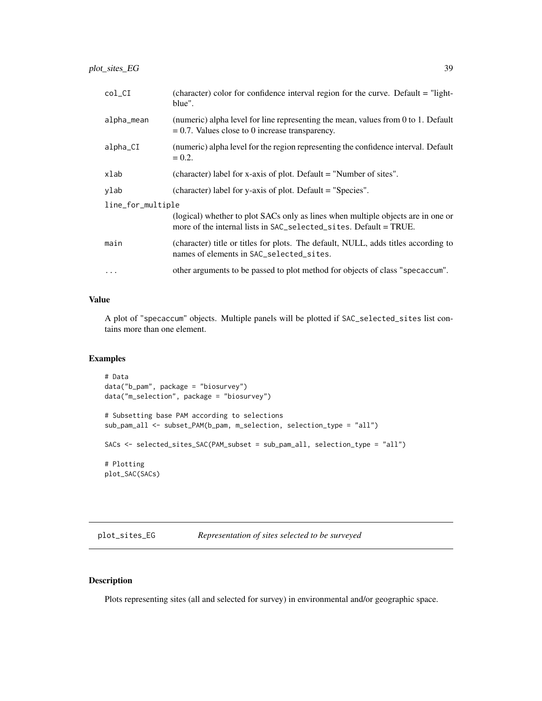<span id="page-38-1"></span>

| $col_CI$          | (character) color for confidence interval region for the curve. Default = "light-<br>blue".                                                           |  |
|-------------------|-------------------------------------------------------------------------------------------------------------------------------------------------------|--|
| alpha_mean        | (numeric) alpha level for line representing the mean, values from 0 to 1. Default<br>$= 0.7$ . Values close to 0 increase transparency.               |  |
| alpha_CI          | (numeric) alpha level for the region representing the confidence interval. Default<br>$= 0.2.$                                                        |  |
| xlab              | (character) label for x-axis of plot. Default = "Number of sites".                                                                                    |  |
| ylab              | (character) label for y-axis of plot. Default = "Species".                                                                                            |  |
| line_for_multiple |                                                                                                                                                       |  |
|                   | (logical) whether to plot SACs only as lines when multiple objects are in one or<br>more of the internal lists in SAC_selected_sites. Default = TRUE. |  |
| main              | (character) title or titles for plots. The default, NULL, adds titles according to<br>names of elements in SAC_selected_sites.                        |  |
| $\cdots$          | other arguments to be passed to plot method for objects of class "specaccum".                                                                         |  |

#### Value

A plot of "specaccum" objects. Multiple panels will be plotted if SAC\_selected\_sites list contains more than one element.

## Examples

```
# Data
data("b_pam", package = "biosurvey")
data("m_selection", package = "biosurvey")
# Subsetting base PAM according to selections
sub_pam_all <- subset_PAM(b_pam, m_selection, selection_type = "all")
SACs <- selected_sites_SAC(PAM_subset = sub_pam_all, selection_type = "all")
# Plotting
plot_SAC(SACs)
```
<span id="page-38-0"></span>plot\_sites\_EG *Representation of sites selected to be surveyed*

## Description

Plots representing sites (all and selected for survey) in environmental and/or geographic space.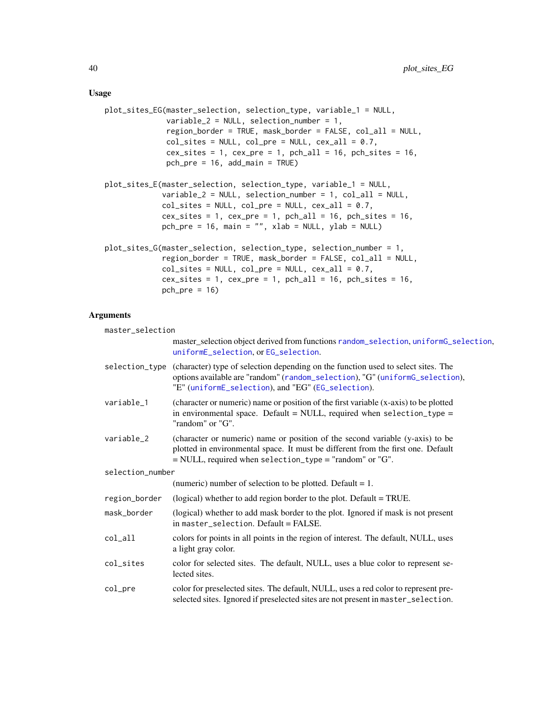#### <span id="page-39-0"></span>Usage

```
plot_sites_EG(master_selection, selection_type, variable_1 = NULL,
              variable_2 = NULL, selection_number = 1,
              region_border = TRUE, mask_border = FALSE, col_all = NULL,
              col\_sites = NULL, col\_pre = NULL, cex\_all = 0.7,
              cex\_sites = 1, cex\_pre = 1, pch\_all = 16, pch\_sites = 16,
              pch_pre = 16, add_main = TRUE)
plot_sites_E(master_selection, selection_type, variable_1 = NULL,
             variable_2 = NULL, selection_number = 1, col_all = NULL,
             col\_sites = NULL, col\_pre = NULL, cex\_all = 0.7,
             cex\_sites = 1, cex\_pre = 1, pch\_all = 16, pch\_sites = 16,
             pch_pre = 16, main = ", xlab = NULL, ylab = NULL)
plot_sites_G(master_selection, selection_type, selection_number = 1,
             region_border = TRUE, mask_border = FALSE, col_all = NULL,
             col\_sites = NULL, col\_pre = NULL, cex\_all = 0.7,
             cex\_sites = 1, cex\_pre = 1, pch\_all = 16, pch\_sites = 16,
             pch_pre = 16
```

| master_selection |                                                                                                                                                                                                                                        |  |
|------------------|----------------------------------------------------------------------------------------------------------------------------------------------------------------------------------------------------------------------------------------|--|
|                  | master_selection object derived from functions random_selection, uniformG_selection,<br>uniformE_selection, or EG_selection.                                                                                                           |  |
|                  | selection_type (character) type of selection depending on the function used to select sites. The<br>options available are "random" (random_selection), "G" (uniformG_selection),<br>"E" (uniformE_selection), and "EG" (EG_selection). |  |
| variable 1       | (character or numeric) name or position of the first variable (x-axis) to be plotted<br>in environmental space. Default = NULL, required when selection_type =<br>"random" or "G".                                                     |  |
| variable_2       | (character or numeric) name or position of the second variable (y-axis) to be<br>plotted in environmental space. It must be different from the first one. Default<br>$=$ NULL, required when selection_type = "random" or "G".         |  |
| selection number |                                                                                                                                                                                                                                        |  |
|                  | (numeric) number of selection to be plotted. Default $= 1$ .                                                                                                                                                                           |  |
| region_border    | (logical) whether to add region border to the plot. Default = TRUE.                                                                                                                                                                    |  |
| mask border      | (logical) whether to add mask border to the plot. Ignored if mask is not present<br>in master_selection. Default = FALSE.                                                                                                              |  |
| col_all          | colors for points in all points in the region of interest. The default, NULL, uses<br>a light gray color.                                                                                                                              |  |
| col_sites        | color for selected sites. The default, NULL, uses a blue color to represent se-<br>lected sites.                                                                                                                                       |  |
| col_pre          | color for preselected sites. The default, NULL, uses a red color to represent pre-<br>selected sites. Ignored if preselected sites are not present in master_selection.                                                                |  |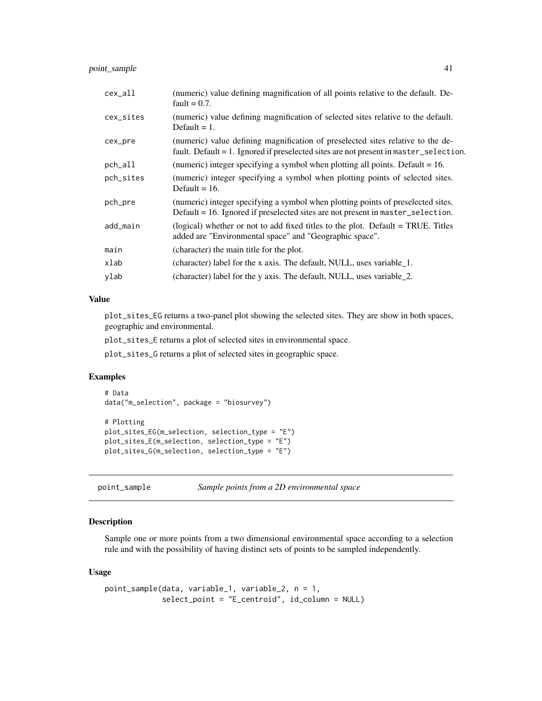## <span id="page-40-0"></span>point\_sample 41

| cex_all   | (numeric) value defining magnification of all points relative to the default. De-<br>fault = $0.7$ .                                                                     |  |
|-----------|--------------------------------------------------------------------------------------------------------------------------------------------------------------------------|--|
| cex_sites | (numeric) value defining magnification of selected sites relative to the default.<br>Default $= 1$ .                                                                     |  |
| cex_pre   | (numeric) value defining magnification of preselected sites relative to the de-<br>fault. Default = 1. Ignored if preselected sites are not present in master_selection. |  |
| pch_all   | (numeric) integer specifying a symbol when plotting all points. Default $= 16$ .                                                                                         |  |
| pch_sites | (numeric) integer specifying a symbol when plotting points of selected sites.<br>Default = $16$ .                                                                        |  |
| pch_pre   | (numeric) integer specifying a symbol when plotting points of preselected sites.<br>Default = 16. Ignored if preselected sites are not present in master_selection.      |  |
| add_main  | (logical) whether or not to add fixed titles to the plot. Default = TRUE. Titles<br>added are "Environmental space" and "Geographic space".                              |  |
| main      | (character) the main title for the plot.                                                                                                                                 |  |
| xlab      | (character) label for the x axis. The default, NULL, uses variable 1.                                                                                                    |  |
| ylab      | (character) label for the y axis. The default, NULL, uses variable_2.                                                                                                    |  |

#### Value

plot\_sites\_EG returns a two-panel plot showing the selected sites. They are show in both spaces, geographic and environmental.

plot\_sites\_E returns a plot of selected sites in environmental space.

plot\_sites\_G returns a plot of selected sites in geographic space.

## Examples

```
# Data
data("m_selection", package = "biosurvey")
```

```
# Plotting
plot_sites_EG(m_selection, selection_type = "E")
plot_sites_E(m_selection, selection_type = "E")
plot_sites_G(m_selection, selection_type = "E")
```
point\_sample *Sample points from a 2D environmental space*

## Description

Sample one or more points from a two dimensional environmental space according to a selection rule and with the possibility of having distinct sets of points to be sampled independently.

#### Usage

```
point_sample(data, variable_1, variable_2, n = 1,
             select_point = "E_centroid", id_column = NULL)
```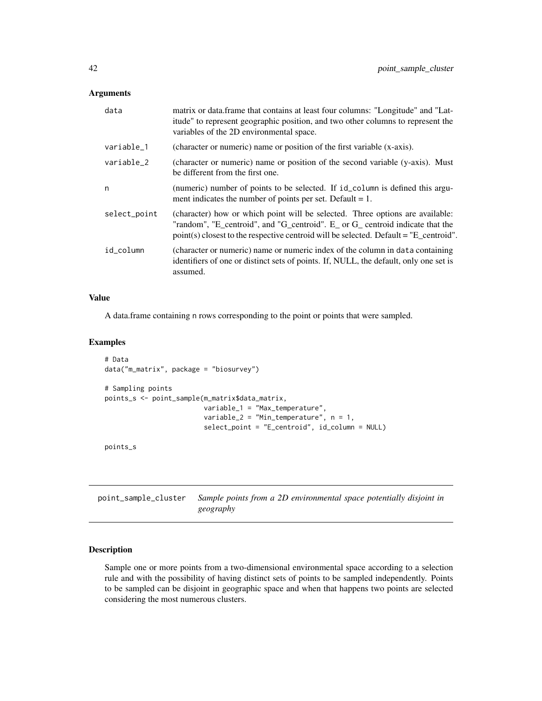#### Arguments

| data         | matrix or data.frame that contains at least four columns: "Longitude" and "Lat-<br>itude" to represent geographic position, and two other columns to represent the<br>variables of the 2D environmental space.                                           |  |
|--------------|----------------------------------------------------------------------------------------------------------------------------------------------------------------------------------------------------------------------------------------------------------|--|
| variable_1   | (character or numeric) name or position of the first variable (x-axis).                                                                                                                                                                                  |  |
| variable_2   | (character or numeric) name or position of the second variable (y-axis). Must<br>be different from the first one.                                                                                                                                        |  |
| n            | (numeric) number of points to be selected. If id_column is defined this argu-<br>ment indicates the number of points per set. Default $= 1$ .                                                                                                            |  |
| select_point | (character) how or which point will be selected. Three options are available:<br>"random", "E_centroid", and "G_centroid". E_ or G_centroid indicate that the<br>$point(s)$ closest to the respective centroid will be selected. Default = "E_centroid". |  |
| id_column    | (character or numeric) name or numeric index of the column in data containing<br>identifiers of one or distinct sets of points. If, NULL, the default, only one set is<br>assumed.                                                                       |  |

## Value

A data.frame containing n rows corresponding to the point or points that were sampled.

#### Examples

```
# Data
data("m_matrix", package = "biosurvey")
# Sampling points
points_s <- point_sample(m_matrix$data_matrix,
                        variable_1 = "Max_temperature",
                         variable_2 = "Min_temperature", n = 1,
                         select_point = "E_centroid", id_column = NULL)
```
points\_s

point\_sample\_cluster *Sample points from a 2D environmental space potentially disjoint in geography*

## Description

Sample one or more points from a two-dimensional environmental space according to a selection rule and with the possibility of having distinct sets of points to be sampled independently. Points to be sampled can be disjoint in geographic space and when that happens two points are selected considering the most numerous clusters.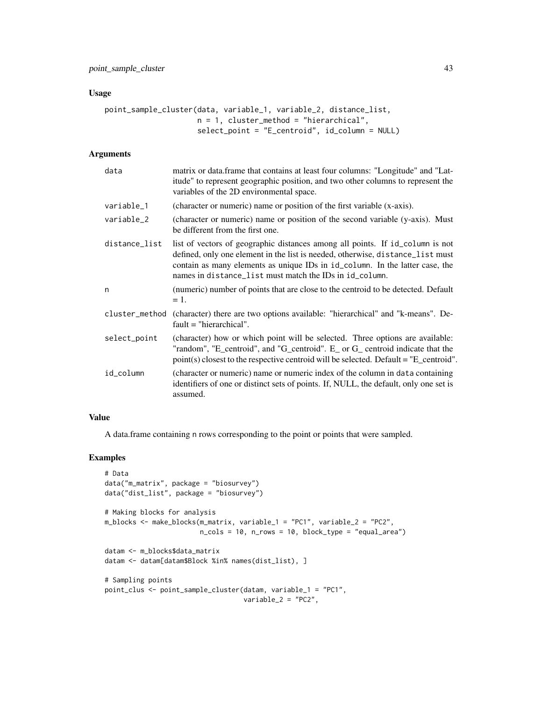#### Usage

```
point_sample_cluster(data, variable_1, variable_2, distance_list,
                     n = 1, cluster_method = "hierarchical",
                     select_point = "E_centroid", id_column = NULL)
```
## Arguments

| data           | matrix or data.frame that contains at least four columns: "Longitude" and "Lat-<br>itude" to represent geographic position, and two other columns to represent the<br>variables of the 2D environmental space.                                                                                             |  |
|----------------|------------------------------------------------------------------------------------------------------------------------------------------------------------------------------------------------------------------------------------------------------------------------------------------------------------|--|
| variable_1     | (character or numeric) name or position of the first variable (x-axis).                                                                                                                                                                                                                                    |  |
| variable_2     | (character or numeric) name or position of the second variable (y-axis). Must<br>be different from the first one.                                                                                                                                                                                          |  |
| distance_list  | list of vectors of geographic distances among all points. If id_column is not<br>defined, only one element in the list is needed, otherwise, distance_list must<br>contain as many elements as unique IDs in id_column. In the latter case, the<br>names in distance_list must match the IDs in id_column. |  |
| n              | (numeric) number of points that are close to the centroid to be detected. Default<br>$=$ 1.                                                                                                                                                                                                                |  |
| cluster_method | (character) there are two options available: "hierarchical" and "k-means". De-<br>$fault = "hierarchical".$                                                                                                                                                                                                |  |
| select_point   | (character) how or which point will be selected. Three options are available:<br>"random", "E_centroid", and "G_centroid". E_ or G_ centroid indicate that the<br>$point(s)$ closest to the respective centroid will be selected. Default = "E_centroid".                                                  |  |
| id_column      | (character or numeric) name or numeric index of the column in data containing<br>identifiers of one or distinct sets of points. If, NULL, the default, only one set is<br>assumed.                                                                                                                         |  |

## Value

A data.frame containing n rows corresponding to the point or points that were sampled.

## Examples

```
# Data
data("m_matrix", package = "biosurvey")
data("dist_list", package = "biosurvey")
# Making blocks for analysis
m_blocks <- make_blocks(m_matrix, variable_1 = "PC1", variable_2 = "PC2",
                       n_cols = 10, n_rows = 10, block_type = "equal_area")
datam <- m_blocks$data_matrix
datam <- datam[datam$Block %in% names(dist_list), ]
# Sampling points
point_clus <- point_sample_cluster(datam, variable_1 = "PC1",
                                   variable_2 = "PC2",
```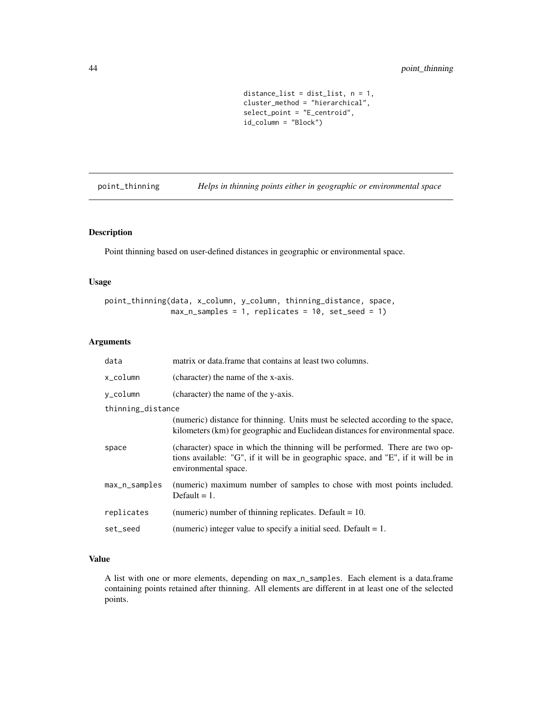```
distance_list = dist_list, n = 1,
cluster_method = "hierarchical",
select_point = "E_centroid",
id_column = "Block")
```
point\_thinning *Helps in thinning points either in geographic or environmental space*

## Description

Point thinning based on user-defined distances in geographic or environmental space.

## Usage

```
point_thinning(data, x_column, y_column, thinning_distance, space,
               max_n samples = 1, replicates = 10, set_seed = 1)
```
## Arguments

| data              | matrix or data frame that contains at least two columns.                                                                                                                                   |  |
|-------------------|--------------------------------------------------------------------------------------------------------------------------------------------------------------------------------------------|--|
| $x_{\rm \_colum}$ | (character) the name of the x-axis.                                                                                                                                                        |  |
| y_column          | (character) the name of the y-axis.                                                                                                                                                        |  |
| thinning_distance |                                                                                                                                                                                            |  |
|                   | (numeric) distance for thinning. Units must be selected according to the space,<br>kilometers (km) for geographic and Euclidean distances for environmental space.                         |  |
| space             | (character) space in which the thinning will be performed. There are two op-<br>tions available: "G", if it will be in geographic space, and "E", if it will be in<br>environmental space. |  |
| max_n_samples     | (numeric) maximum number of samples to chose with most points included.<br>Default $= 1$ .                                                                                                 |  |
| replicates        | (numeric) number of thinning replicates. Default $= 10$ .                                                                                                                                  |  |
| set_seed          | (numeric) integer value to specify a initial seed. Default $= 1$ .                                                                                                                         |  |

## Value

A list with one or more elements, depending on max\_n\_samples. Each element is a data.frame containing points retained after thinning. All elements are different in at least one of the selected points.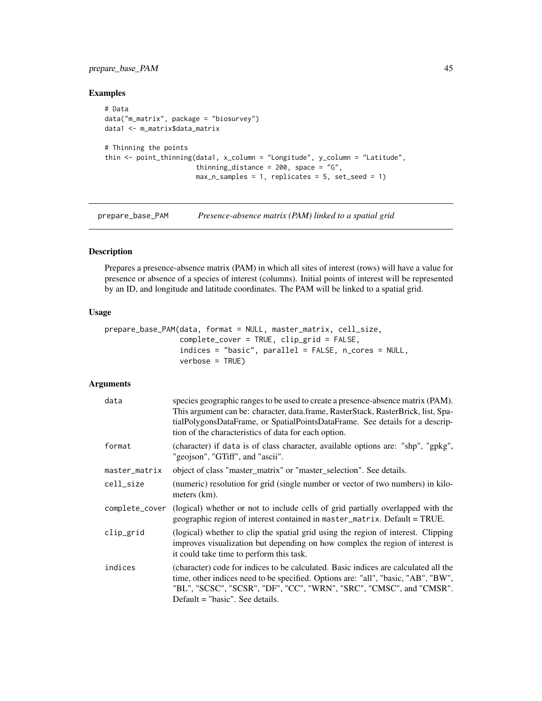## prepare\_base\_PAM 45

## Examples

```
# Data
data("m_matrix", package = "biosurvey")
data1 <- m_matrix$data_matrix
# Thinning the points
thin <- point_thinning(data1, x_column = "Longitude", y_column = "Latitude",
                       thinning_distance = 200, space = "G",
                       max_n samples = 1, replicates = 5, set_seed = 1)
```
<span id="page-44-0"></span>prepare\_base\_PAM *Presence-absence matrix (PAM) linked to a spatial grid*

## Description

Prepares a presence-absence matrix (PAM) in which all sites of interest (rows) will have a value for presence or absence of a species of interest (columns). Initial points of interest will be represented by an ID, and longitude and latitude coordinates. The PAM will be linked to a spatial grid.

#### Usage

```
prepare_base_PAM(data, format = NULL, master_matrix, cell_size,
                 complete_cover = TRUE, clip_grid = FALSE,
                 indices = "basic", parallel = FALSE, n_cores = NULL,
                 verbose = TRUE)
```

| data           | species geographic ranges to be used to create a presence-absence matrix (PAM).<br>This argument can be: character, data.frame, RasterStack, RasterBrick, list, Spa-<br>tialPolygonsDataFrame, or SpatialPointsDataFrame. See details for a descrip-<br>tion of the characteristics of data for each option. |  |
|----------------|--------------------------------------------------------------------------------------------------------------------------------------------------------------------------------------------------------------------------------------------------------------------------------------------------------------|--|
| format         | (character) if data is of class character, available options are: "shp", "gpkg",<br>"geojson", "GTiff", and "ascii".                                                                                                                                                                                         |  |
| master_matrix  | object of class "master_matrix" or "master_selection". See details.                                                                                                                                                                                                                                          |  |
| cell_size      | (numeric) resolution for grid (single number or vector of two numbers) in kilo-<br>meters (km).                                                                                                                                                                                                              |  |
| complete_cover | (logical) whether or not to include cells of grid partially overlapped with the<br>geographic region of interest contained in master_matrix. Default = TRUE.                                                                                                                                                 |  |
| clip_grid      | (logical) whether to clip the spatial grid using the region of interest. Clipping<br>improves visualization but depending on how complex the region of interest is<br>it could take time to perform this task.                                                                                               |  |
| indices        | (character) code for indices to be calculated. Basic indices are calculated all the<br>time, other indices need to be specified. Options are: "all", "basic, "AB", "BW",<br>"BL", "SCSC", "SCSR", "DF", "CC", "WRN", "SRC", "CMSC", and "CMSR".<br>Default $=$ "basic". See details.                         |  |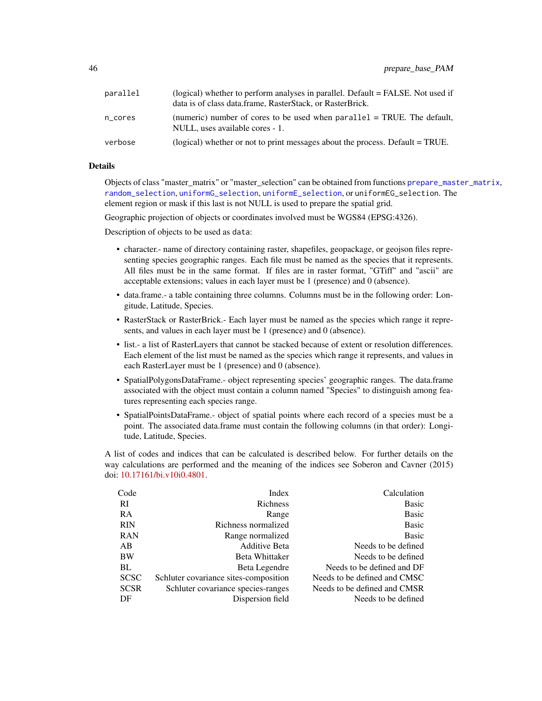| parallel | (logical) whether to perform analyses in parallel. Default = FALSE. Not used if<br>data is of class data frame, RasterStack, or RasterBrick. |  |
|----------|----------------------------------------------------------------------------------------------------------------------------------------------|--|
| n cores  | (numeric) number of cores to be used when $parallel = TRUE$ . The default,<br>NULL, uses available cores - 1.                                |  |
| verbose  | (logical) whether or not to print messages about the process. Default = TRUE.                                                                |  |

## Details

Objects of class "master\_matrix" or "master\_selection" can be obtained from functions [prepare\\_master\\_matrix](#page-46-0), [random\\_selection](#page-52-0), [uniformG\\_selection](#page-66-0), [uniformE\\_selection](#page-64-0), or uniformEG\_selection. The element region or mask if this last is not NULL is used to prepare the spatial grid.

Geographic projection of objects or coordinates involved must be WGS84 (EPSG:4326).

Description of objects to be used as data:

- character.- name of directory containing raster, shapefiles, geopackage, or geojson files representing species geographic ranges. Each file must be named as the species that it represents. All files must be in the same format. If files are in raster format, "GTiff" and "ascii" are acceptable extensions; values in each layer must be 1 (presence) and 0 (absence).
- data.frame.- a table containing three columns. Columns must be in the following order: Longitude, Latitude, Species.
- RasterStack or RasterBrick.- Each layer must be named as the species which range it represents, and values in each layer must be 1 (presence) and 0 (absence).
- list.- a list of RasterLayers that cannot be stacked because of extent or resolution differences. Each element of the list must be named as the species which range it represents, and values in each RasterLayer must be 1 (presence) and 0 (absence).
- SpatialPolygonsDataFrame.- object representing species' geographic ranges. The data.frame associated with the object must contain a column named "Species" to distinguish among features representing each species range.
- SpatialPointsDataFrame.- object of spatial points where each record of a species must be a point. The associated data.frame must contain the following columns (in that order): Longitude, Latitude, Species.

A list of codes and indices that can be calculated is described below. For further details on the way calculations are performed and the meaning of the indices see Soberon and Cavner (2015) doi: [10.17161/bi.v10i0.4801.](https://doi.org/10.17161/bi.v10i0.4801)

| Code        | Index                                 | Calculation                  |
|-------------|---------------------------------------|------------------------------|
| <b>RI</b>   | Richness                              | <b>Basic</b>                 |
| <b>RA</b>   | Range                                 | <b>Basic</b>                 |
| <b>RIN</b>  | Richness normalized                   | <b>Basic</b>                 |
| <b>RAN</b>  | Range normalized                      | <b>Basic</b>                 |
| AB          | <b>Additive Beta</b>                  | Needs to be defined          |
| BW          | Beta Whittaker                        | Needs to be defined          |
| BL.         | Beta Legendre                         | Needs to be defined and DF   |
| <b>SCSC</b> | Schluter covariance sites-composition | Needs to be defined and CMSC |
| <b>SCSR</b> | Schluter covariance species-ranges    | Needs to be defined and CMSR |
| DF          | Dispersion field                      | Needs to be defined          |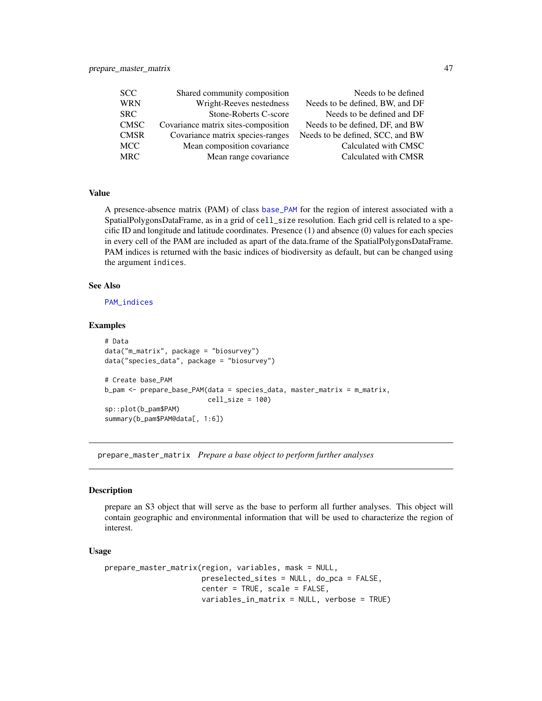<span id="page-46-1"></span>

| Needs to be defined              |
|----------------------------------|
| Needs to be defined, BW, and DF  |
| Needs to be defined and DF       |
| Needs to be defined, DF, and BW  |
| Needs to be defined, SCC, and BW |
| Calculated with CMSC             |
| Calculated with CMSR             |
|                                  |

## Value

A presence-absence matrix (PAM) of class [base\\_PAM](#page-4-0) for the region of interest associated with a SpatialPolygonsDataFrame, as in a grid of cell\_size resolution. Each grid cell is related to a specific ID and longitude and latitude coordinates. Presence (1) and absence (0) values for each species in every cell of the PAM are included as apart of the data.frame of the SpatialPolygonsDataFrame. PAM indices is returned with the basic indices of biodiversity as default, but can be changed using the argument indices.

#### See Also

[PAM\\_indices](#page-28-0)

#### Examples

```
# Data
data("m_matrix", package = "biosurvey")
data("species_data", package = "biosurvey")
# Create base_PAM
b_pam <- prepare_base_PAM(data = species_data, master_matrix = m_matrix,
                          cell_size = 100)
sp::plot(b_pam$PAM)
summary(b_pam$PAM@data[, 1:6])
```
<span id="page-46-0"></span>prepare\_master\_matrix *Prepare a base object to perform further analyses*

#### Description

prepare an S3 object that will serve as the base to perform all further analyses. This object will contain geographic and environmental information that will be used to characterize the region of interest.

#### Usage

```
prepare_master_matrix(region, variables, mask = NULL,
                      preselected_sites = NULL, do_pca = FALSE,
                      center = TRUE, scale = FALSE,
                      variables_in_matrix = NULL, verbose = TRUE)
```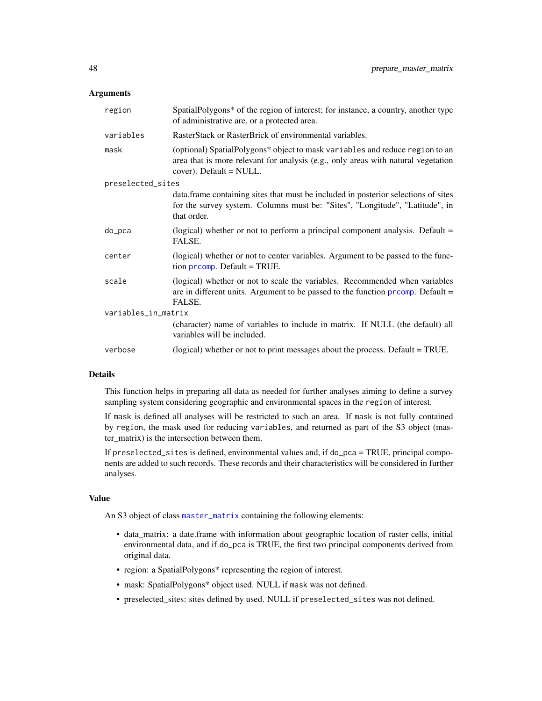#### <span id="page-47-0"></span>**Arguments**

| region              | SpatialPolygons* of the region of interest; for instance, a country, another type<br>of administrative are, or a protected area.                                                                |  |
|---------------------|-------------------------------------------------------------------------------------------------------------------------------------------------------------------------------------------------|--|
| variables           | RasterStack or RasterBrick of environmental variables.                                                                                                                                          |  |
| mask                | (optional) SpatialPolygons* object to mask variables and reduce region to an<br>area that is more relevant for analysis (e.g., only areas with natural vegetation<br>$cover)$ . Default = NULL. |  |
| preselected_sites   |                                                                                                                                                                                                 |  |
|                     | data. frame containing sites that must be included in posterior selections of sites<br>for the survey system. Columns must be: "Sites", "Longitude", "Latitude", in<br>that order.              |  |
| do_pca              | (logical) whether or not to perform a principal component analysis. Default $=$<br>FALSE.                                                                                                       |  |
| center              | (logical) whether or not to center variables. Argument to be passed to the func-<br>tion $\mathsf{prcomp}$ . Default = TRUE.                                                                    |  |
| scale               | (logical) whether or not to scale the variables. Recommended when variables<br>are in different units. Argument to be passed to the function $\frac{1}{1}$ promp. Default =<br>FALSE.           |  |
| variables_in_matrix |                                                                                                                                                                                                 |  |
|                     | (character) name of variables to include in matrix. If NULL (the default) all<br>variables will be included.                                                                                    |  |
| verbose             | (logical) whether or not to print messages about the process. Default = TRUE.                                                                                                                   |  |

#### Details

This function helps in preparing all data as needed for further analyses aiming to define a survey sampling system considering geographic and environmental spaces in the region of interest.

If mask is defined all analyses will be restricted to such an area. If mask is not fully contained by region, the mask used for reducing variables, and returned as part of the S3 object (master\_matrix) is the intersection between them.

If preselected\_sites is defined, environmental values and, if do\_pca = TRUE, principal components are added to such records. These records and their characteristics will be considered in further analyses.

#### Value

An S3 object of class [master\\_matrix](#page-22-0) containing the following elements:

- data\_matrix: a date.frame with information about geographic location of raster cells, initial environmental data, and if do\_pca is TRUE, the first two principal components derived from original data.
- region: a SpatialPolygons\* representing the region of interest.
- mask: SpatialPolygons\* object used. NULL if mask was not defined.
- preselected\_sites: sites defined by used. NULL if preselected\_sites was not defined.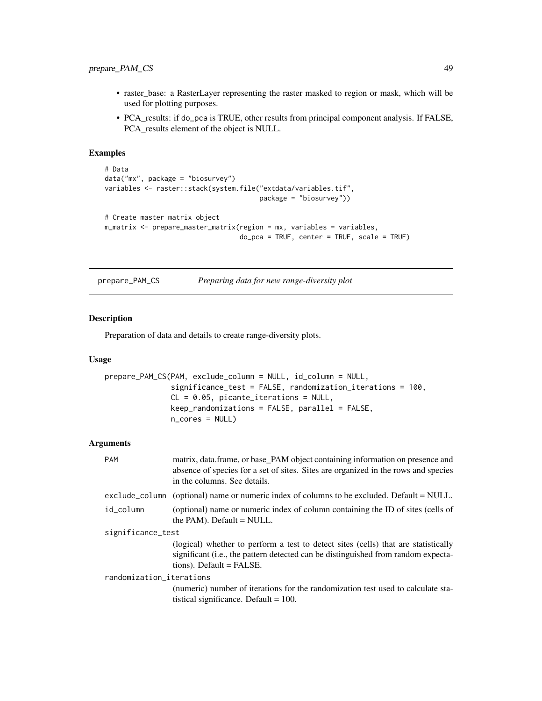## prepare\_PAM\_CS 49

- raster\_base: a RasterLayer representing the raster masked to region or mask, which will be used for plotting purposes.
- PCA\_results: if do\_pca is TRUE, other results from principal component analysis. If FALSE, PCA\_results element of the object is NULL.

## Examples

```
# Data
data("mx", package = "biosurvey")
variables <- raster::stack(system.file("extdata/variables.tif",
                                       package = "biosurvey"))
# Create master matrix object
m_matrix <- prepare_master_matrix(region = mx, variables = variables,
                                  do_pca = TRUE, center = TRUE, scale = TRUE)
```

| prepare_PAM_CS | Preparing data for new range-diversity plot |  |
|----------------|---------------------------------------------|--|
|                |                                             |  |

#### Description

Preparation of data and details to create range-diversity plots.

#### Usage

```
prepare_PAM_CS(PAM, exclude_column = NULL, id_column = NULL,
               significance_test = FALSE, randomization_iterations = 100,
               CL = 0.05, picante_iterations = NULL,
               keep_randomizations = FALSE, parallel = FALSE,
               n_cores = NULL)
```

| <b>PAM</b>               | matrix, data.frame, or base_PAM object containing information on presence and<br>absence of species for a set of sites. Sites are organized in the rows and species<br>in the columns. See details.    |  |
|--------------------------|--------------------------------------------------------------------------------------------------------------------------------------------------------------------------------------------------------|--|
|                          | exclude_column (optional) name or numeric index of columns to be excluded. Default = NULL.                                                                                                             |  |
| id_column                | (optional) name or numeric index of column containing the ID of sites (cells of<br>the PAM). Default $=$ NULL.                                                                                         |  |
| significance_test        |                                                                                                                                                                                                        |  |
|                          | (logical) whether to perform a test to detect sites (cells) that are statistically<br>significant (i.e., the pattern detected can be distinguished from random expecta-<br>$tions$ ). Default = FALSE. |  |
| randomization_iterations |                                                                                                                                                                                                        |  |
|                          | (numeric) number of iterations for the randomization test used to calculate sta-<br>tistical significance. Default = $100$ .                                                                           |  |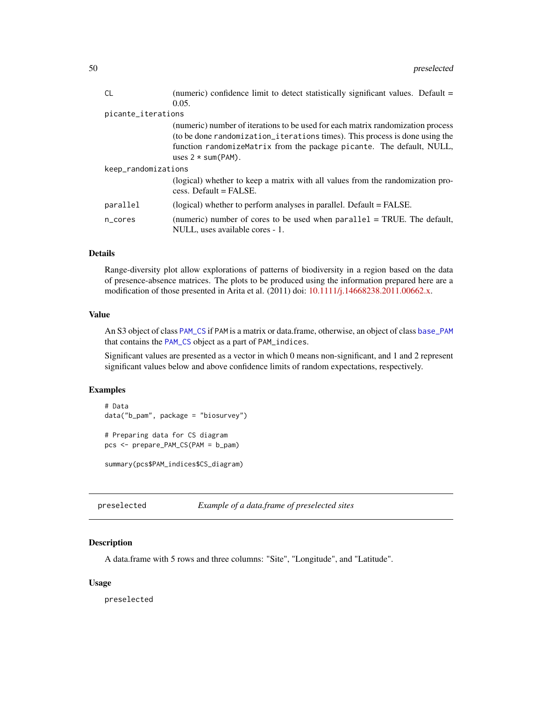<span id="page-49-0"></span>

| (numeric) confidence limit to detect statistically significant values. Default =                              |  |  |
|---------------------------------------------------------------------------------------------------------------|--|--|
| 0.05.                                                                                                         |  |  |
| picante_iterations                                                                                            |  |  |
| (numeric) number of iterations to be used for each matrix randomization process                               |  |  |
| (to be done randomization_iterations times). This process is done using the                                   |  |  |
| function randomizeMatrix from the package picante. The default, NULL,                                         |  |  |
| uses $2 * sum(PAM)$ .                                                                                         |  |  |
| keep_randomizations                                                                                           |  |  |
| (logical) whether to keep a matrix with all values from the randomization pro-<br>$cess.$ Default = FALSE.    |  |  |
| (logical) whether to perform analyses in parallel. Default = FALSE.                                           |  |  |
| (numeric) number of cores to be used when $parallel = TRUE$ . The default,<br>NULL, uses available cores - 1. |  |  |
|                                                                                                               |  |  |

# Details

Range-diversity plot allow explorations of patterns of biodiversity in a region based on the data of presence-absence matrices. The plots to be produced using the information prepared here are a modification of those presented in Arita et al. (2011) doi: [10.1111/j.14668238.2011.00662.x.](https://doi.org/10.1111/j.1466-8238.2011.00662.x)

#### Value

An S3 object of class [PAM\\_CS](#page-27-0) if PAM is a matrix or data.frame, otherwise, an object of class [base\\_PAM](#page-4-0) that contains the [PAM\\_CS](#page-27-0) object as a part of PAM\_indices.

Significant values are presented as a vector in which 0 means non-significant, and 1 and 2 represent significant values below and above confidence limits of random expectations, respectively.

## Examples

```
# Data
data("b_pam", package = "biosurvey")
# Preparing data for CS diagram
pcs <- prepare_PAM_CS(PAM = b_pam)
```
summary(pcs\$PAM\_indices\$CS\_diagram)

```
preselected Example of a data.frame of preselected sites
```
## Description

A data.frame with 5 rows and three columns: "Site", "Longitude", and "Latitude".

#### Usage

preselected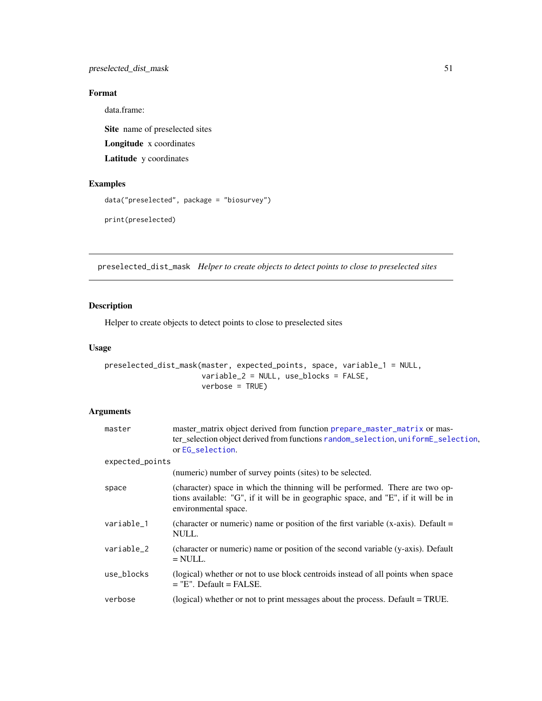# <span id="page-50-0"></span>Format

data.frame:

Site name of preselected sites Longitude x coordinates Latitude y coordinates

## Examples

```
data("preselected", package = "biosurvey")
```
print(preselected)

preselected\_dist\_mask *Helper to create objects to detect points to close to preselected sites*

## Description

Helper to create objects to detect points to close to preselected sites

#### Usage

```
preselected_dist_mask(master, expected_points, space, variable_1 = NULL,
                      variable_2 = NULL, use_blocks = FALSE,
                      verbose = TRUE)
```

| master          | master_matrix object derived from function prepare_master_matrix or mas-<br>ter_selection object derived from functions random_selection, uniformE_selection,<br>or EG_selection.          |
|-----------------|--------------------------------------------------------------------------------------------------------------------------------------------------------------------------------------------|
| expected_points |                                                                                                                                                                                            |
|                 | (numeric) number of survey points (sites) to be selected.                                                                                                                                  |
| space           | (character) space in which the thinning will be performed. There are two op-<br>tions available: "G", if it will be in geographic space, and "E", if it will be in<br>environmental space. |
| variable_1      | (character or numeric) name or position of the first variable (x-axis). Default $=$<br>NULL.                                                                                               |
| variable_2      | (character or numeric) name or position of the second variable (y-axis). Default<br>$=$ NULL.                                                                                              |
| use_blocks      | (logical) whether or not to use block centroids instead of all points when space<br>$=$ "E". Default $=$ FALSE.                                                                            |
| verbose         | (logical) whether or not to print messages about the process. Default = TRUE.                                                                                                              |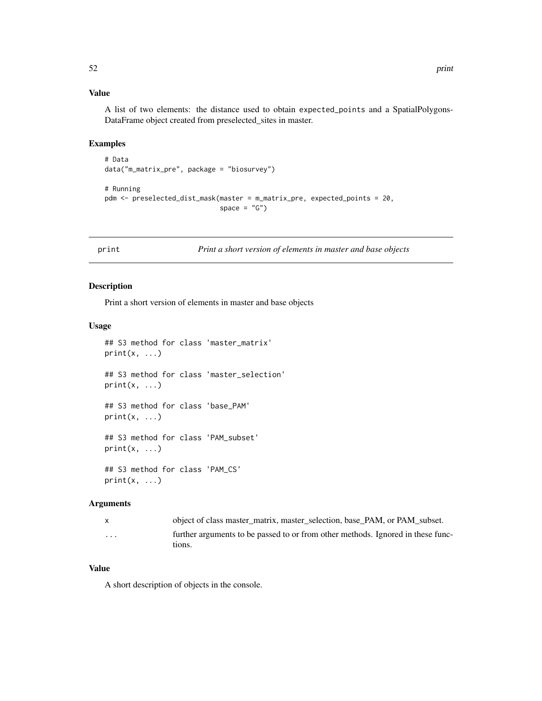## Value

A list of two elements: the distance used to obtain expected\_points and a SpatialPolygons-DataFrame object created from preselected\_sites in master.

## Examples

```
# Data
data("m_matrix_pre", package = "biosurvey")
```

```
# Running
pdm <- preselected_dist_mask(master = m_matrix_pre, expected_points = 20,
                             space = "G")
```
print *Print a short version of elements in master and base objects*

## Description

Print a short version of elements in master and base objects

## Usage

```
## S3 method for class 'master_matrix'
print(x, \ldots)## S3 method for class 'master_selection'
print(x, \ldots)## S3 method for class 'base_PAM'
print(x, \ldots)## S3 method for class 'PAM_subset'
print(x, \ldots)## S3 method for class 'PAM_CS'
print(x, \ldots)
```
#### Arguments

|   | object of class master_matrix, master_selection, base_PAM, or PAM subset.                 |
|---|-------------------------------------------------------------------------------------------|
| . | further arguments to be passed to or from other methods. Ignored in these func-<br>tions. |

## Value

A short description of objects in the console.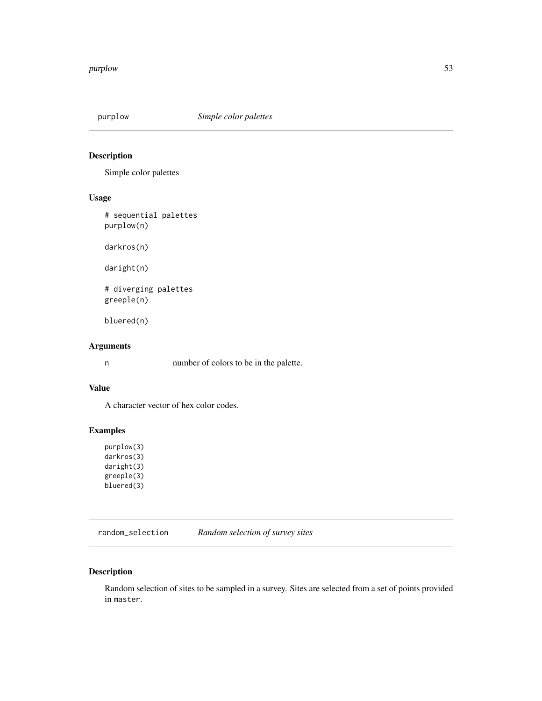<span id="page-52-2"></span><span id="page-52-1"></span>

# Description

Simple color palettes

## Usage

# sequential palettes purplow(n)

darkros(n)

daright(n)

# diverging palettes greeple(n)

bluered(n)

## Arguments

n number of colors to be in the palette.

## Value

A character vector of hex color codes.

## Examples

purplow(3) darkros(3) daright(3) greeple(3) bluered(3)

<span id="page-52-0"></span>random\_selection *Random selection of survey sites*

## Description

Random selection of sites to be sampled in a survey. Sites are selected from a set of points provided in master.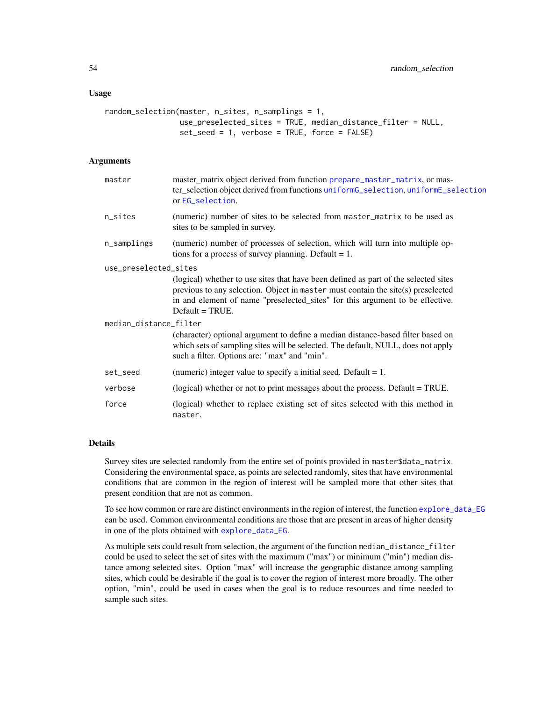#### <span id="page-53-0"></span>Usage

```
random_selection(master, n_sites, n_samplings = 1,
                use_preselected_sites = TRUE, median_distance_filter = NULL,
                set_seed = 1, verbose = TRUE, force = FALSE)
```
## Arguments

| master                 | master_matrix object derived from function prepare_master_matrix, or mas-<br>ter_selection object derived from functions uniformG_selection, uniformE_selection<br>or EG_selection.                                                                                           |  |
|------------------------|-------------------------------------------------------------------------------------------------------------------------------------------------------------------------------------------------------------------------------------------------------------------------------|--|
| n_sites                | (numeric) number of sites to be selected from master_matrix to be used as<br>sites to be sampled in survey.                                                                                                                                                                   |  |
| n_samplings            | (numeric) number of processes of selection, which will turn into multiple op-<br>tions for a process of survey planning. Default $= 1$ .                                                                                                                                      |  |
| use_preselected_sites  |                                                                                                                                                                                                                                                                               |  |
|                        | (logical) whether to use sites that have been defined as part of the selected sites<br>previous to any selection. Object in master must contain the site(s) preselected<br>in and element of name "preselected_sites" for this argument to be effective.<br>$Default = TRUE.$ |  |
| median_distance_filter |                                                                                                                                                                                                                                                                               |  |
|                        | (character) optional argument to define a median distance-based filter based on<br>which sets of sampling sites will be selected. The default, NULL, does not apply<br>such a filter. Options are: "max" and "min".                                                           |  |
| set_seed               | (numeric) integer value to specify a initial seed. Default $= 1$ .                                                                                                                                                                                                            |  |
| verbose                | (logical) whether or not to print messages about the process. Default = TRUE.                                                                                                                                                                                                 |  |
| force                  | (logical) whether to replace existing set of sites selected with this method in<br>master.                                                                                                                                                                                    |  |

#### Details

Survey sites are selected randomly from the entire set of points provided in master\$data\_matrix. Considering the environmental space, as points are selected randomly, sites that have environmental conditions that are common in the region of interest will be sampled more that other sites that present condition that are not as common.

To see how common or rare are distinct environments in the region of interest, the function [explore\\_data\\_EG](#page-15-0) can be used. Common environmental conditions are those that are present in areas of higher density in one of the plots obtained with [explore\\_data\\_EG](#page-15-0).

As multiple sets could result from selection, the argument of the function median\_distance\_filter could be used to select the set of sites with the maximum ("max") or minimum ("min") median distance among selected sites. Option "max" will increase the geographic distance among sampling sites, which could be desirable if the goal is to cover the region of interest more broadly. The other option, "min", could be used in cases when the goal is to reduce resources and time needed to sample such sites.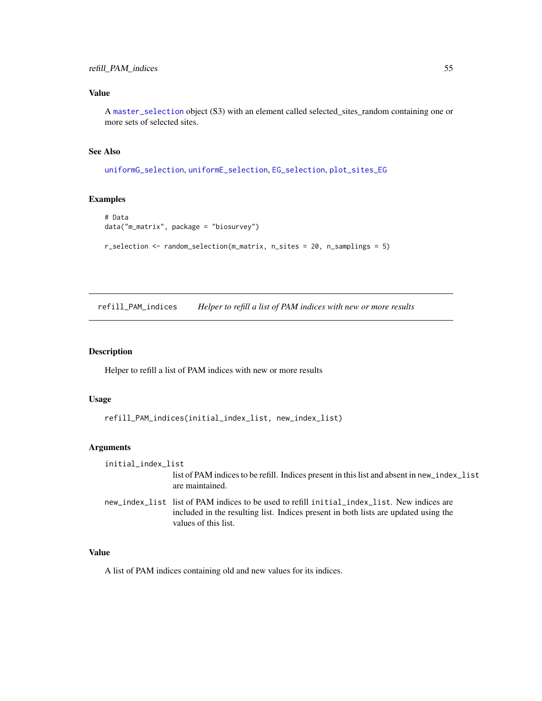# <span id="page-54-0"></span>Value

A [master\\_selection](#page-23-0) object (S3) with an element called selected\_sites\_random containing one or more sets of selected sites.

# See Also

[uniformG\\_selection](#page-66-0), [uniformE\\_selection](#page-64-0), [EG\\_selection](#page-12-0), [plot\\_sites\\_EG](#page-38-0)

## Examples

```
# Data
data("m_matrix", package = "biosurvey")
r_selection <- random_selection(m_matrix, n_sites = 20, n_samplings = 5)
```
refill\_PAM\_indices *Helper to refill a list of PAM indices with new or more results*

## Description

Helper to refill a list of PAM indices with new or more results

## Usage

```
refill_PAM_indices(initial_index_list, new_index_list)
```
## Arguments

| initial_index_list |                                                                                                                                                                                                            |
|--------------------|------------------------------------------------------------------------------------------------------------------------------------------------------------------------------------------------------------|
|                    | list of PAM indices to be refill. Indices present in this list and absent in new_index_list<br>are maintained.                                                                                             |
|                    | new_index_list list of PAM indices to be used to refill initial_index_list. New indices are<br>included in the resulting list. Indices present in both lists are updated using the<br>values of this list. |

## Value

A list of PAM indices containing old and new values for its indices.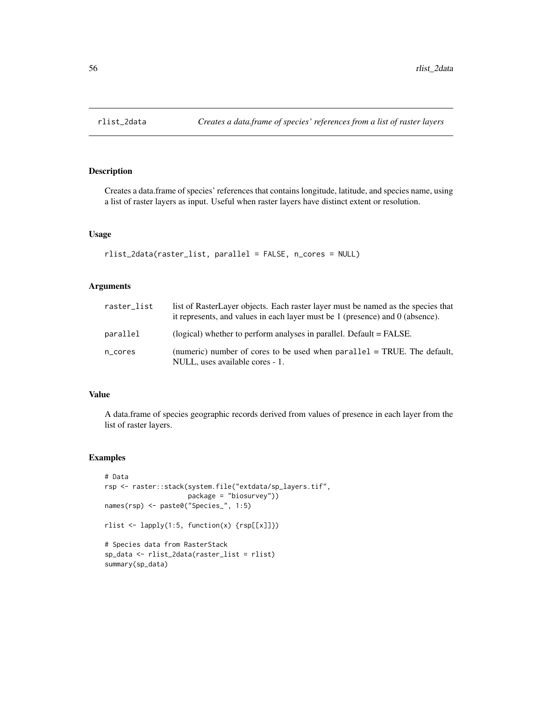## Description

Creates a data.frame of species' references that contains longitude, latitude, and species name, using a list of raster layers as input. Useful when raster layers have distinct extent or resolution.

## Usage

```
rlist_2data(raster_list, parallel = FALSE, n_cores = NULL)
```
## Arguments

| raster list | list of RasterLayer objects. Each raster layer must be named as the species that<br>it represents, and values in each layer must be 1 (presence) and 0 (absence). |
|-------------|-------------------------------------------------------------------------------------------------------------------------------------------------------------------|
| parallel    | (logical) whether to perform analyses in parallel. Default = FALSE.                                                                                               |
| n_cores     | (numeric) number of cores to be used when $parallel = TRUE$ . The default,<br>NULL, uses available cores - 1.                                                     |

## Value

A data.frame of species geographic records derived from values of presence in each layer from the list of raster layers.

## Examples

```
# Data
rsp <- raster::stack(system.file("extdata/sp_layers.tif",
                     package = "biosurvey"))
names(rsp) <- paste0("Species_", 1:5)
rlist <- lapply(1:5, function(x) {rsp[[x]]})
# Species data from RasterStack
sp_data <- rlist_2data(raster_list = rlist)
summary(sp_data)
```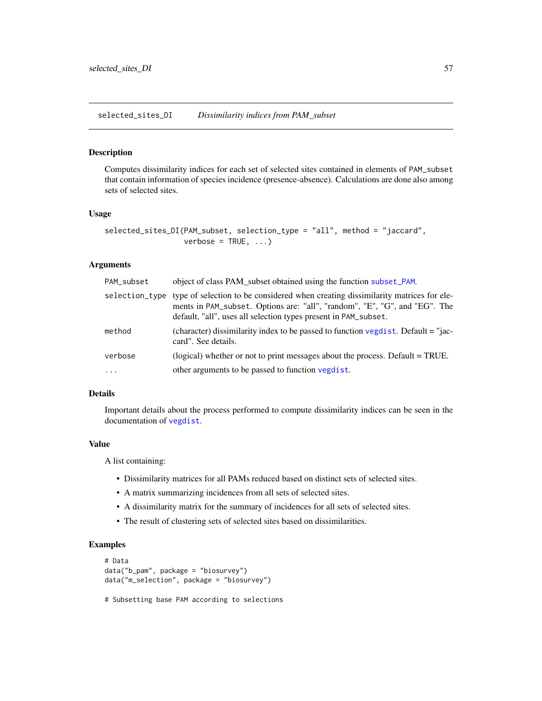selected\_sites\_DI *Dissimilarity indices from PAM\_subset*

#### Description

Computes dissimilarity indices for each set of selected sites contained in elements of PAM\_subset that contain information of species incidence (presence-absence). Calculations are done also among sets of selected sites.

## Usage

```
selected_sites_DI(PAM_subset, selection_type = "all", method = "jaccard",
                 verbose = TRUE, ...
```
## Arguments

| PAM_subset | object of class PAM_subset obtained using the function subset_PAM.                                                                                                                                                                               |
|------------|--------------------------------------------------------------------------------------------------------------------------------------------------------------------------------------------------------------------------------------------------|
|            | selection_type type of selection to be considered when creating dissimilarity matrices for ele-<br>ments in PAM_subset. Options are: "all", "random", "E", "G", and "EG". The<br>default, "all", uses all selection types present in PAM_subset. |
| method     | (character) dissimilarity index to be passed to function vegdist. Default = "jac-<br>card". See details.                                                                                                                                         |
| verbose    | (logical) whether or not to print messages about the process. Default = TRUE.                                                                                                                                                                    |
| $\cdots$   | other arguments to be passed to function vegdist.                                                                                                                                                                                                |

## Details

Important details about the process performed to compute dissimilarity indices can be seen in the documentation of [vegdist](#page-0-0).

#### Value

A list containing:

- Dissimilarity matrices for all PAMs reduced based on distinct sets of selected sites.
- A matrix summarizing incidences from all sets of selected sites.
- A dissimilarity matrix for the summary of incidences for all sets of selected sites.
- The result of clustering sets of selected sites based on dissimilarities.

## Examples

```
# Data
data("b_pam", package = "biosurvey")
data("m_selection", package = "biosurvey")
```
# Subsetting base PAM according to selections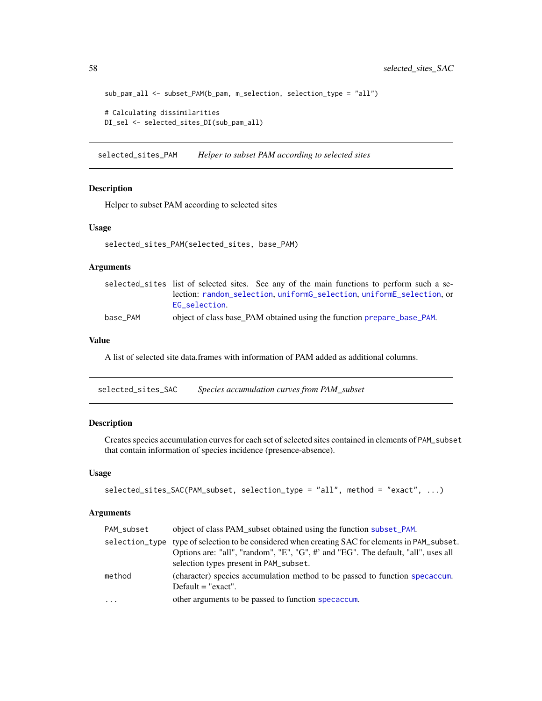```
sub_pam_all <- subset_PAM(b_pam, m_selection, selection_type = "all")
# Calculating dissimilarities
DI_sel <- selected_sites_DI(sub_pam_all)
```
selected\_sites\_PAM *Helper to subset PAM according to selected sites*

#### Description

Helper to subset PAM according to selected sites

#### Usage

```
selected_sites_PAM(selected_sites, base_PAM)
```
## Arguments

|          | selected_sites list of selected sites. See any of the main functions to perform such a se- |
|----------|--------------------------------------------------------------------------------------------|
|          | lection: random_selection.uniformG_selection.uniformE_selection.or                         |
|          | EG selection.                                                                              |
| base_PAM | object of class base_PAM obtained using the function prepare_base_PAM.                     |

## Value

A list of selected site data.frames with information of PAM added as additional columns.

<span id="page-57-0"></span>selected\_sites\_SAC *Species accumulation curves from PAM\_subset*

## Description

Creates species accumulation curves for each set of selected sites contained in elements of PAM\_subset that contain information of species incidence (presence-absence).

## Usage

```
selected_sites_SAC(PAM_subset, selection_type = "all", method = "exact", ...)
```

| PAM_subset | object of class PAM subset obtained using the function subset_PAM.                                                                                                                                                             |
|------------|--------------------------------------------------------------------------------------------------------------------------------------------------------------------------------------------------------------------------------|
|            | selection_type type of selection to be considered when creating SAC for elements in PAM_subset.<br>Options are: "all", "random", "E", "G", #' and "EG". The default, "all", uses all<br>selection types present in PAM_subset. |
| method     | (character) species accumulation method to be passed to function specaccum.<br>Default $=$ "exact".                                                                                                                            |
| $\ddots$   | other arguments to be passed to function specaccum.                                                                                                                                                                            |

<span id="page-57-1"></span>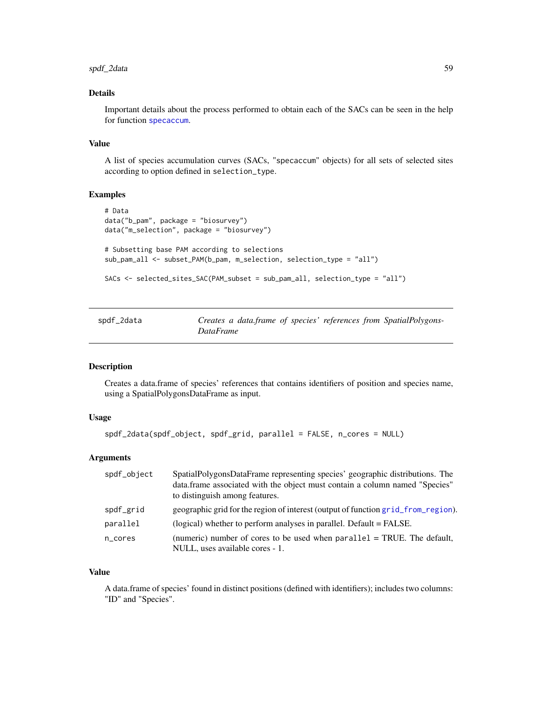## <span id="page-58-1"></span>spdf\_2data 59

## Details

Important details about the process performed to obtain each of the SACs can be seen in the help for function [specaccum](#page-0-0).

#### Value

A list of species accumulation curves (SACs, "specaccum" objects) for all sets of selected sites according to option defined in selection\_type.

## Examples

```
# Data
data("b_pam", package = "biosurvey")
data("m_selection", package = "biosurvey")
# Subsetting base PAM according to selections
sub_pam_all <- subset_PAM(b_pam, m_selection, selection_type = "all")
SACs <- selected_sites_SAC(PAM_subset = sub_pam_all, selection_type = "all")
```
<span id="page-58-0"></span>

| spdf_2data |           | Creates a data.frame of species' references from SpatialPolygons- |
|------------|-----------|-------------------------------------------------------------------|
|            | DataFrame |                                                                   |

#### Description

Creates a data.frame of species' references that contains identifiers of position and species name, using a SpatialPolygonsDataFrame as input.

## Usage

```
spdf_2data(spdf_object, spdf_grid, parallel = FALSE, n_cores = NULL)
```
## Arguments

| spdf_object | SpatialPolygonsDataFrame representing species' geographic distributions. The<br>data.frame associated with the object must contain a column named "Species"<br>to distinguish among features. |
|-------------|-----------------------------------------------------------------------------------------------------------------------------------------------------------------------------------------------|
| spdf_grid   | geographic grid for the region of interest (output of function grid from region).                                                                                                             |
| parallel    | (logical) whether to perform analyses in parallel. Default = FALSE.                                                                                                                           |
| n_cores     | (numeric) number of cores to be used when $parallel = TRUE$ . The default,<br>NULL, uses available cores - 1.                                                                                 |

#### Value

A data.frame of species' found in distinct positions (defined with identifiers); includes two columns: "ID" and "Species".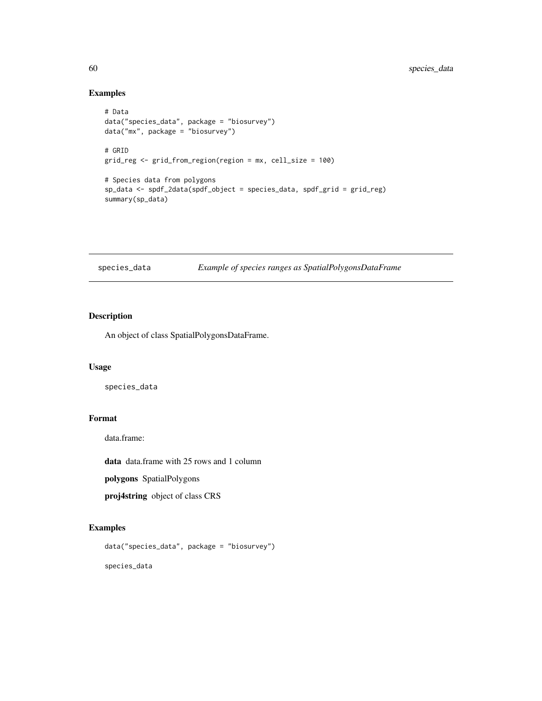## Examples

```
# Data
data("species_data", package = "biosurvey")
data("mx", package = "biosurvey")
# GRID
grid_reg <- grid_from_region(region = mx, cell_size = 100)
# Species data from polygons
sp_data <- spdf_2data(spdf_object = species_data, spdf_grid = grid_reg)
summary(sp_data)
```

| species_data |  | Example of species ranges as SpatialPolygonsDataFrame |
|--------------|--|-------------------------------------------------------|
|              |  |                                                       |

## Description

An object of class SpatialPolygonsDataFrame.

#### Usage

species\_data

## Format

data.frame:

data data.frame with 25 rows and 1 column

polygons SpatialPolygons

proj4string object of class CRS

## Examples

```
data("species_data", package = "biosurvey")
```
species\_data

<span id="page-59-0"></span>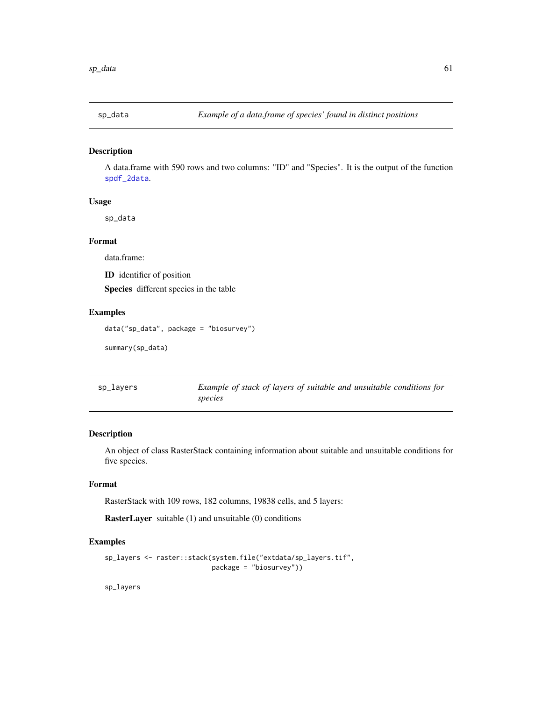<span id="page-60-0"></span>

## Description

A data.frame with 590 rows and two columns: "ID" and "Species". It is the output of the function [spdf\\_2data](#page-58-0).

#### Usage

sp\_data

## Format

data.frame:

ID identifier of position

Species different species in the table

## Examples

data("sp\_data", package = "biosurvey")

summary(sp\_data)

| sp_layers | Example of stack of layers of suitable and unsuitable conditions for |
|-----------|----------------------------------------------------------------------|
|           | species                                                              |

# Description

An object of class RasterStack containing information about suitable and unsuitable conditions for five species.

## Format

RasterStack with 109 rows, 182 columns, 19838 cells, and 5 layers:

RasterLayer suitable (1) and unsuitable (0) conditions

## Examples

```
sp_layers <- raster::stack(system.file("extdata/sp_layers.tif",
                           package = "biosurvey"))
```
sp\_layers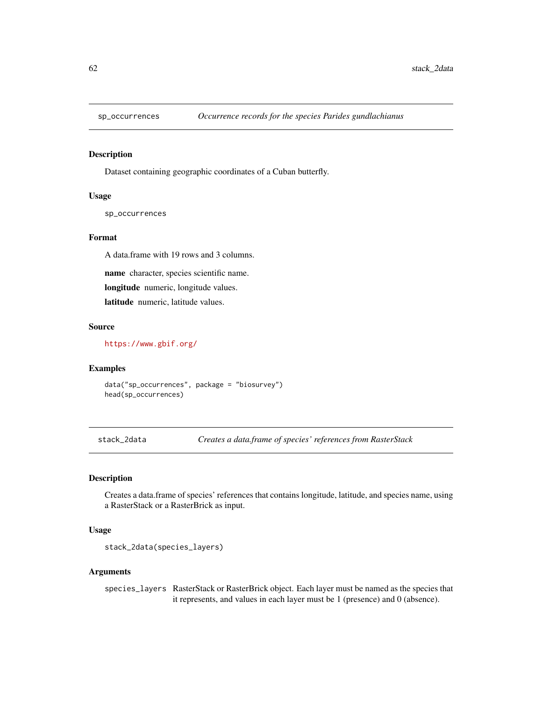<span id="page-61-0"></span>

#### Description

Dataset containing geographic coordinates of a Cuban butterfly.

#### Usage

sp\_occurrences

#### Format

A data.frame with 19 rows and 3 columns.

name character, species scientific name.

longitude numeric, longitude values.

latitude numeric, latitude values.

## Source

<https://www.gbif.org/>

#### Examples

data("sp\_occurrences", package = "biosurvey") head(sp\_occurrences)

stack\_2data *Creates a data.frame of species' references from RasterStack*

## Description

Creates a data.frame of species' references that contains longitude, latitude, and species name, using a RasterStack or a RasterBrick as input.

# Usage

```
stack_2data(species_layers)
```
#### Arguments

species\_layers RasterStack or RasterBrick object. Each layer must be named as the species that it represents, and values in each layer must be 1 (presence) and 0 (absence).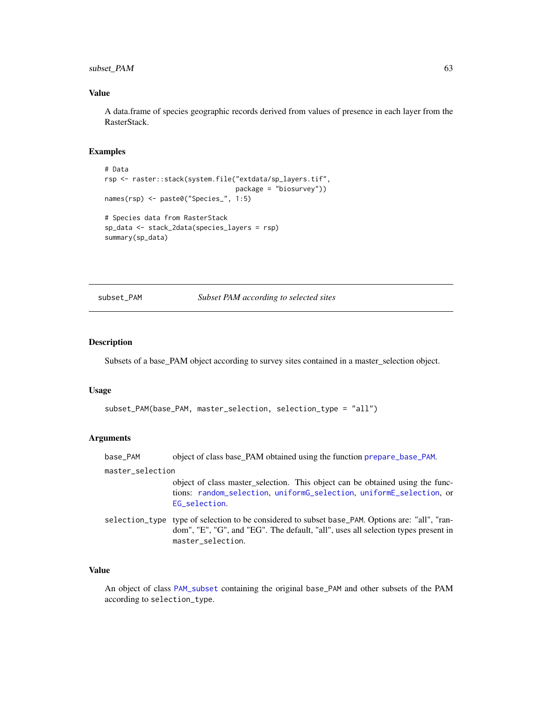## <span id="page-62-1"></span>subset\_PAM 63

## Value

A data.frame of species geographic records derived from values of presence in each layer from the RasterStack.

#### Examples

```
# Data
rsp <- raster::stack(system.file("extdata/sp_layers.tif",
                                 package = "biosurvey"))
names(rsp) <- paste0("Species_", 1:5)
# Species data from RasterStack
sp_data <- stack_2data(species_layers = rsp)
summary(sp_data)
```
## <span id="page-62-0"></span>subset\_PAM *Subset PAM according to selected sites*

## Description

Subsets of a base\_PAM object according to survey sites contained in a master\_selection object.

#### Usage

```
subset_PAM(base_PAM, master_selection, selection_type = "all")
```
## Arguments

| base_PAM |  |  |  | object of class base_PAM obtained using the function prepare_base_PAM. |  |
|----------|--|--|--|------------------------------------------------------------------------|--|
|----------|--|--|--|------------------------------------------------------------------------|--|

#### master\_selection

object of class master\_selection. This object can be obtained using the functions: [random\\_selection](#page-52-0), [uniformG\\_selection](#page-66-0), [uniformE\\_selection](#page-64-0), or [EG\\_selection](#page-12-0).

selection\_type type of selection to be considered to subset base\_PAM. Options are: "all", "random", "E", "G", and "EG". The default, "all", uses all selection types present in master\_selection.

## Value

An object of class [PAM\\_subset](#page-30-0) containing the original base\_PAM and other subsets of the PAM according to selection\_type.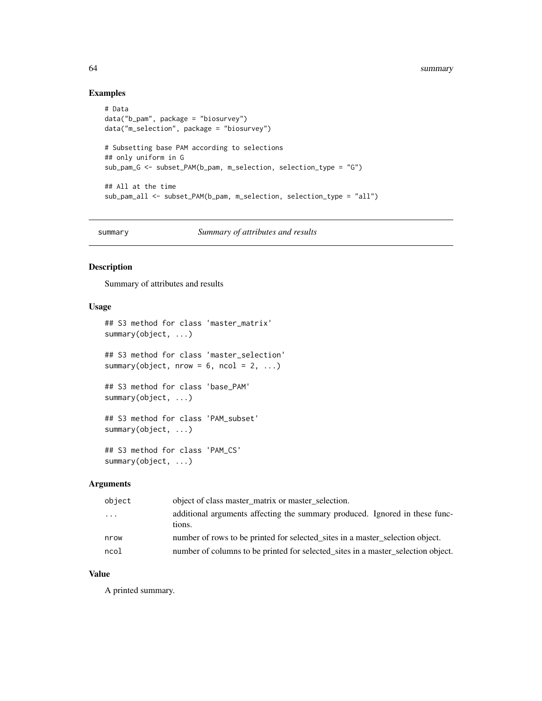## Examples

```
# Data
data("b_pam", package = "biosurvey")
data("m_selection", package = "biosurvey")
# Subsetting base PAM according to selections
## only uniform in G
sub_pam_G <- subset_PAM(b_pam, m_selection, selection_type = "G")
## All at the time
sub_pam_all <- subset_PAM(b_pam, m_selection, selection_type = "all")
```
summary *Summary of attributes and results*

## Description

Summary of attributes and results

## Usage

```
## S3 method for class 'master_matrix'
summary(object, ...)
## S3 method for class 'master_selection'
summary(object, nrow = 6, ncol = 2, ...)
## S3 method for class 'base_PAM'
summary(object, ...)
## S3 method for class 'PAM_subset'
summary(object, ...)
## S3 method for class 'PAM_CS'
```

```
summary(object, ...)
```
#### Arguments

| object | object of class master matrix or master selection.                                    |
|--------|---------------------------------------------------------------------------------------|
| .      | additional arguments affecting the summary produced. Ignored in these func-<br>tions. |
| nrow   | number of rows to be printed for selected sites in a master selection object.         |
| ncol   | number of columns to be printed for selected_sites in a master_selection object.      |

## Value

A printed summary.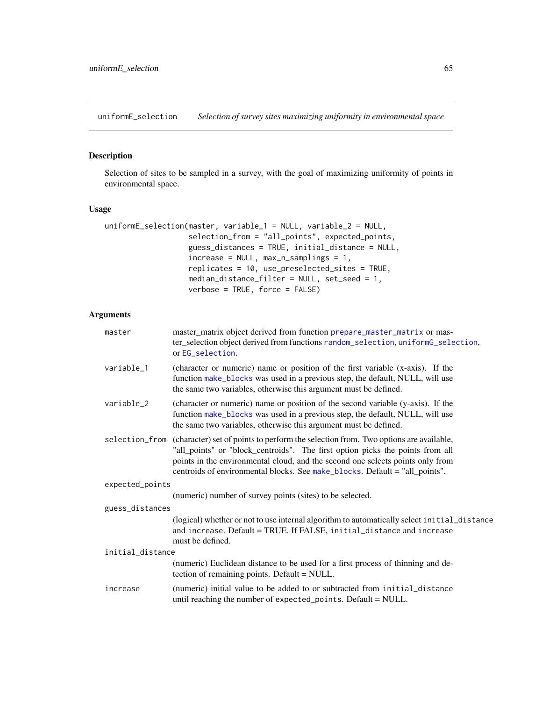<span id="page-64-1"></span><span id="page-64-0"></span>uniformE\_selection *Selection of survey sites maximizing uniformity in environmental space*

# Description

Selection of sites to be sampled in a survey, with the goal of maximizing uniformity of points in environmental space.

## Usage

```
uniformE_selection(master, variable_1 = NULL, variable_2 = NULL,
                   selection_from = "all_points", expected_points,
                   guess_distances = TRUE, initial_distance = NULL,
                   increase = NULL, max_n_samplings = 1,
                   replicates = 10, use_preselected_sites = TRUE,
                   median_distance_filter = NULL, set_seed = 1,
                   verbose = TRUE, force = FALSE)
```

| master           | master_matrix object derived from function prepare_master_matrix or mas-<br>ter_selection object derived from functions random_selection, uniformG_selection,<br>or EG_selection.                                                                                                                                                                    |
|------------------|------------------------------------------------------------------------------------------------------------------------------------------------------------------------------------------------------------------------------------------------------------------------------------------------------------------------------------------------------|
| variable_1       | (character or numeric) name or position of the first variable (x-axis). If the<br>function make_blocks was used in a previous step, the default, NULL, will use<br>the same two variables, otherwise this argument must be defined.                                                                                                                  |
| variable_2       | (character or numeric) name or position of the second variable (y-axis). If the<br>function make_blocks was used in a previous step, the default, NULL, will use<br>the same two variables, otherwise this argument must be defined.                                                                                                                 |
|                  | selection_from (character) set of points to perform the selection from. Two options are available,<br>"all_points" or "block_centroids". The first option picks the points from all<br>points in the environmental cloud, and the second one selects points only from<br>centroids of environmental blocks. See make_blocks. Default = "all_points". |
| expected_points  |                                                                                                                                                                                                                                                                                                                                                      |
|                  | (numeric) number of survey points (sites) to be selected.                                                                                                                                                                                                                                                                                            |
| guess_distances  |                                                                                                                                                                                                                                                                                                                                                      |
|                  | (logical) whether or not to use internal algorithm to automatically select initial_distance<br>and increase. Default = TRUE. If FALSE, initial_distance and increase<br>must be defined.                                                                                                                                                             |
| initial_distance |                                                                                                                                                                                                                                                                                                                                                      |
|                  | (numeric) Euclidean distance to be used for a first process of thinning and de-<br>tection of remaining points. Default = NULL.                                                                                                                                                                                                                      |
| increase         | (numeric) initial value to be added to or subtracted from initial_distance<br>until reaching the number of expected_points. Default = NULL.                                                                                                                                                                                                          |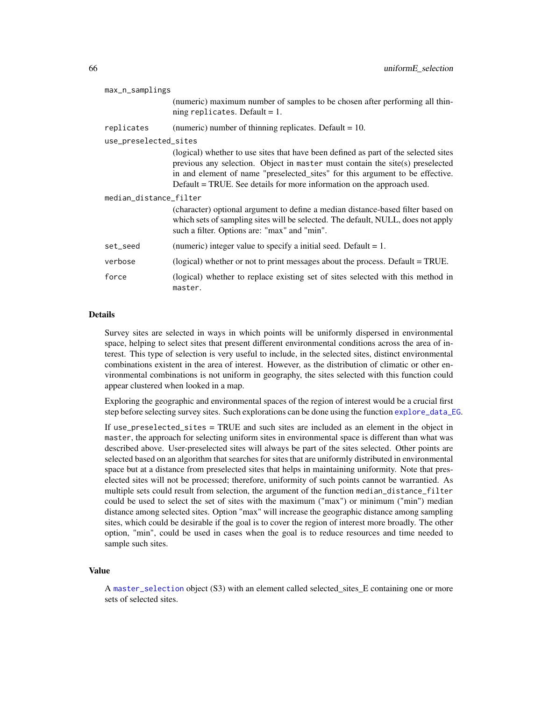<span id="page-65-0"></span>

| max_n_samplings        |                                                                                                                                                                                                                                                                                                                                 |
|------------------------|---------------------------------------------------------------------------------------------------------------------------------------------------------------------------------------------------------------------------------------------------------------------------------------------------------------------------------|
|                        | (numeric) maximum number of samples to be chosen after performing all thin-<br>ning replicates. Default = $1$ .                                                                                                                                                                                                                 |
| replicates             | (numeric) number of thinning replicates. Default $= 10$ .                                                                                                                                                                                                                                                                       |
| use_preselected_sites  |                                                                                                                                                                                                                                                                                                                                 |
|                        | (logical) whether to use sites that have been defined as part of the selected sites<br>previous any selection. Object in master must contain the site(s) preselected<br>in and element of name "preselected_sites" for this argument to be effective.<br>Default = TRUE. See details for more information on the approach used. |
| median_distance_filter |                                                                                                                                                                                                                                                                                                                                 |
|                        | (character) optional argument to define a median distance-based filter based on<br>which sets of sampling sites will be selected. The default, NULL, does not apply<br>such a filter. Options are: "max" and "min".                                                                                                             |
| set_seed               | (numeric) integer value to specify a initial seed. Default $= 1$ .                                                                                                                                                                                                                                                              |
| verbose                | (logical) whether or not to print messages about the process. Default = TRUE.                                                                                                                                                                                                                                                   |
| force                  | (logical) whether to replace existing set of sites selected with this method in<br>master.                                                                                                                                                                                                                                      |

#### Details

Survey sites are selected in ways in which points will be uniformly dispersed in environmental space, helping to select sites that present different environmental conditions across the area of interest. This type of selection is very useful to include, in the selected sites, distinct environmental combinations existent in the area of interest. However, as the distribution of climatic or other environmental combinations is not uniform in geography, the sites selected with this function could appear clustered when looked in a map.

Exploring the geographic and environmental spaces of the region of interest would be a crucial first step before selecting survey sites. Such explorations can be done using the function [explore\\_data\\_EG](#page-15-0).

If use\_preselected\_sites = TRUE and such sites are included as an element in the object in master, the approach for selecting uniform sites in environmental space is different than what was described above. User-preselected sites will always be part of the sites selected. Other points are selected based on an algorithm that searches for sites that are uniformly distributed in environmental space but at a distance from preselected sites that helps in maintaining uniformity. Note that preselected sites will not be processed; therefore, uniformity of such points cannot be warrantied. As multiple sets could result from selection, the argument of the function median\_distance\_filter could be used to select the set of sites with the maximum ("max") or minimum ("min") median distance among selected sites. Option "max" will increase the geographic distance among sampling sites, which could be desirable if the goal is to cover the region of interest more broadly. The other option, "min", could be used in cases when the goal is to reduce resources and time needed to sample such sites.

#### Value

A [master\\_selection](#page-23-0) object (S3) with an element called selected\_sites\_E containing one or more sets of selected sites.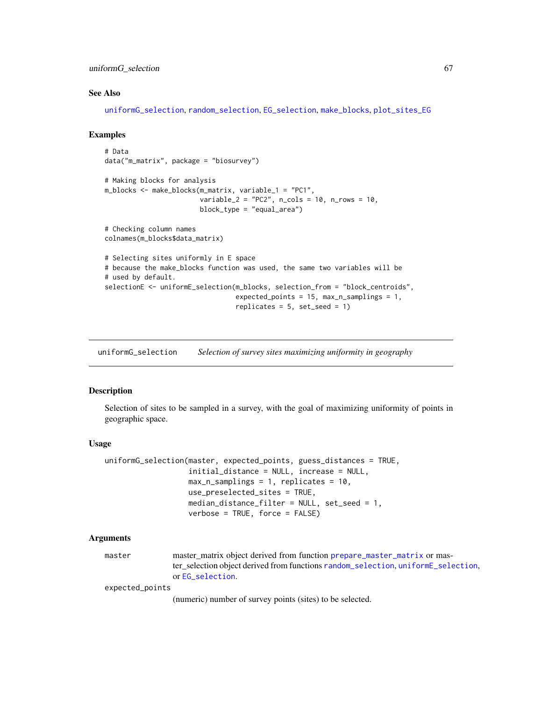#### <span id="page-66-1"></span>uniformG\_selection 67

#### See Also

[uniformG\\_selection](#page-66-0), [random\\_selection](#page-52-0), [EG\\_selection](#page-12-0), [make\\_blocks](#page-21-0), [plot\\_sites\\_EG](#page-38-0)

#### Examples

```
# Data
data("m_matrix", package = "biosurvey")
# Making blocks for analysis
m_blocks <- make_blocks(m_matrix, variable_1 = "PC1",
                        variable_2 = "PC2", n_cols = 10, n_rows = 10,
                        block_type = "equal_area")
# Checking column names
colnames(m_blocks$data_matrix)
# Selecting sites uniformly in E space
# because the make_blocks function was used, the same two variables will be
# used by default.
selectionE <- uniformE_selection(m_blocks, selection_from = "block_centroids",
                                 expected_points = 15, max_n_samplings = 1,
                                 replicates = 5, set_seed = 1)
```
<span id="page-66-0"></span>uniformG\_selection *Selection of survey sites maximizing uniformity in geography*

#### Description

Selection of sites to be sampled in a survey, with the goal of maximizing uniformity of points in geographic space.

#### Usage

```
uniformG_selection(master, expected_points, guess_distances = TRUE,
                   initial_distance = NULL, increase = NULL,
                   max_n_samplings = 1, replicates = 10,
                   use_preselected_sites = TRUE,
                   median_distance_filter = NULL, set_seed = 1,
                   verbose = TRUE, force = FALSE)
```
#### Arguments

| master | master matrix object derived from function prepare master matrix or mas-          |
|--------|-----------------------------------------------------------------------------------|
|        | ter_selection object derived from functions random_selection, uniformE_selection, |
|        | or EG selection.                                                                  |

expected\_points

(numeric) number of survey points (sites) to be selected.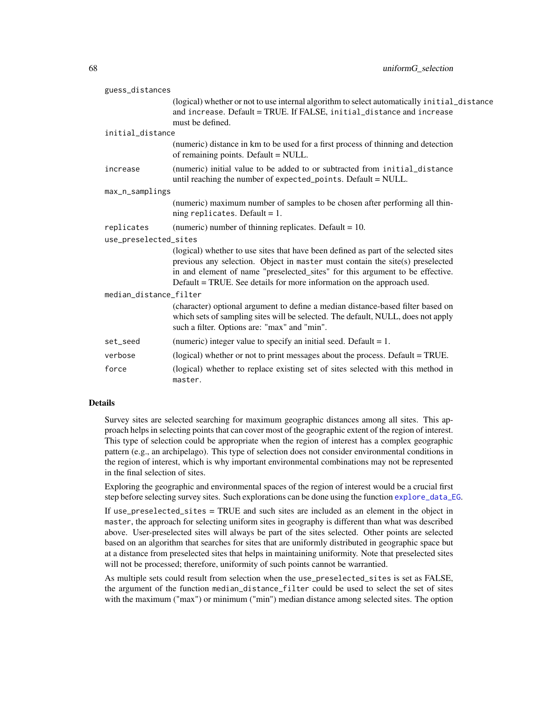<span id="page-67-0"></span>

| guess_distances        |                                                                                                                                                                                                                                                                                                                                 |
|------------------------|---------------------------------------------------------------------------------------------------------------------------------------------------------------------------------------------------------------------------------------------------------------------------------------------------------------------------------|
|                        | (logical) whether or not to use internal algorithm to select automatically initial_distance<br>and increase. Default = TRUE. If FALSE, initial_distance and increase<br>must be defined.                                                                                                                                        |
| initial_distance       |                                                                                                                                                                                                                                                                                                                                 |
|                        | (numeric) distance in km to be used for a first process of thinning and detection<br>of remaining points. Default = NULL.                                                                                                                                                                                                       |
| increase               | (numeric) initial value to be added to or subtracted from initial_distance<br>until reaching the number of expected_points. Default = NULL.                                                                                                                                                                                     |
| max_n_samplings        |                                                                                                                                                                                                                                                                                                                                 |
|                        | (numeric) maximum number of samples to be chosen after performing all thin-<br>ning replicates. Default = $1$ .                                                                                                                                                                                                                 |
| replicates             | (numeric) number of thinning replicates. Default = $10$ .                                                                                                                                                                                                                                                                       |
| use_preselected_sites  |                                                                                                                                                                                                                                                                                                                                 |
|                        | (logical) whether to use sites that have been defined as part of the selected sites<br>previous any selection. Object in master must contain the site(s) preselected<br>in and element of name "preselected_sites" for this argument to be effective.<br>Default = TRUE. See details for more information on the approach used. |
| median_distance_filter |                                                                                                                                                                                                                                                                                                                                 |
|                        | (character) optional argument to define a median distance-based filter based on<br>which sets of sampling sites will be selected. The default, NULL, does not apply<br>such a filter. Options are: "max" and "min".                                                                                                             |
| set_seed               | (numeric) integer value to specify an initial seed. Default $= 1$ .                                                                                                                                                                                                                                                             |
| verbose                | (logical) whether or not to print messages about the process. Default = TRUE.                                                                                                                                                                                                                                                   |
| force                  | (logical) whether to replace existing set of sites selected with this method in<br>master.                                                                                                                                                                                                                                      |

#### Details

Survey sites are selected searching for maximum geographic distances among all sites. This approach helps in selecting points that can cover most of the geographic extent of the region of interest. This type of selection could be appropriate when the region of interest has a complex geographic pattern (e.g., an archipelago). This type of selection does not consider environmental conditions in the region of interest, which is why important environmental combinations may not be represented in the final selection of sites.

Exploring the geographic and environmental spaces of the region of interest would be a crucial first step before selecting survey sites. Such explorations can be done using the function [explore\\_data\\_EG](#page-15-0).

If use\_preselected\_sites = TRUE and such sites are included as an element in the object in master, the approach for selecting uniform sites in geography is different than what was described above. User-preselected sites will always be part of the sites selected. Other points are selected based on an algorithm that searches for sites that are uniformly distributed in geographic space but at a distance from preselected sites that helps in maintaining uniformity. Note that preselected sites will not be processed; therefore, uniformity of such points cannot be warrantied.

As multiple sets could result from selection when the use\_preselected\_sites is set as FALSE, the argument of the function median\_distance\_filter could be used to select the set of sites with the maximum ("max") or minimum ("min") median distance among selected sites. The option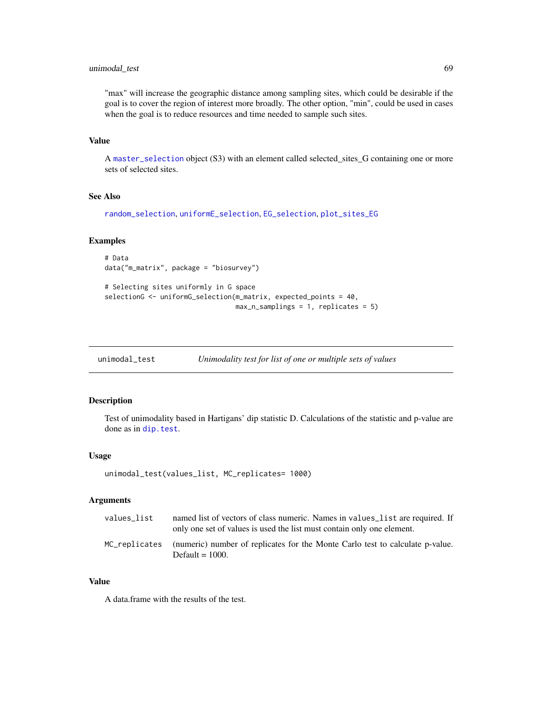## <span id="page-68-0"></span>unimodal\_test 69

"max" will increase the geographic distance among sampling sites, which could be desirable if the goal is to cover the region of interest more broadly. The other option, "min", could be used in cases when the goal is to reduce resources and time needed to sample such sites.

# Value

A [master\\_selection](#page-23-0) object (S3) with an element called selected\_sites\_G containing one or more sets of selected sites.

#### See Also

```
random_selection, uniformE_selection, EG_selection, plot_sites_EG
```
#### Examples

# Data data("m\_matrix", package = "biosurvey")

```
# Selecting sites uniformly in G space
selectionG <- uniformG_selection(m_matrix, expected_points = 40,
                                 max_n_samplings = 1, replicates = 5)
```

| unimodal_test | Unimodality test for list of one or multiple sets of values |  |
|---------------|-------------------------------------------------------------|--|
|               |                                                             |  |

## Description

Test of unimodality based in Hartigans' dip statistic D. Calculations of the statistic and p-value are done as in [dip.test](#page-0-0).

#### Usage

```
unimodal_test(values_list, MC_replicates= 1000)
```
#### Arguments

| values list | named list of vectors of class numeric. Names in values list are required. If<br>only one set of values is used the list must contain only one element. |
|-------------|---------------------------------------------------------------------------------------------------------------------------------------------------------|
|             | MC_replicates (numeric) number of replicates for the Monte Carlo test to calculate p-value.<br>Default $= 1000$ .                                       |

#### Value

A data.frame with the results of the test.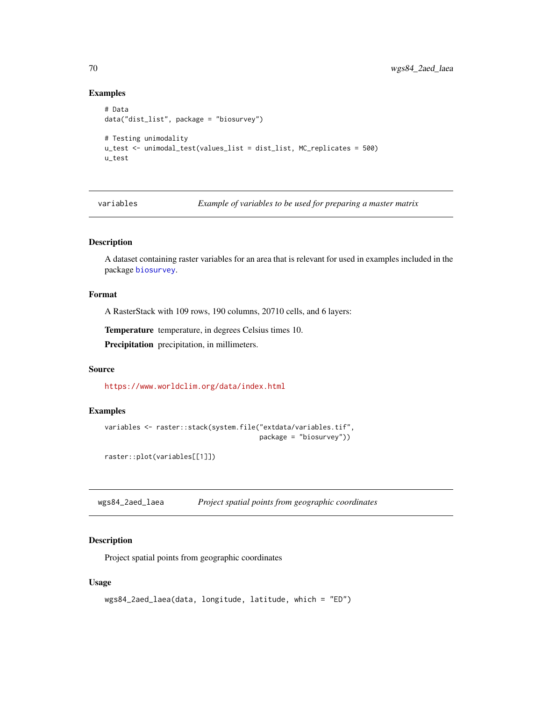## Examples

```
# Data
data("dist_list", package = "biosurvey")
# Testing unimodality
u_test <- unimodal_test(values_list = dist_list, MC_replicates = 500)
u_test
```
variables *Example of variables to be used for preparing a master matrix*

## Description

A dataset containing raster variables for an area that is relevant for used in examples included in the package [biosurvey](#page-4-1).

#### Format

A RasterStack with 109 rows, 190 columns, 20710 cells, and 6 layers:

Temperature temperature, in degrees Celsius times 10.

Precipitation precipitation, in millimeters.

## Source

<https://www.worldclim.org/data/index.html>

#### Examples

```
variables <- raster::stack(system.file("extdata/variables.tif",
                                       package = "biosurvey"))
```
raster::plot(variables[[1]])

wgs84\_2aed\_laea *Project spatial points from geographic coordinates*

## Description

Project spatial points from geographic coordinates

#### Usage

```
wgs84_2aed_laea(data, longitude, latitude, which = "ED")
```
<span id="page-69-0"></span>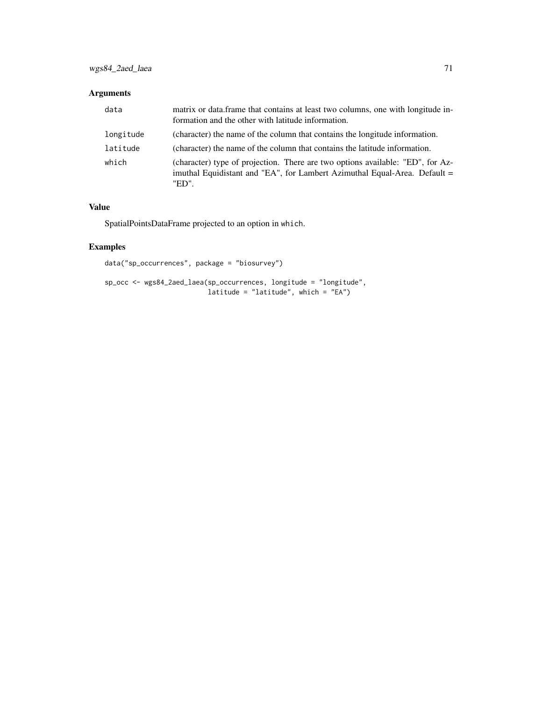# Arguments

| data      | matrix or data.frame that contains at least two columns, one with longitude in-<br>formation and the other with latitude information.                                |
|-----------|----------------------------------------------------------------------------------------------------------------------------------------------------------------------|
| longitude | (character) the name of the column that contains the longitude information.                                                                                          |
| latitude  | (character) the name of the column that contains the latitude information.                                                                                           |
| which     | (character) type of projection. There are two options available: "ED", for Az-<br>imuthal Equidistant and "EA", for Lambert Azimuthal Equal-Area. Default =<br>"ED". |

# Value

SpatialPointsDataFrame projected to an option in which.

# Examples

```
data("sp_occurrences", package = "biosurvey")
```

```
sp_occ <- wgs84_2aed_laea(sp_occurrences, longitude = "longitude",
                         latitude = "latitude", which = "EA")
```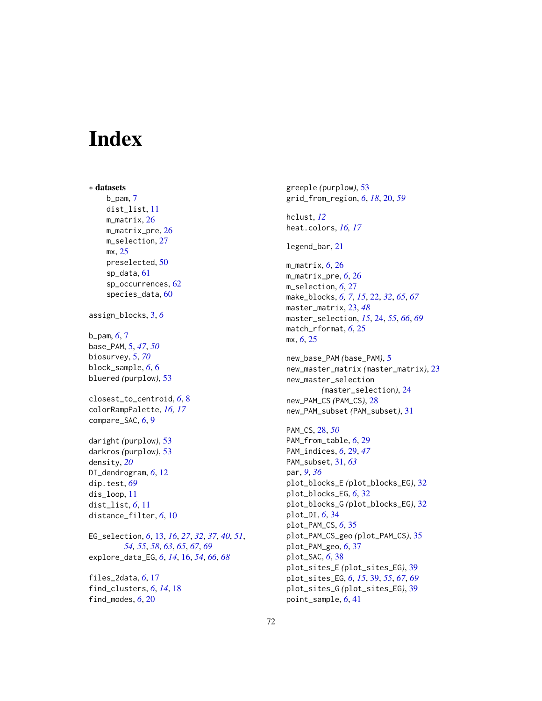# **Index**

∗ datasets b\_pam, [7](#page-6-0) dist\_list, [11](#page-10-0) m\_matrix, [26](#page-25-0) m\_matrix\_pre, [26](#page-25-0) m\_selection, [27](#page-26-0) mx, [25](#page-24-0) preselected, [50](#page-49-0) sp\_data, [61](#page-60-0) sp\_occurrences, [62](#page-61-0) species\_data, [60](#page-59-0) assign\_blocks, [3,](#page-2-0) *[6](#page-5-0)* b\_pam, *[6](#page-5-0)*, [7](#page-6-0) base\_PAM, [5,](#page-4-2) *[47](#page-46-1)*, *[50](#page-49-0)* biosurvey, [5,](#page-4-2) *[70](#page-69-0)* block\_sample, *[6](#page-5-0)*, [6](#page-5-0) bluered *(*purplow*)*, [53](#page-52-2) closest\_to\_centroid, *[6](#page-5-0)*, [8](#page-7-0) colorRampPalette, *[16,](#page-15-1) [17](#page-16-0)* compare\_SAC, *[6](#page-5-0)*, [9](#page-8-0) daright *(*purplow*)*, [53](#page-52-2) darkros *(*purplow*)*, [53](#page-52-2) density, *[20](#page-19-1)* DI\_dendrogram, *[6](#page-5-0)*, [12](#page-11-0) dip.test, *[69](#page-68-0)* dis\_loop, [11](#page-10-0) dist\_list, *[6](#page-5-0)*, [11](#page-10-0) distance\_filter, *[6](#page-5-0)*, [10](#page-9-0) EG\_selection, *[6](#page-5-0)*, [13,](#page-12-1) *[16](#page-15-1)*, *[27](#page-26-0)*, *[32](#page-31-0)*, *[37](#page-36-0)*, *[40](#page-39-0)*, *[51](#page-50-0)*, *[54,](#page-53-0) [55](#page-54-0)*, *[58](#page-57-1)*, *[63](#page-62-1)*, *[65](#page-64-1)*, *[67](#page-66-1)*, *[69](#page-68-0)* explore\_data\_EG, *[6](#page-5-0)*, *[14](#page-13-0)*, [16,](#page-15-1) *[54](#page-53-0)*, *[66](#page-65-0)*, *[68](#page-67-0)*

files\_2data, *[6](#page-5-0)*, [17](#page-16-0) find\_clusters, *[6](#page-5-0)*, *[14](#page-13-0)*, [18](#page-17-0) find\_modes, *[6](#page-5-0)*, [20](#page-19-1)

greeple *(*purplow*)*, [53](#page-52-2) grid\_from\_region, *[6](#page-5-0)*, *[18](#page-17-0)*, [20,](#page-19-1) *[59](#page-58-1)*

hclust, *[12](#page-11-0)* heat.colors, *[16,](#page-15-1) [17](#page-16-0)*

legend\_bar, [21](#page-20-0)

m\_matrix, *[6](#page-5-0)*, [26](#page-25-0) m\_matrix\_pre, *[6](#page-5-0)*, [26](#page-25-0) m\_selection, *[6](#page-5-0)*, [27](#page-26-0) make\_blocks, *[6,](#page-5-0) [7](#page-6-0)*, *[15](#page-14-0)*, [22,](#page-21-1) *[32](#page-31-0)*, *[65](#page-64-1)*, *[67](#page-66-1)* master\_matrix, [23,](#page-22-1) *[48](#page-47-0)* master\_selection, *[15](#page-14-0)*, [24,](#page-23-1) *[55](#page-54-0)*, *[66](#page-65-0)*, *[69](#page-68-0)* match\_rformat, *[6](#page-5-0)*, [25](#page-24-0) mx, *[6](#page-5-0)*, [25](#page-24-0)

new\_base\_PAM *(*base\_PAM*)*, [5](#page-4-2) new\_master\_matrix *(*master\_matrix*)*, [23](#page-22-1) new\_master\_selection *(*master\_selection*)*, [24](#page-23-1) new\_PAM\_CS *(*PAM\_CS*)*, [28](#page-27-1) new\_PAM\_subset *(*PAM\_subset*)*, [31](#page-30-1)

PAM\_CS, [28,](#page-27-1) *[50](#page-49-0)* PAM\_from\_table, *[6](#page-5-0)*, [29](#page-28-1) PAM\_indices, *[6](#page-5-0)*, [29,](#page-28-1) *[47](#page-46-1)* PAM\_subset, [31,](#page-30-1) *[63](#page-62-1)* par, *[9](#page-8-0)*, *[36](#page-35-0)* plot\_blocks\_E *(*plot\_blocks\_EG*)*, [32](#page-31-0) plot\_blocks\_EG, *[6](#page-5-0)*, [32](#page-31-0) plot\_blocks\_G *(*plot\_blocks\_EG*)*, [32](#page-31-0) plot\_DI, *[6](#page-5-0)*, [34](#page-33-0) plot\_PAM\_CS, *[6](#page-5-0)*, [35](#page-34-0) plot\_PAM\_CS\_geo *(*plot\_PAM\_CS*)*, [35](#page-34-0) plot\_PAM\_geo, *[6](#page-5-0)*, [37](#page-36-0) plot\_SAC, *[6](#page-5-0)*, [38](#page-37-0) plot\_sites\_E *(*plot\_sites\_EG*)*, [39](#page-38-1) plot\_sites\_EG, *[6](#page-5-0)*, *[15](#page-14-0)*, [39,](#page-38-1) *[55](#page-54-0)*, *[67](#page-66-1)*, *[69](#page-68-0)* plot\_sites\_G *(*plot\_sites\_EG*)*, [39](#page-38-1) point\_sample, *[6](#page-5-0)*, [41](#page-40-0)